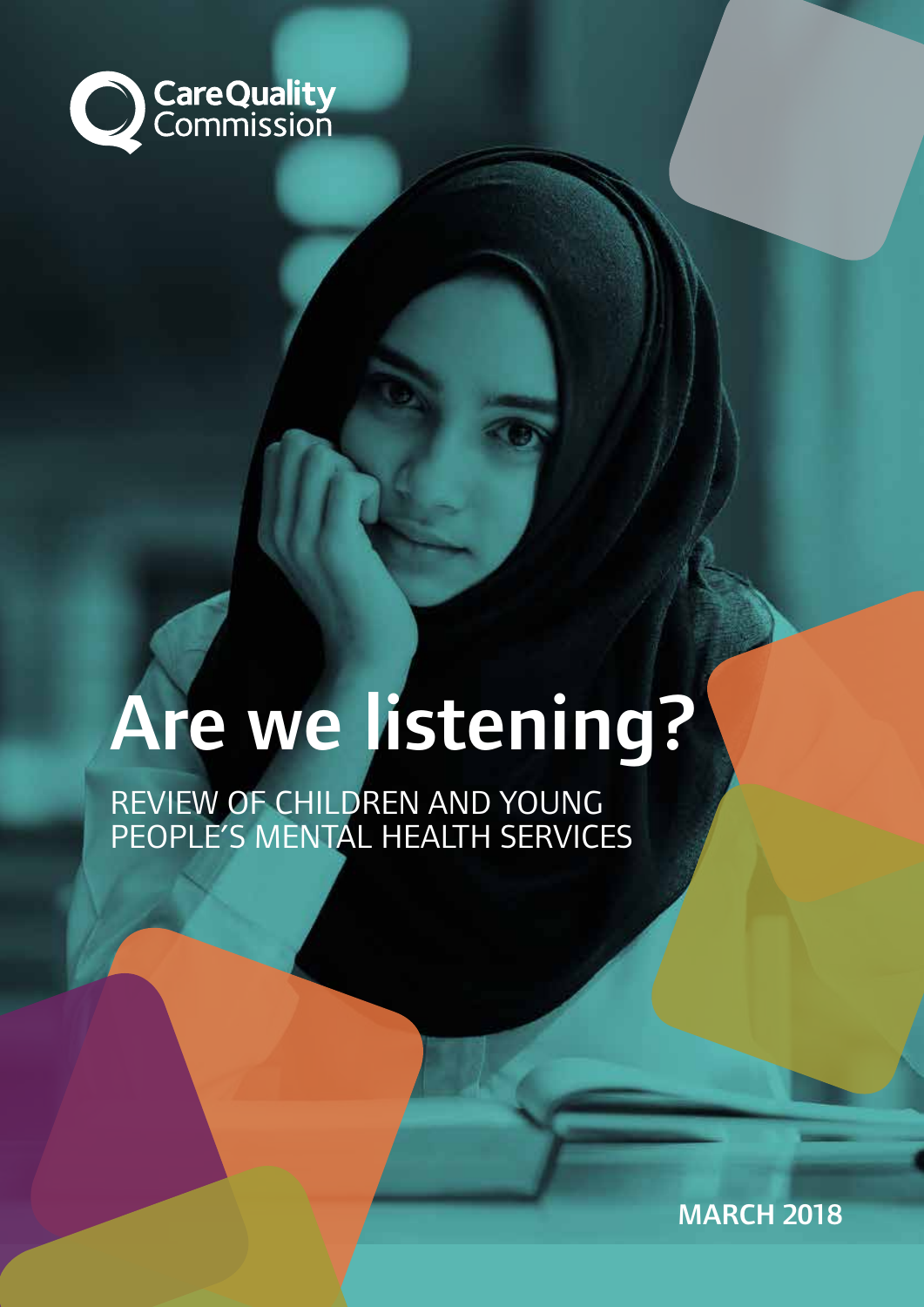

# Are we listening?

REVIEW OF CHILDREN AND YOUNG PEOPLE'S MENTAL HEALTH SERVICES

**MARCH 2018**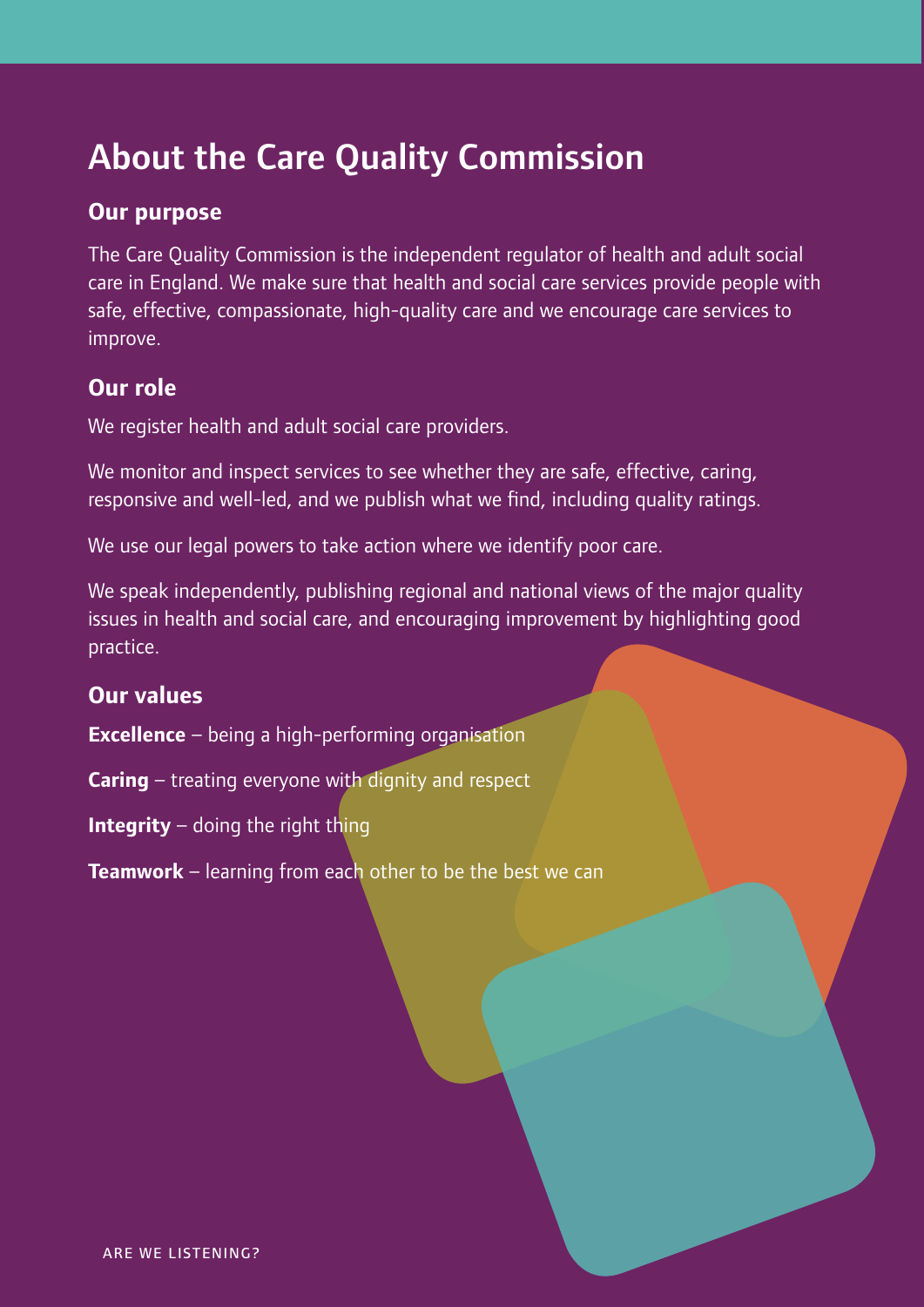## About the Care Quality Commission

#### **Our purpose**

The Care Quality Commission is the independent regulator of health and adult social care in England. We make sure that health and social care services provide people with safe, effective, compassionate, high-quality care and we encourage care services to improve.

#### **Our role**

We register health and adult social care providers.

We monitor and inspect services to see whether they are safe, effective, caring, responsive and well-led, and we publish what we find, including quality ratings.

We use our legal powers to take action where we identify poor care.

We speak independently, publishing regional and national views of the major quality issues in health and social care, and encouraging improvement by highlighting good practice.

#### **Our values**

**Excellence** – being a high-performing organisation

**Caring** – treating everyone with dignity and respect

**Integrity** – doing the right thing

**Teamwork** – learning from each other to be the best we can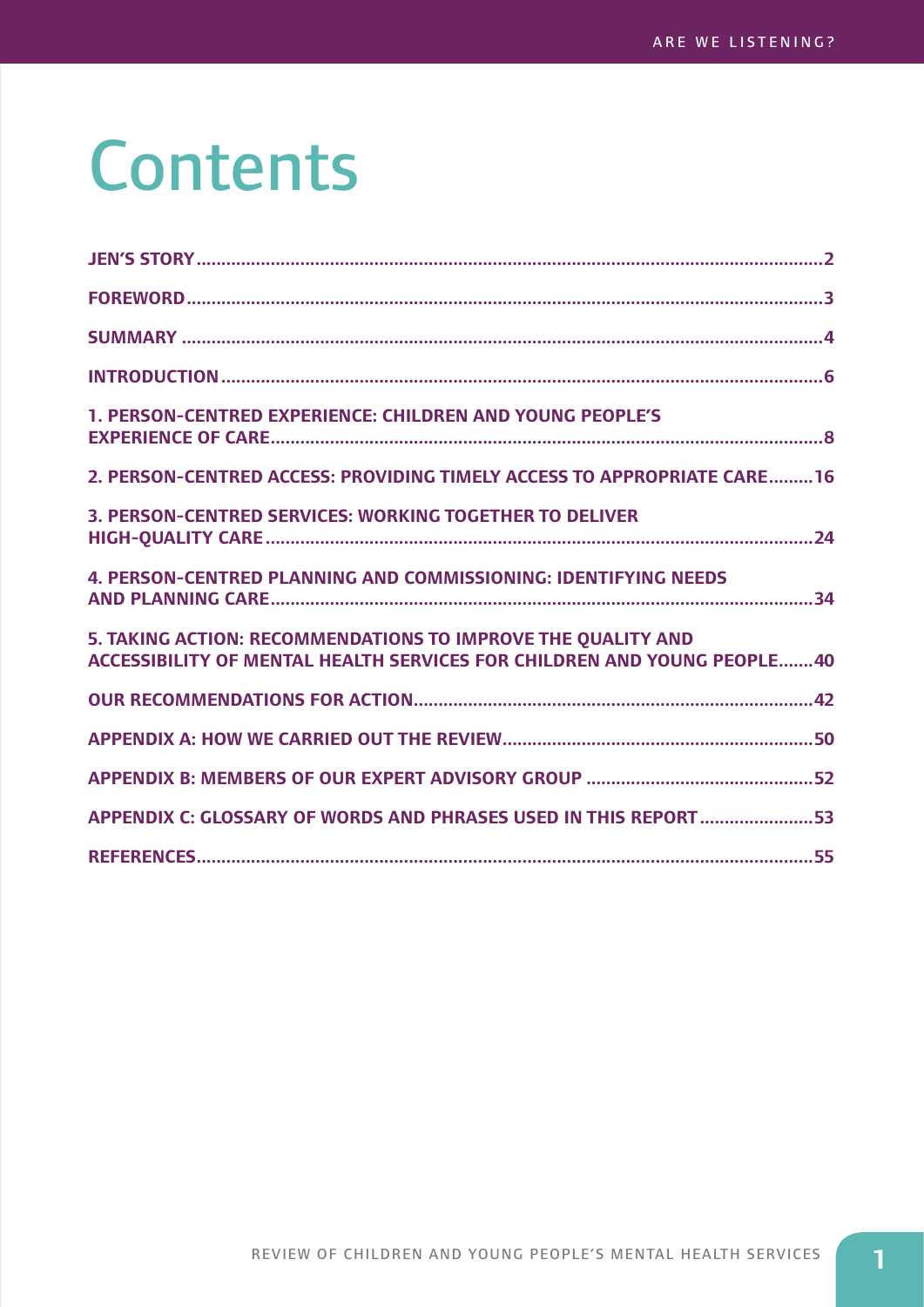## **Contents**

| 1. PERSON-CENTRED EXPERIENCE: CHILDREN AND YOUNG PEOPLE'S                                                                                |  |
|------------------------------------------------------------------------------------------------------------------------------------------|--|
| 2. PERSON-CENTRED ACCESS: PROVIDING TIMELY ACCESS TO APPROPRIATE CARE16                                                                  |  |
| 3. PERSON-CENTRED SERVICES: WORKING TOGETHER TO DELIVER                                                                                  |  |
| 4. PERSON-CENTRED PLANNING AND COMMISSIONING: IDENTIFYING NEEDS                                                                          |  |
| 5. TAKING ACTION: RECOMMENDATIONS TO IMPROVE THE QUALITY AND<br>ACCESSIBILITY OF MENTAL HEALTH SERVICES FOR CHILDREN AND YOUNG PEOPLE 40 |  |
|                                                                                                                                          |  |
|                                                                                                                                          |  |
|                                                                                                                                          |  |
| APPENDIX C: GLOSSARY OF WORDS AND PHRASES USED IN THIS REPORT53                                                                          |  |
|                                                                                                                                          |  |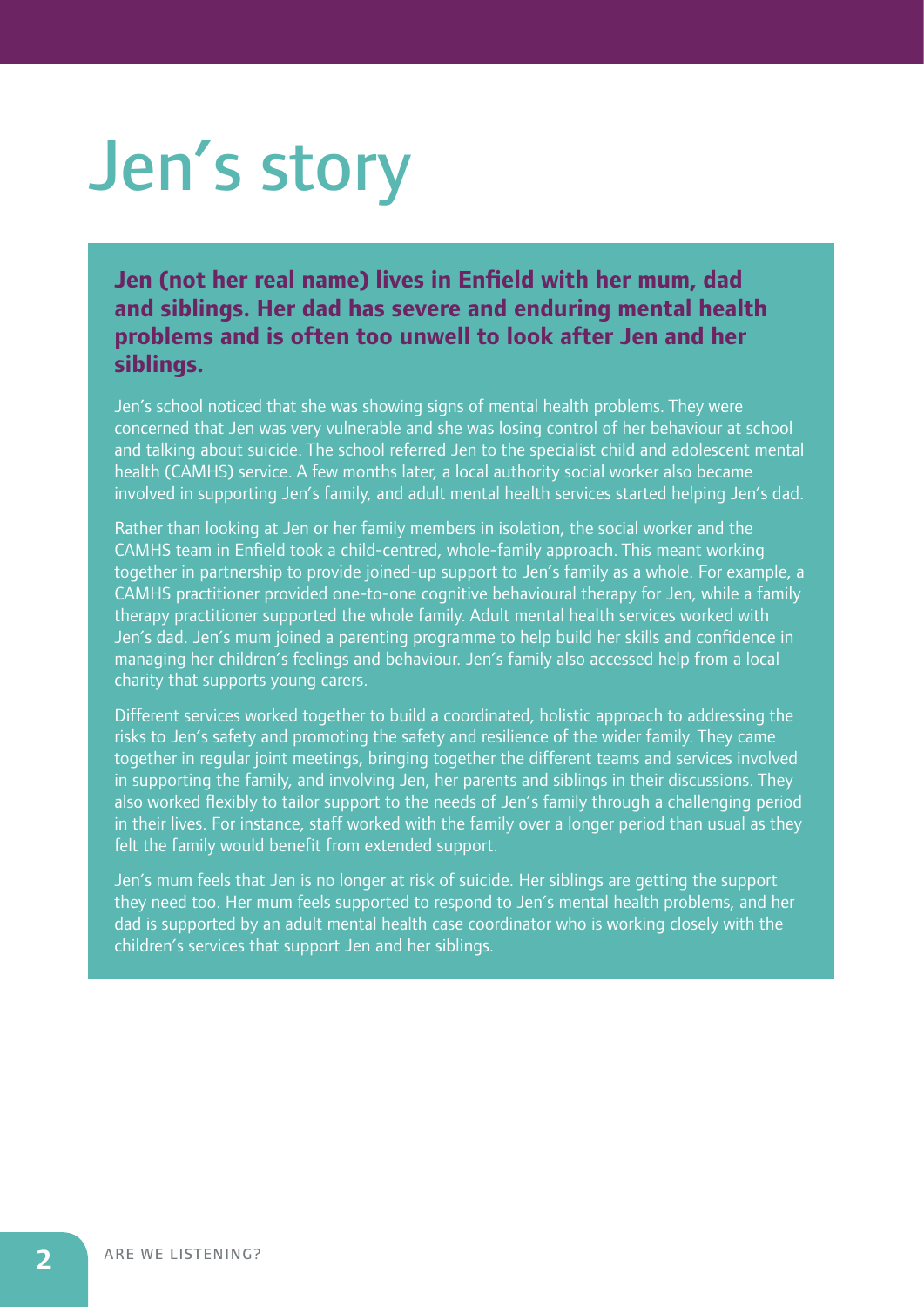# <span id="page-3-0"></span>Jen's story

**Jen (not her real name) lives in Enfield with her mum, dad and siblings. Her dad has severe and enduring mental health problems and is often too unwell to look after Jen and her siblings.**

Jen's school noticed that she was showing signs of mental health problems. They were concerned that Jen was very vulnerable and she was losing control of her behaviour at school and talking about suicide. The school referred Jen to the specialist child and adolescent mental health (CAMHS) service. A few months later, a local authority social worker also became involved in supporting Jen's family, and adult mental health services started helping Jen's dad.

Rather than looking at Jen or her family members in isolation, the social worker and the CAMHS team in Enfield took a child-centred, whole-family approach. This meant working together in partnership to provide joined-up support to Jen's family as a whole. For example, a CAMHS practitioner provided one-to-one cognitive behavioural therapy for Jen, while a family therapy practitioner supported the whole family. Adult mental health services worked with Jen's dad. Jen's mum joined a parenting programme to help build her skills and confidence in managing her children's feelings and behaviour. Jen's family also accessed help from a local charity that supports young carers.

Different services worked together to build a coordinated, holistic approach to addressing the risks to Jen's safety and promoting the safety and resilience of the wider family. They came together in regular joint meetings, bringing together the different teams and services involved in supporting the family, and involving Jen, her parents and siblings in their discussions. They also worked flexibly to tailor support to the needs of Jen's family through a challenging period in their lives. For instance, staff worked with the family over a longer period than usual as they felt the family would benefit from extended support.

Jen's mum feels that Jen is no longer at risk of suicide. Her siblings are getting the support they need too. Her mum feels supported to respond to Jen's mental health problems, and her dad is supported by an adult mental health case coordinator who is working closely with the children's services that support Jen and her siblings.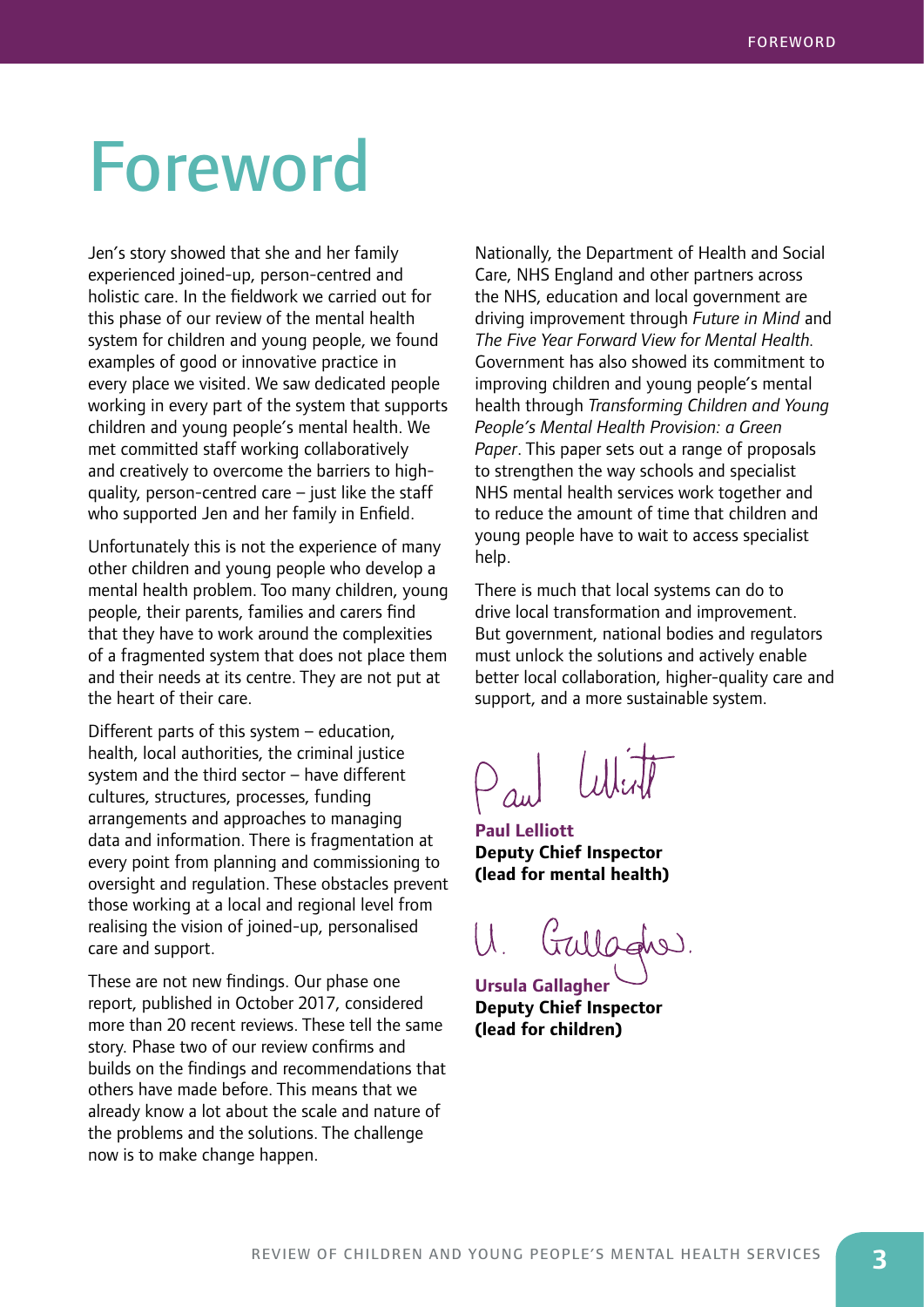## <span id="page-4-0"></span>Foreword

Jen's story showed that she and her family experienced joined-up, person-centred and holistic care. In the fieldwork we carried out for this phase of our review of the mental health system for children and young people, we found examples of good or innovative practice in every place we visited. We saw dedicated people working in every part of the system that supports children and young people's mental health. We met committed staff working collaboratively and creatively to overcome the barriers to highquality, person-centred care – just like the staff who supported Jen and her family in Enfield.

Unfortunately this is not the experience of many other children and young people who develop a mental health problem. Too many children, young people, their parents, families and carers find that they have to work around the complexities of a fragmented system that does not place them and their needs at its centre. They are not put at the heart of their care.

Different parts of this system – education, health, local authorities, the criminal justice system and the third sector – have different cultures, structures, processes, funding arrangements and approaches to managing data and information. There is fragmentation at every point from planning and commissioning to oversight and regulation. These obstacles prevent those working at a local and regional level from realising the vision of joined-up, personalised care and support.

These are not new findings. Our phase one report, published in October 2017, considered more than 20 recent reviews. These tell the same story. Phase two of our review confirms and builds on the findings and recommendations that others have made before. This means that we already know a lot about the scale and nature of the problems and the solutions. The challenge now is to make change happen.

Nationally, the Department of Health and Social Care, NHS England and other partners across the NHS, education and local government are driving improvement through *Future in Mind* and *The Five Year Forward View for Mental Health.* Government has also showed its commitment to improving children and young people's mental health through *Transforming Children and Young People's Mental Health Provision: a Green Paper*. This paper sets out a range of proposals to strengthen the way schools and specialist NHS mental health services work together and to reduce the amount of time that children and young people have to wait to access specialist help.

There is much that local systems can do to drive local transformation and improvement. But government, national bodies and regulators must unlock the solutions and actively enable better local collaboration, higher-quality care and support, and a more sustainable system.

 $\left\| \int_{\mathcal{U}} \right\|_{\mathcal{U}}$ 

**Paul Lelliott Deputy Chief Inspector (lead for mental health)**

U. Gullaghe).<br>Ursula Gallagher

**Deputy Chief Inspector (lead for children)**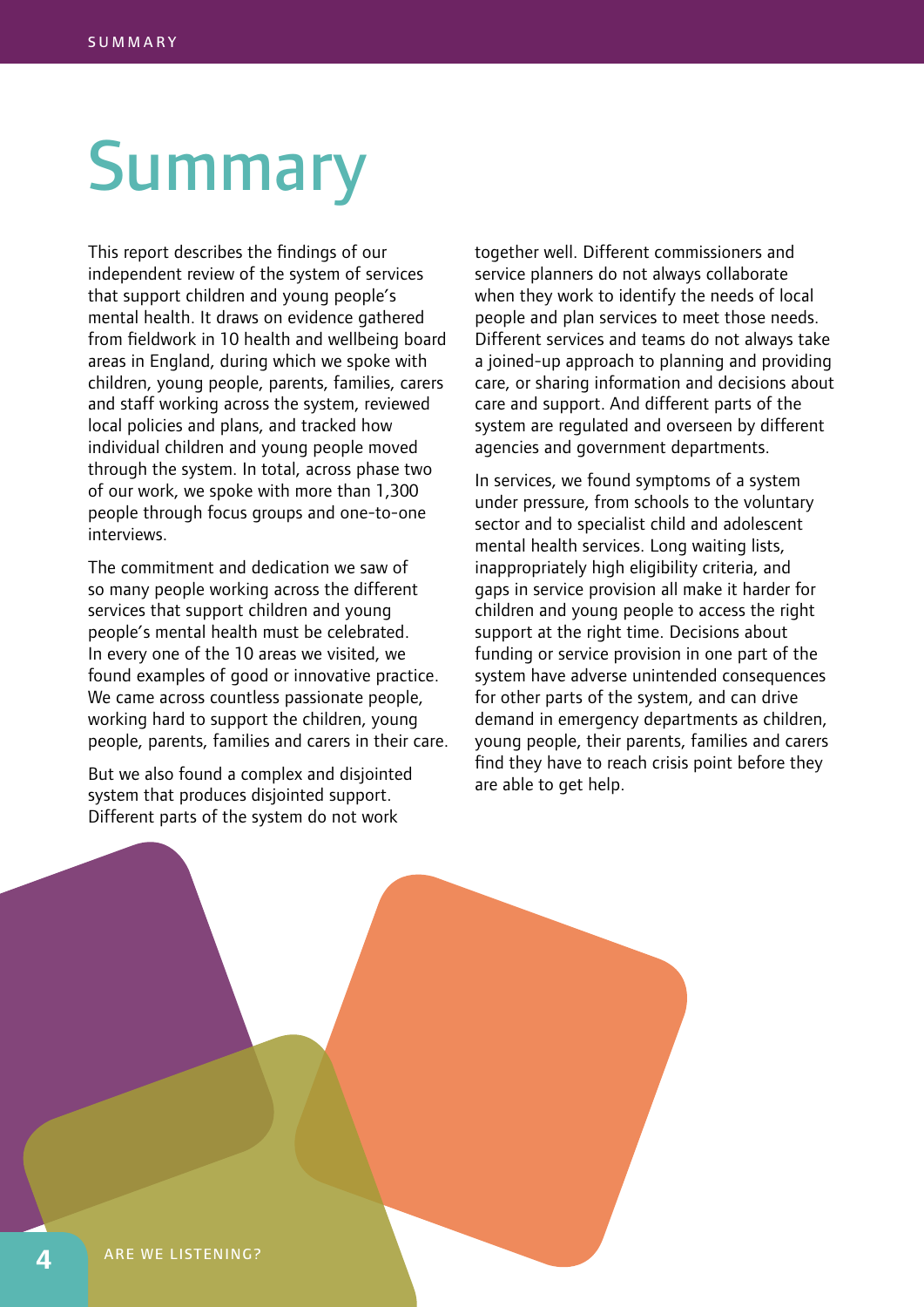# <span id="page-5-0"></span>Summary

This report describes the findings of our independent review of the system of services that support children and young people's mental health. It draws on evidence gathered from fieldwork in 10 health and wellbeing board areas in England, during which we spoke with children, young people, parents, families, carers and staff working across the system, reviewed local policies and plans, and tracked how individual children and young people moved through the system. In total, across phase two of our work, we spoke with more than 1,300 people through focus groups and one-to-one interviews.

The commitment and dedication we saw of so many people working across the different services that support children and young people's mental health must be celebrated. In every one of the 10 areas we visited, we found examples of good or innovative practice. We came across countless passionate people, working hard to support the children, young people, parents, families and carers in their care.

But we also found a complex and disjointed system that produces disjointed support. Different parts of the system do not work

together well. Different commissioners and service planners do not always collaborate when they work to identify the needs of local people and plan services to meet those needs. Different services and teams do not always take a joined-up approach to planning and providing care, or sharing information and decisions about care and support. And different parts of the system are regulated and overseen by different agencies and government departments.

In services, we found symptoms of a system under pressure, from schools to the voluntary sector and to specialist child and adolescent mental health services. Long waiting lists, inappropriately high eligibility criteria, and gaps in service provision all make it harder for children and young people to access the right support at the right time. Decisions about funding or service provision in one part of the system have adverse unintended consequences for other parts of the system, and can drive demand in emergency departments as children, young people, their parents, families and carers find they have to reach crisis point before they are able to get help.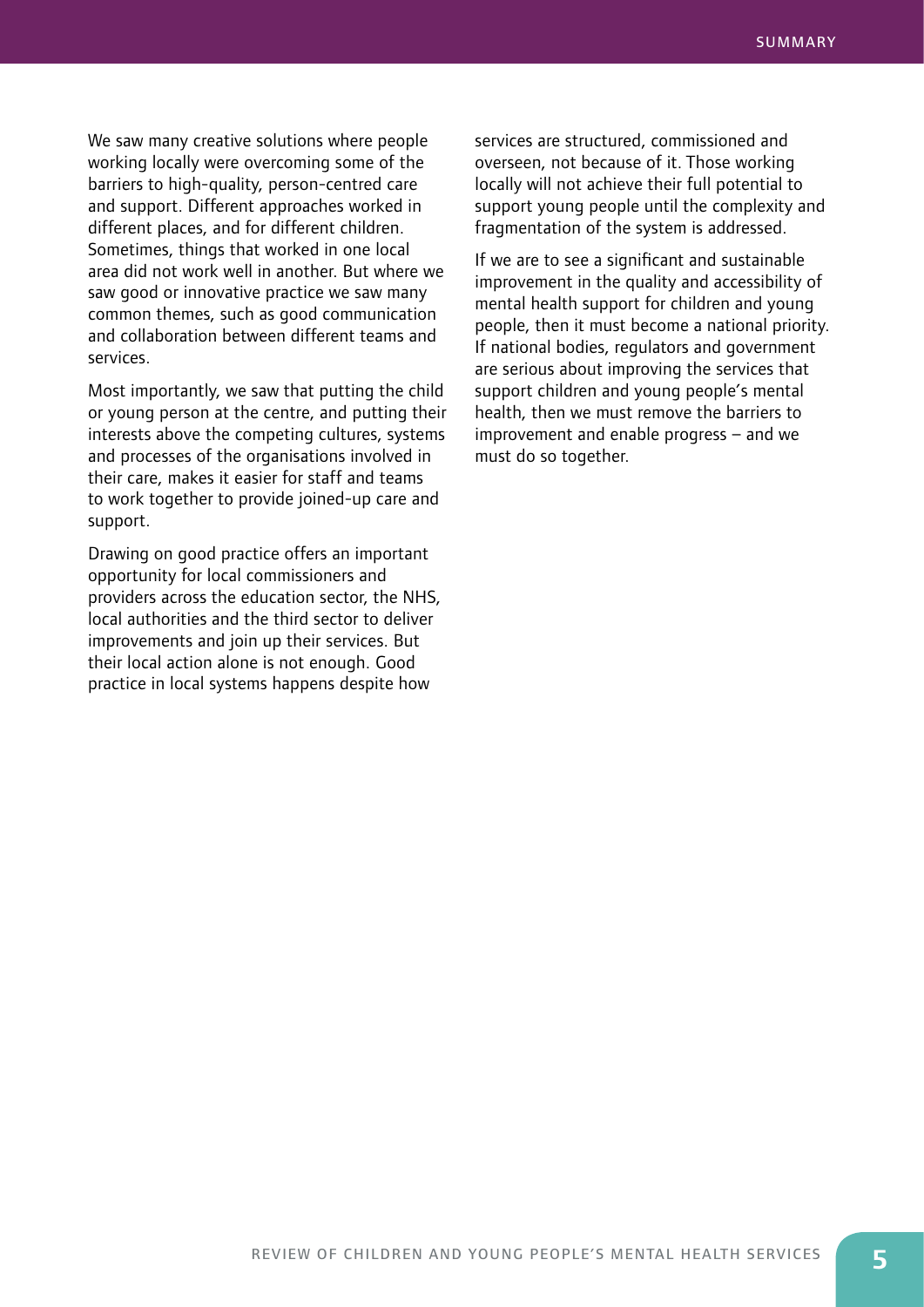<span id="page-6-0"></span>We saw many creative solutions where people working locally were overcoming some of the barriers to high-quality, person-centred care and support. Different approaches worked in different places, and for different children. Sometimes, things that worked in one local area did not work well in another. But where we saw good or innovative practice we saw many common themes, such as good communication and collaboration between different teams and services.

Most importantly, we saw that putting the child or young person at the centre, and putting their interests above the competing cultures, systems and processes of the organisations involved in their care, makes it easier for staff and teams to work together to provide joined-up care and support.

Drawing on good practice offers an important opportunity for local commissioners and providers across the education sector, the NHS, local authorities and the third sector to deliver improvements and join up their services. But their local action alone is not enough. Good practice in local systems happens despite how

services are structured, commissioned and overseen, not because of it. Those working locally will not achieve their full potential to support young people until the complexity and fragmentation of the system is addressed.

If we are to see a significant and sustainable improvement in the quality and accessibility of mental health support for children and young people, then it must become a national priority. If national bodies, regulators and government are serious about improving the services that support children and young people's mental health, then we must remove the barriers to improvement and enable progress – and we must do so together.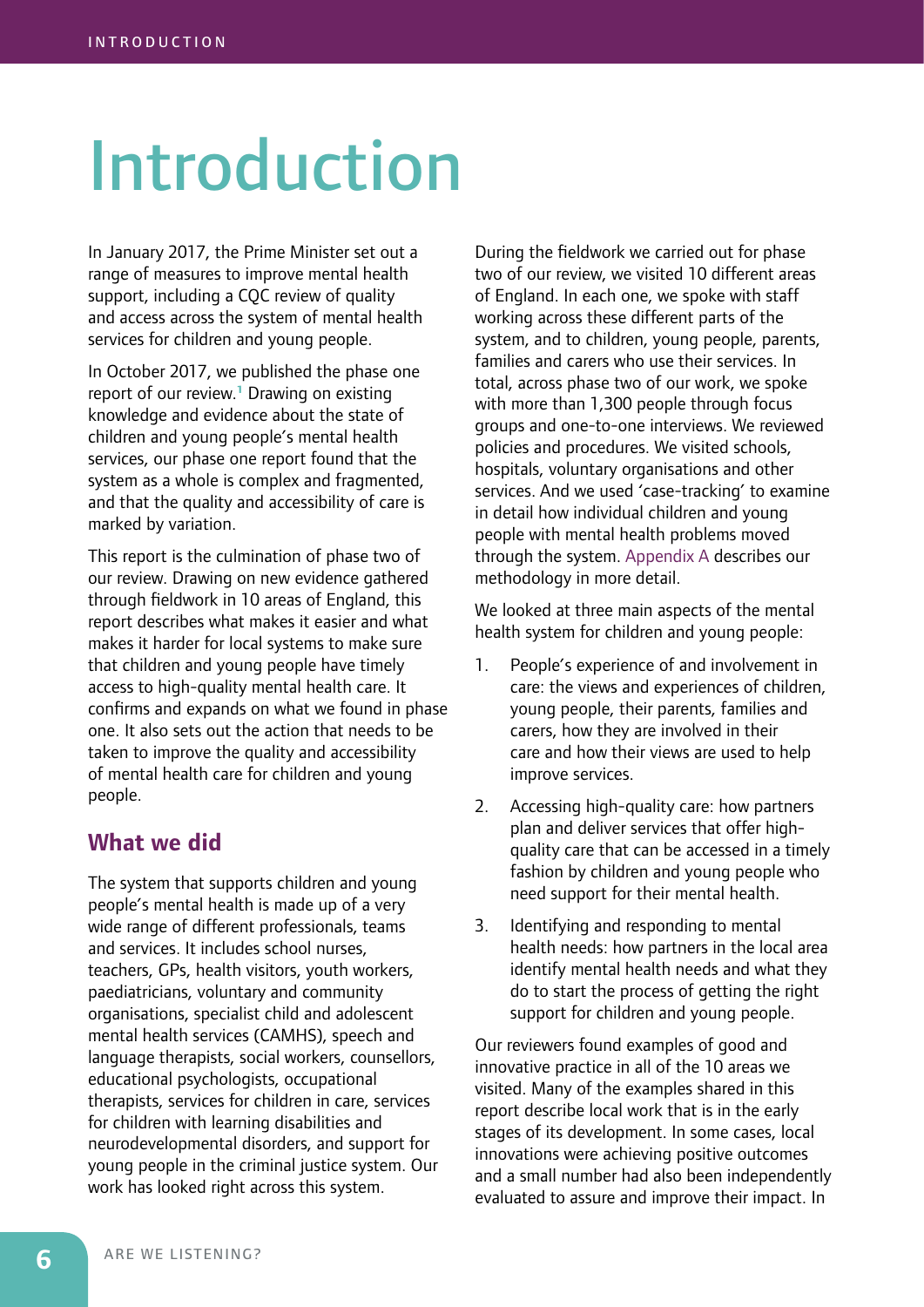# <span id="page-7-0"></span>Introduction

In January 2017, the Prime Minister set out a range of measures to improve mental health support, including a CQC review of quality and access across the system of mental health services for children and young people.

In October 2017, we published the phase one report of our review.**[1](#page-54-0)** Drawing on existing knowledge and evidence about the state of children and young people's mental health services, our phase one report found that the system as a whole is complex and fragmented, and that the quality and accessibility of care is marked by variation.

This report is the culmination of phase two of our review. Drawing on new evidence gathered through fieldwork in 10 areas of England, this report describes what makes it easier and what makes it harder for local systems to make sure that children and young people have timely access to high-quality mental health care. It confirms and expands on what we found in phase one. It also sets out the action that needs to be taken to improve the quality and accessibility of mental health care for children and young people.

#### **What we did**

The system that supports children and young people's mental health is made up of a very wide range of different professionals, teams and services. It includes school nurses, teachers, GPs, health visitors, youth workers, paediatricians, voluntary and community organisations, specialist child and adolescent mental health services (CAMHS), speech and language therapists, social workers, counsellors, educational psychologists, occupational therapists, services for children in care, services for children with learning disabilities and neurodevelopmental disorders, and support for young people in the criminal justice system. Our work has looked right across this system.

During the fieldwork we carried out for phase two of our review, we visited 10 different areas of England. In each one, we spoke with staff working across these different parts of the system, and to children, young people, parents, families and carers who use their services. In total, across phase two of our work, we spoke with more than 1,300 people through focus groups and one-to-one interviews. We reviewed policies and procedures. We visited schools, hospitals, voluntary organisations and other services. And we used 'case-tracking' to examine in detail how individual children and young people with mental health problems moved through the system. Appendix A describes our methodology in more detail.

We looked at three main aspects of the mental health system for children and young people:

- 1. People's experience of and involvement in care: the views and experiences of children, young people, their parents, families and carers, how they are involved in their care and how their views are used to help improve services.
- 2. Accessing high-quality care: how partners plan and deliver services that offer highquality care that can be accessed in a timely fashion by children and young people who need support for their mental health.
- 3. Identifying and responding to mental health needs: how partners in the local area identify mental health needs and what they do to start the process of getting the right support for children and young people.

Our reviewers found examples of good and innovative practice in all of the 10 areas we visited. Many of the examples shared in this report describe local work that is in the early stages of its development. In some cases, local innovations were achieving positive outcomes and a small number had also been independently evaluated to assure and improve their impact. In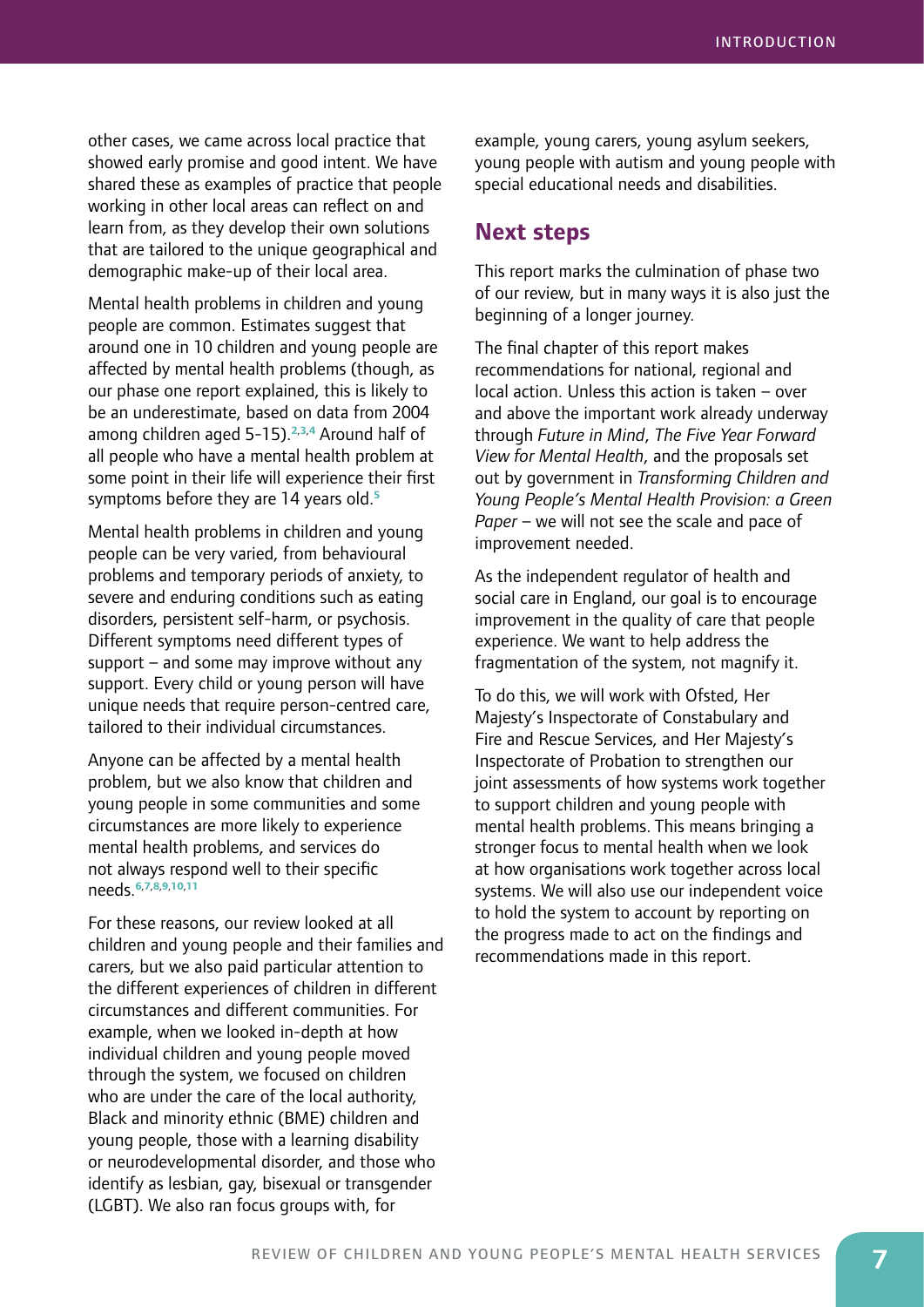<span id="page-8-0"></span>other cases, we came across local practice that showed early promise and good intent. We have shared these as examples of practice that people working in other local areas can reflect on and learn from, as they develop their own solutions that are tailored to the unique geographical and demographic make-up of their local area.

Mental health problems in children and young people are common. Estimates suggest that around one in 10 children and young people are affected by mental health problems (though, as our phase one report explained, this is likely to be an underestimate, based on data from 2004 among children aged 5-15).**[2](#page-54-0)**,**[3](#page-54-0)**,**[4](#page-54-0)** Around half of all people who have a mental health problem at some point in their life will experience their first symptoms before they are 14 years old.**[5](#page-54-0)**

Mental health problems in children and young people can be very varied, from behavioural problems and temporary periods of anxiety, to severe and enduring conditions such as eating disorders, persistent self-harm, or psychosis. Different symptoms need different types of support – and some may improve without any support. Every child or young person will have unique needs that require person-centred care, tailored to their individual circumstances.

Anyone can be affected by a mental health problem, but we also know that children and young people in some communities and some circumstances are more likely to experience mental health problems, and services do not always respond well to their specific needs.**[6](#page-54-0)**,**[7](#page-54-0)**,**[8](#page-54-0)**,**[9](#page-54-0)**,**[10](#page-54-0)**,**[11](#page-54-0)**

For these reasons, our review looked at all children and young people and their families and carers, but we also paid particular attention to the different experiences of children in different circumstances and different communities. For example, when we looked in-depth at how individual children and young people moved through the system, we focused on children who are under the care of the local authority. Black and minority ethnic (BME) children and young people, those with a learning disability or neurodevelopmental disorder, and those who identify as lesbian, gay, bisexual or transgender (LGBT). We also ran focus groups with, for

example, young carers, young asylum seekers, young people with autism and young people with special educational needs and disabilities.

#### **Next steps**

This report marks the culmination of phase two of our review, but in many ways it is also just the beginning of a longer journey.

The final chapter of this report makes recommendations for national, regional and local action. Unless this action is taken – over and above the important work already underway through *Future in Mind*, *The Five Year Forward View for Mental Health*, and the proposals set out by government in *Transforming Children and Young People's Mental Health Provision: a Green Paper* – we will not see the scale and pace of improvement needed.

As the independent regulator of health and social care in England, our goal is to encourage improvement in the quality of care that people experience. We want to help address the fragmentation of the system, not magnify it.

To do this, we will work with Ofsted, Her Majesty's Inspectorate of Constabulary and Fire and Rescue Services, and Her Majesty's Inspectorate of Probation to strengthen our joint assessments of how systems work together to support children and young people with mental health problems. This means bringing a stronger focus to mental health when we look at how organisations work together across local systems. We will also use our independent voice to hold the system to account by reporting on the progress made to act on the findings and recommendations made in this report.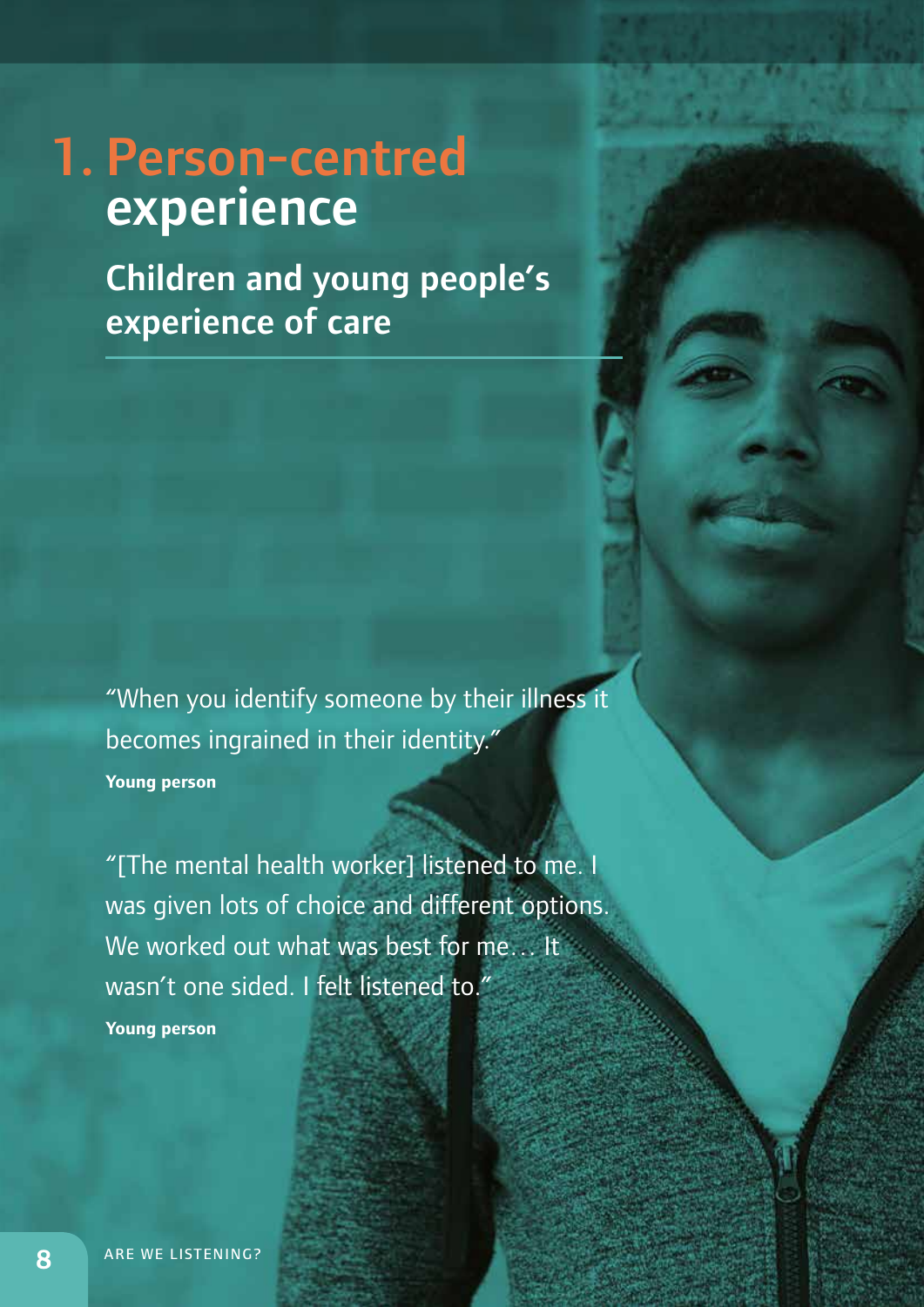## <span id="page-9-0"></span>1. Person-centred experience

Children and young people's experience of care

"When you identify someone by their illness it becomes ingrained in their identity." **Young person**

"[The mental health worker] listened to me. I was given lots of choice and different options. We worked out what was best for me... It wasn't one sided. I felt listened to." **Young person**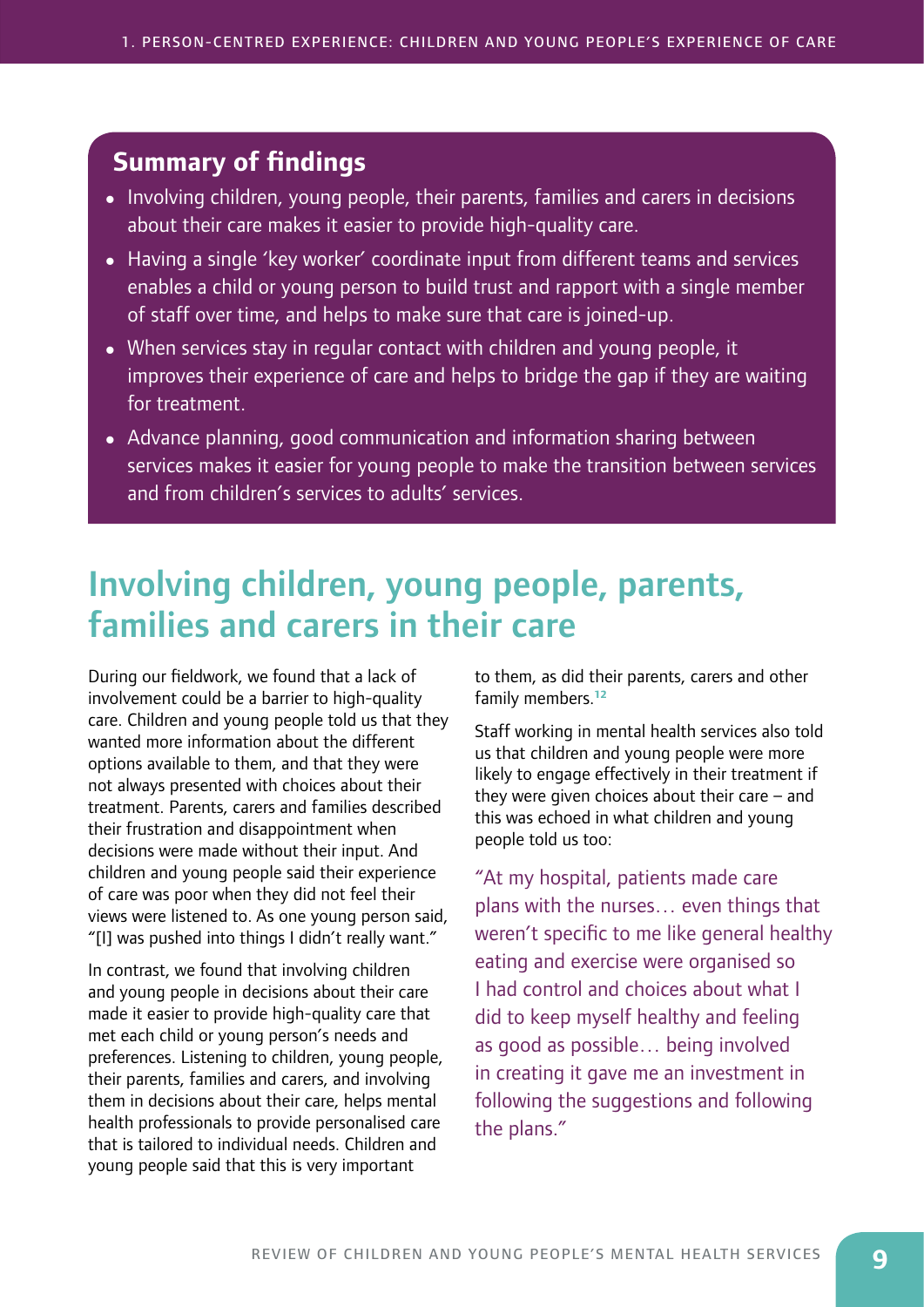#### **Summary of findings**

- Involving children, young people, their parents, families and carers in decisions about their care makes it easier to provide high-quality care.
- Having a single 'key worker' coordinate input from different teams and services enables a child or young person to build trust and rapport with a single member of staff over time, and helps to make sure that care is joined-up.
- When services stay in regular contact with children and young people, it improves their experience of care and helps to bridge the gap if they are waiting for treatment.
- Advance planning, good communication and information sharing between services makes it easier for young people to make the transition between services and from children's services to adults' services.

### Involving children, young people, parents, families and carers in their care

During our fieldwork, we found that a lack of involvement could be a barrier to high-quality care. Children and young people told us that they wanted more information about the different options available to them, and that they were not always presented with choices about their treatment. Parents, carers and families described their frustration and disappointment when decisions were made without their input. And children and young people said their experience of care was poor when they did not feel their views were listened to. As one young person said, "[I] was pushed into things I didn't really want."

In contrast, we found that involving children and young people in decisions about their care made it easier to provide high-quality care that met each child or young person's needs and preferences. Listening to children, young people, their parents, families and carers, and involving them in decisions about their care, helps mental health professionals to provide personalised care that is tailored to individual needs. Children and young people said that this is very important

to them, as did their parents, carers and other family members.**[12](#page-54-0)**

Staff working in mental health services also told us that children and young people were more likely to engage effectively in their treatment if they were given choices about their care – and this was echoed in what children and young people told us too:

"At my hospital, patients made care plans with the nurses… even things that weren't specific to me like general healthy eating and exercise were organised so I had control and choices about what I did to keep myself healthy and feeling as good as possible… being involved in creating it gave me an investment in following the suggestions and following the plans."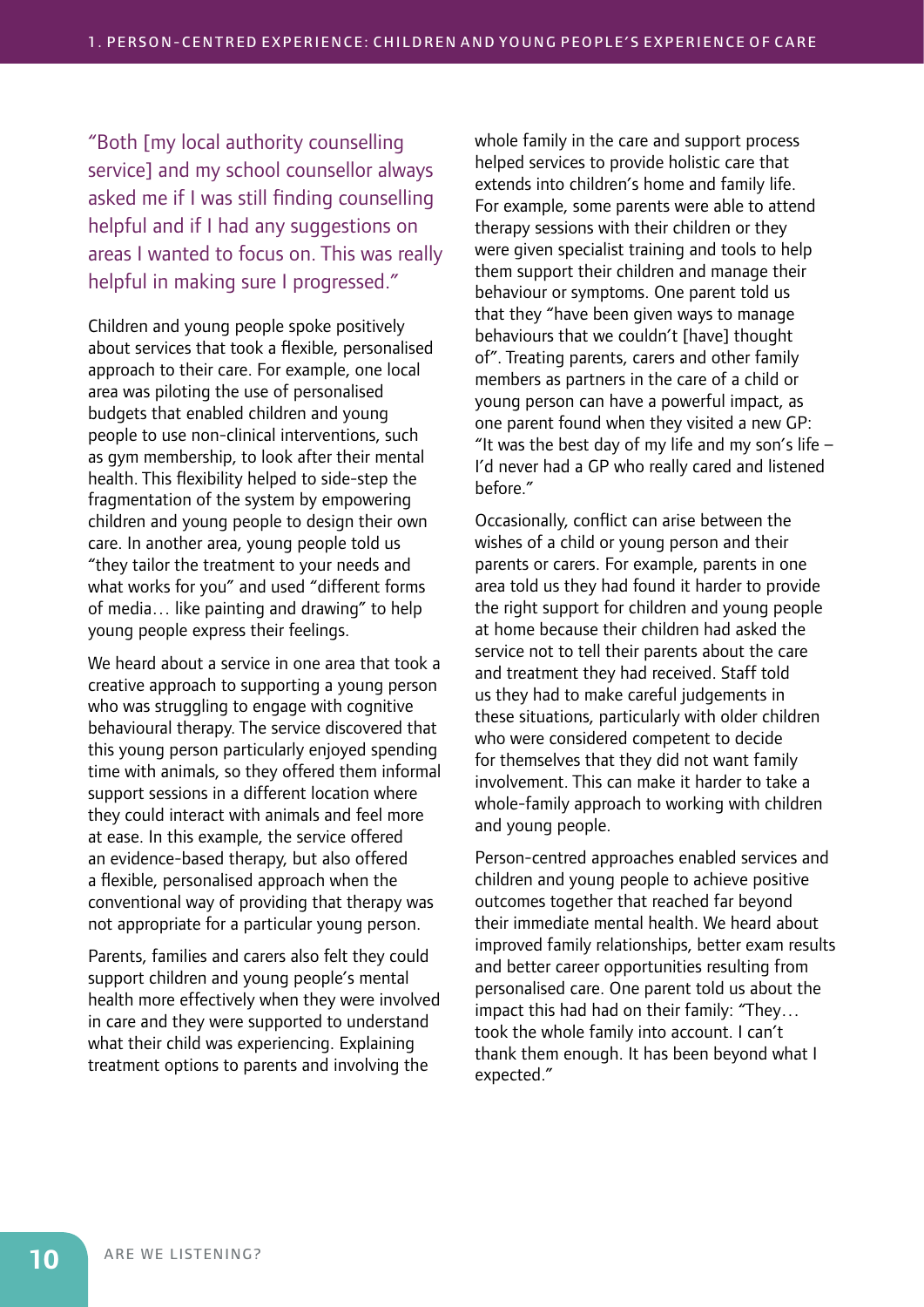"Both [my local authority counselling service] and my school counsellor always asked me if I was still finding counselling helpful and if I had any suggestions on areas I wanted to focus on. This was really helpful in making sure I progressed."

Children and young people spoke positively about services that took a flexible, personalised approach to their care. For example, one local area was piloting the use of personalised budgets that enabled children and young people to use non-clinical interventions, such as gym membership, to look after their mental health. This flexibility helped to side-step the fragmentation of the system by empowering children and young people to design their own care. In another area, young people told us "they tailor the treatment to your needs and what works for you" and used "different forms of media… like painting and drawing" to help young people express their feelings.

We heard about a service in one area that took a creative approach to supporting a young person who was struggling to engage with cognitive behavioural therapy. The service discovered that this young person particularly enjoyed spending time with animals, so they offered them informal support sessions in a different location where they could interact with animals and feel more at ease. In this example, the service offered an evidence-based therapy, but also offered a flexible, personalised approach when the conventional way of providing that therapy was not appropriate for a particular young person.

Parents, families and carers also felt they could support children and young people's mental health more effectively when they were involved in care and they were supported to understand what their child was experiencing. Explaining treatment options to parents and involving the

whole family in the care and support process helped services to provide holistic care that extends into children's home and family life. For example, some parents were able to attend therapy sessions with their children or they were given specialist training and tools to help them support their children and manage their behaviour or symptoms. One parent told us that they "have been given ways to manage behaviours that we couldn't [have] thought of". Treating parents, carers and other family members as partners in the care of a child or young person can have a powerful impact, as one parent found when they visited a new GP: "It was the best day of my life and my son's life  $-$ I'd never had a GP who really cared and listened before."

Occasionally, conflict can arise between the wishes of a child or young person and their parents or carers. For example, parents in one area told us they had found it harder to provide the right support for children and young people at home because their children had asked the service not to tell their parents about the care and treatment they had received. Staff told us they had to make careful judgements in these situations, particularly with older children who were considered competent to decide for themselves that they did not want family involvement. This can make it harder to take a whole-family approach to working with children and young people.

Person-centred approaches enabled services and children and young people to achieve positive outcomes together that reached far beyond their immediate mental health. We heard about improved family relationships, better exam results and better career opportunities resulting from personalised care. One parent told us about the impact this had had on their family: "They… took the whole family into account. I can't thank them enough. It has been beyond what I expected."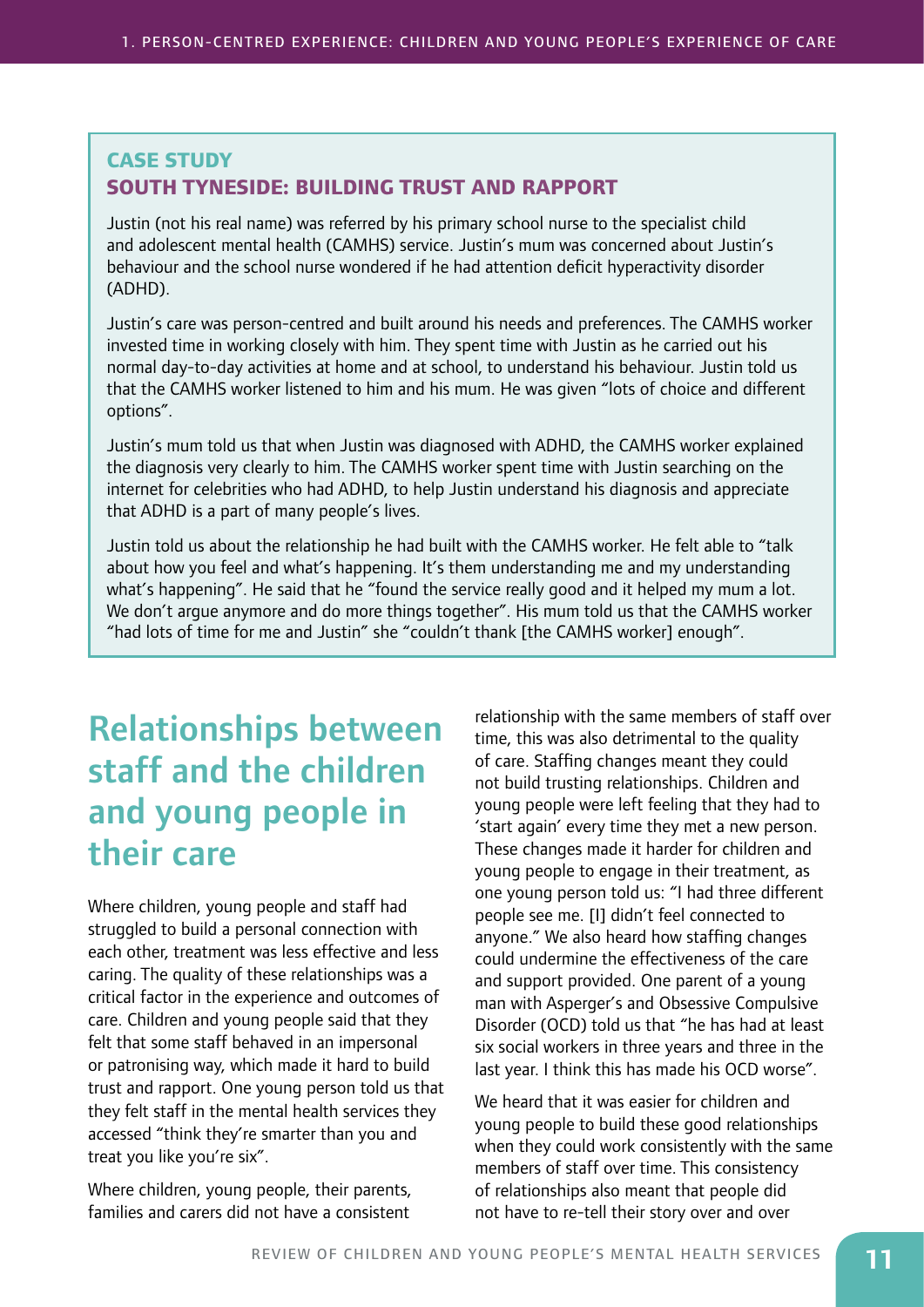#### **CASE STUDY SOUTH TYNESIDE: BUILDING TRUST AND RAPPORT**

Justin (not his real name) was referred by his primary school nurse to the specialist child and adolescent mental health (CAMHS) service. Justin's mum was concerned about Justin's behaviour and the school nurse wondered if he had attention deficit hyperactivity disorder (ADHD).

Justin's care was person-centred and built around his needs and preferences. The CAMHS worker invested time in working closely with him. They spent time with Justin as he carried out his normal day-to-day activities at home and at school, to understand his behaviour. Justin told us that the CAMHS worker listened to him and his mum. He was given "lots of choice and different options".

Justin's mum told us that when Justin was diagnosed with ADHD, the CAMHS worker explained the diagnosis very clearly to him. The CAMHS worker spent time with Justin searching on the internet for celebrities who had ADHD, to help Justin understand his diagnosis and appreciate that ADHD is a part of many people's lives.

Justin told us about the relationship he had built with the CAMHS worker. He felt able to "talk about how you feel and what's happening. It's them understanding me and my understanding what's happening". He said that he "found the service really good and it helped my mum a lot. We don't argue anymore and do more things together". His mum told us that the CAMHS worker "had lots of time for me and Justin" she "couldn't thank [the CAMHS worker] enough".

## Relationships between staff and the children and young people in their care

Where children, young people and staff had struggled to build a personal connection with each other, treatment was less effective and less caring. The quality of these relationships was a critical factor in the experience and outcomes of care. Children and young people said that they felt that some staff behaved in an impersonal or patronising way, which made it hard to build trust and rapport. One young person told us that they felt staff in the mental health services they accessed "think they're smarter than you and treat you like you're six".

Where children, young people, their parents, families and carers did not have a consistent

relationship with the same members of staff over time, this was also detrimental to the quality of care. Staffing changes meant they could not build trusting relationships. Children and young people were left feeling that they had to 'start again' every time they met a new person. These changes made it harder for children and young people to engage in their treatment, as one young person told us: "I had three different people see me. [I] didn't feel connected to anyone." We also heard how staffing changes could undermine the effectiveness of the care and support provided. One parent of a young man with Asperger's and Obsessive Compulsive Disorder (OCD) told us that "he has had at least six social workers in three years and three in the last year. I think this has made his OCD worse".

We heard that it was easier for children and young people to build these good relationships when they could work consistently with the same members of staff over time. This consistency of relationships also meant that people did not have to re-tell their story over and over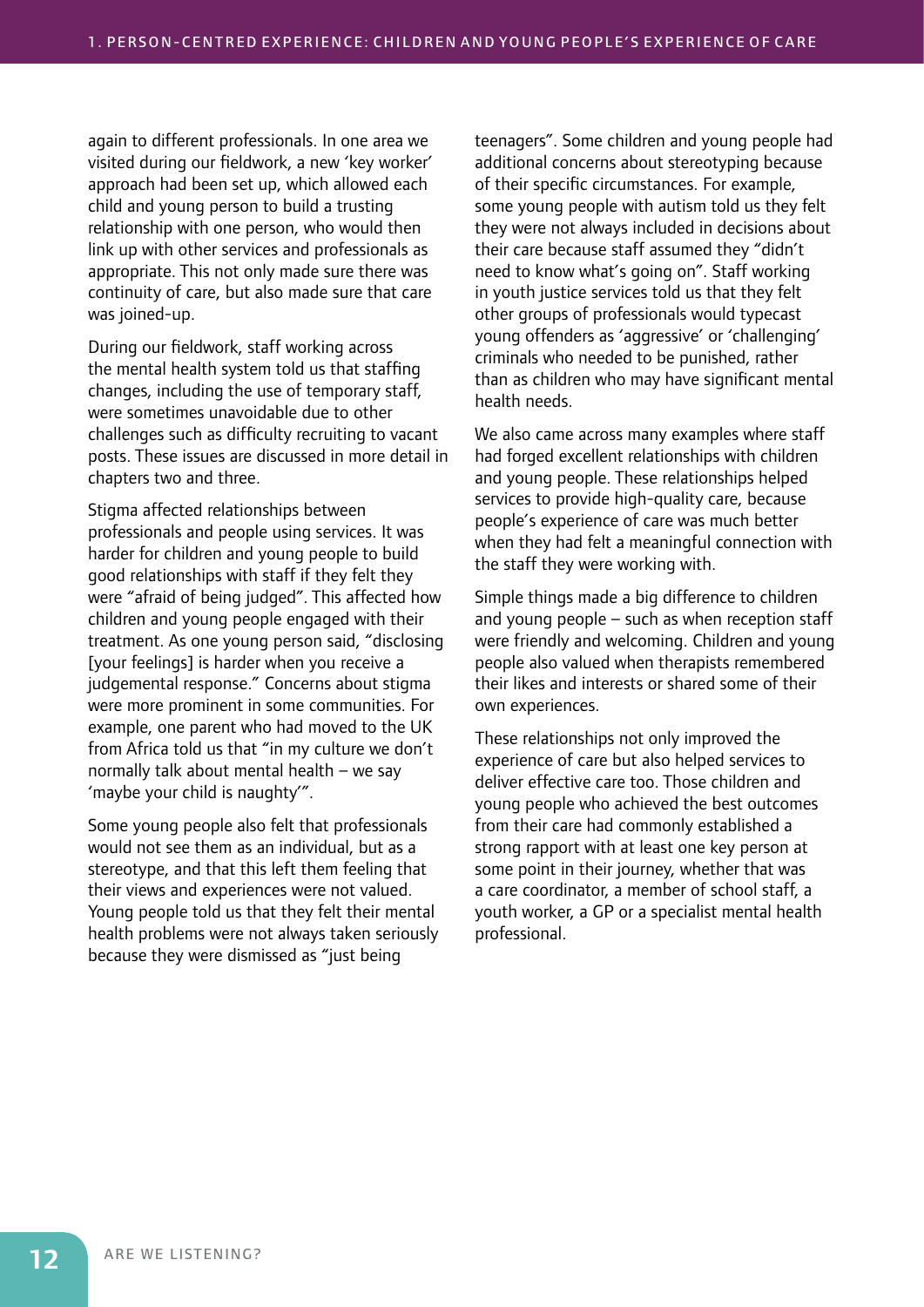<span id="page-13-0"></span>again to different professionals. In one area we visited during our fieldwork, a new 'key worker' approach had been set up, which allowed each child and young person to build a trusting relationship with one person, who would then link up with other services and professionals as appropriate. This not only made sure there was continuity of care, but also made sure that care was joined-up.

During our fieldwork, staff working across the mental health system told us that staffing changes, including the use of temporary staff, were sometimes unavoidable due to other challenges such as difficulty recruiting to vacant posts. These issues are discussed in more detail in chapters two and three.

Stigma affected relationships between professionals and people using services. It was harder for children and young people to build good relationships with staff if they felt they were "afraid of being judged". This affected how children and young people engaged with their treatment. As one young person said, "disclosing [your feelings] is harder when you receive a judgemental response." Concerns about stigma were more prominent in some communities. For example, one parent who had moved to the UK from Africa told us that "in my culture we don't normally talk about mental health – we say 'maybe your child is naughty'".

Some young people also felt that professionals would not see them as an individual, but as a stereotype, and that this left them feeling that their views and experiences were not valued. Young people told us that they felt their mental health problems were not always taken seriously because they were dismissed as "just being

teenagers". Some children and young people had additional concerns about stereotyping because of their specific circumstances. For example, some young people with autism told us they felt they were not always included in decisions about their care because staff assumed they "didn't need to know what's going on". Staff working in youth justice services told us that they felt other groups of professionals would typecast young offenders as 'aggressive' or 'challenging' criminals who needed to be punished, rather than as children who may have significant mental health needs.

We also came across many examples where staff had forged excellent relationships with children and young people. These relationships helped services to provide high-quality care, because people's experience of care was much better when they had felt a meaningful connection with the staff they were working with.

Simple things made a big difference to children and young people – such as when reception staff were friendly and welcoming. Children and young people also valued when therapists remembered their likes and interests or shared some of their own experiences.

These relationships not only improved the experience of care but also helped services to deliver effective care too. Those children and young people who achieved the best outcomes from their care had commonly established a strong rapport with at least one key person at some point in their journey, whether that was a care coordinator, a member of school staff, a youth worker, a GP or a specialist mental health professional.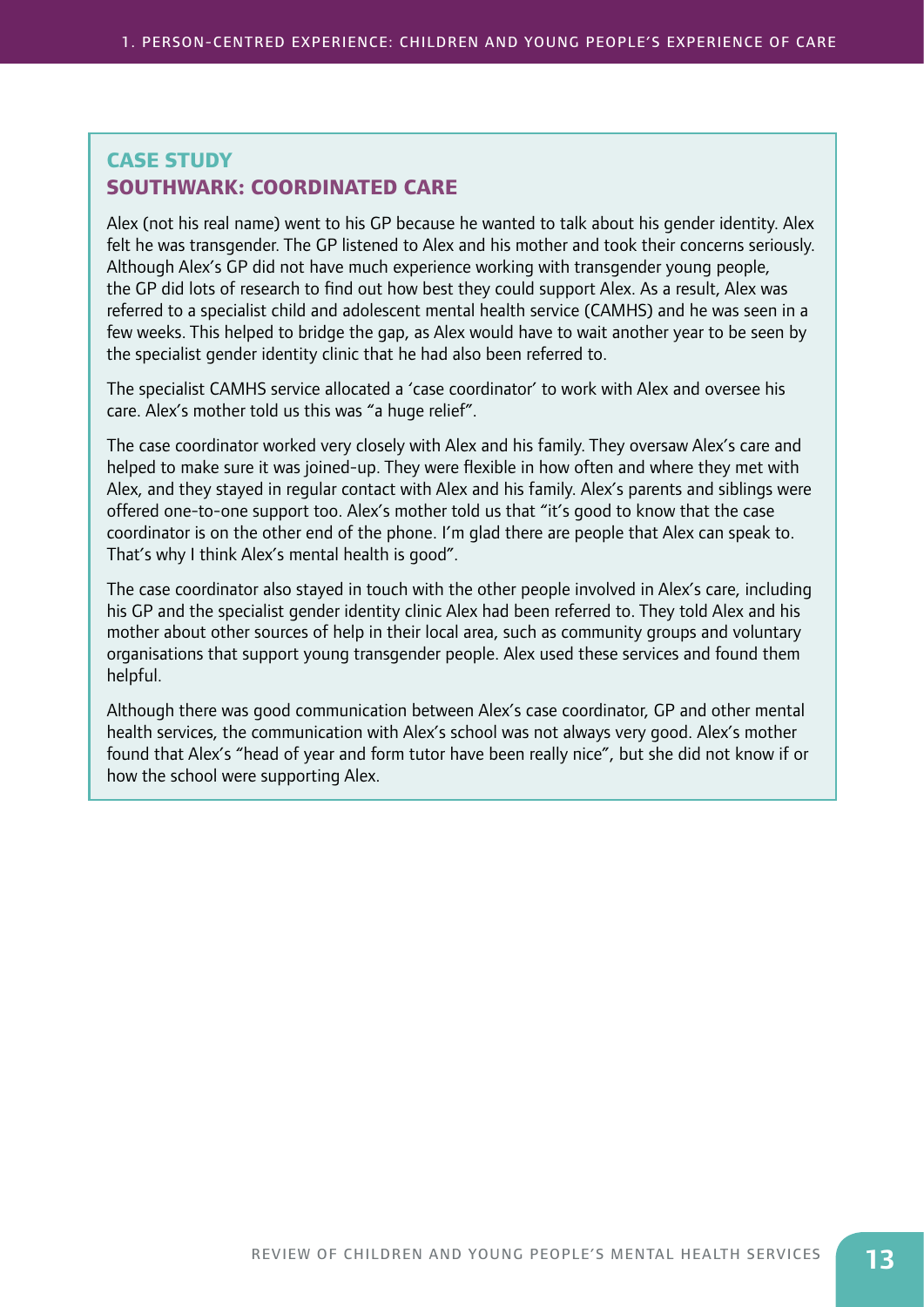#### **CASE STUDY SOUTHWARK: COORDINATED CARE**

Alex (not his real name) went to his GP because he wanted to talk about his gender identity. Alex felt he was transgender. The GP listened to Alex and his mother and took their concerns seriously. Although Alex's GP did not have much experience working with transgender young people, the GP did lots of research to find out how best they could support Alex. As a result, Alex was referred to a specialist child and adolescent mental health service (CAMHS) and he was seen in a few weeks. This helped to bridge the gap, as Alex would have to wait another year to be seen by the specialist gender identity clinic that he had also been referred to.

The specialist CAMHS service allocated a 'case coordinator' to work with Alex and oversee his care. Alex's mother told us this was "a huge relief".

The case coordinator worked very closely with Alex and his family. They oversaw Alex's care and helped to make sure it was joined-up. They were flexible in how often and where they met with Alex, and they stayed in regular contact with Alex and his family. Alex's parents and siblings were offered one-to-one support too. Alex's mother told us that "it's good to know that the case coordinator is on the other end of the phone. I'm glad there are people that Alex can speak to. That's why I think Alex's mental health is good".

The case coordinator also stayed in touch with the other people involved in Alex's care, including his GP and the specialist gender identity clinic Alex had been referred to. They told Alex and his mother about other sources of help in their local area, such as community groups and voluntary organisations that support young transgender people. Alex used these services and found them helpful.

Although there was good communication between Alex's case coordinator, GP and other mental health services, the communication with Alex's school was not always very good. Alex's mother found that Alex's "head of year and form tutor have been really nice", but she did not know if or how the school were supporting Alex.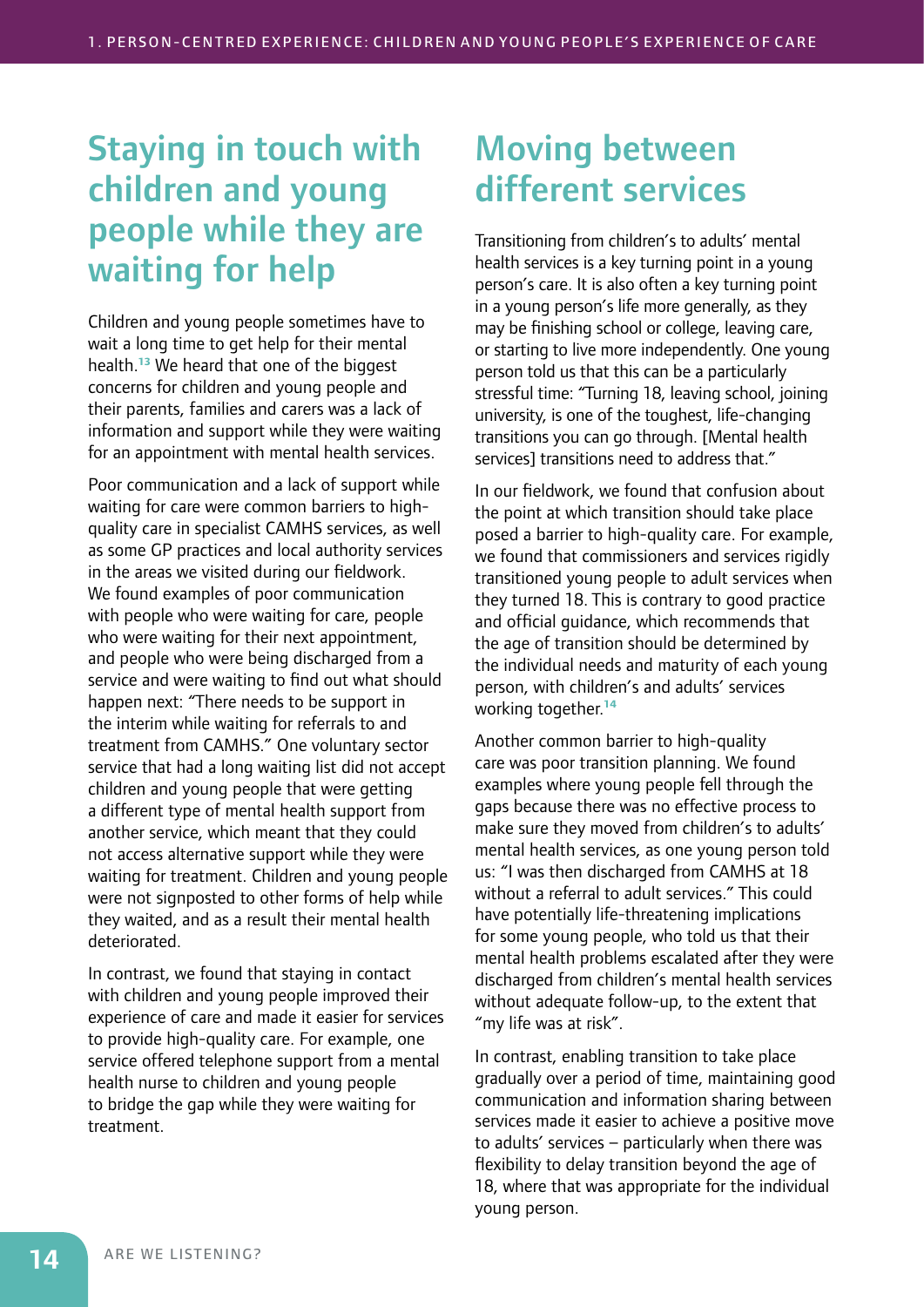## Staying in touch with children and young people while they are waiting for help

Children and young people sometimes have to wait a long time to get help for their mental health.**[13](#page-54-0)** We heard that one of the biggest concerns for children and young people and their parents, families and carers was a lack of information and support while they were waiting for an appointment with mental health services.

Poor communication and a lack of support while waiting for care were common barriers to highquality care in specialist CAMHS services, as well as some GP practices and local authority services in the areas we visited during our fieldwork. We found examples of poor communication with people who were waiting for care, people who were waiting for their next appointment, and people who were being discharged from a service and were waiting to find out what should happen next: "There needs to be support in the interim while waiting for referrals to and treatment from CAMHS." One voluntary sector service that had a long waiting list did not accept children and young people that were getting a different type of mental health support from another service, which meant that they could not access alternative support while they were waiting for treatment. Children and young people were not signposted to other forms of help while they waited, and as a result their mental health deteriorated.

In contrast, we found that staying in contact with children and young people improved their experience of care and made it easier for services to provide high-quality care. For example, one service offered telephone support from a mental health nurse to children and young people to bridge the gap while they were waiting for treatment.

## Moving between different services

Transitioning from children's to adults' mental health services is a key turning point in a young person's care. It is also often a key turning point in a young person's life more generally, as they may be finishing school or college, leaving care, or starting to live more independently. One young person told us that this can be a particularly stressful time: "Turning 18, leaving school, joining university, is one of the toughest, life-changing transitions you can go through. [Mental health services] transitions need to address that."

In our fieldwork, we found that confusion about the point at which transition should take place posed a barrier to high-quality care. For example, we found that commissioners and services rigidly transitioned young people to adult services when they turned 18. This is contrary to good practice and official guidance, which recommends that the age of transition should be determined by the individual needs and maturity of each young person, with children's and adults' services working together.**[14](#page-54-0)**

Another common barrier to high-quality care was poor transition planning. We found examples where young people fell through the gaps because there was no effective process to make sure they moved from children's to adults' mental health services, as one young person told us: "I was then discharged from CAMHS at 18 without a referral to adult services." This could have potentially life-threatening implications for some young people, who told us that their mental health problems escalated after they were discharged from children's mental health services without adequate follow-up, to the extent that "my life was at risk".

In contrast, enabling transition to take place gradually over a period of time, maintaining good communication and information sharing between services made it easier to achieve a positive move to adults' services – particularly when there was flexibility to delay transition beyond the age of 18, where that was appropriate for the individual young person.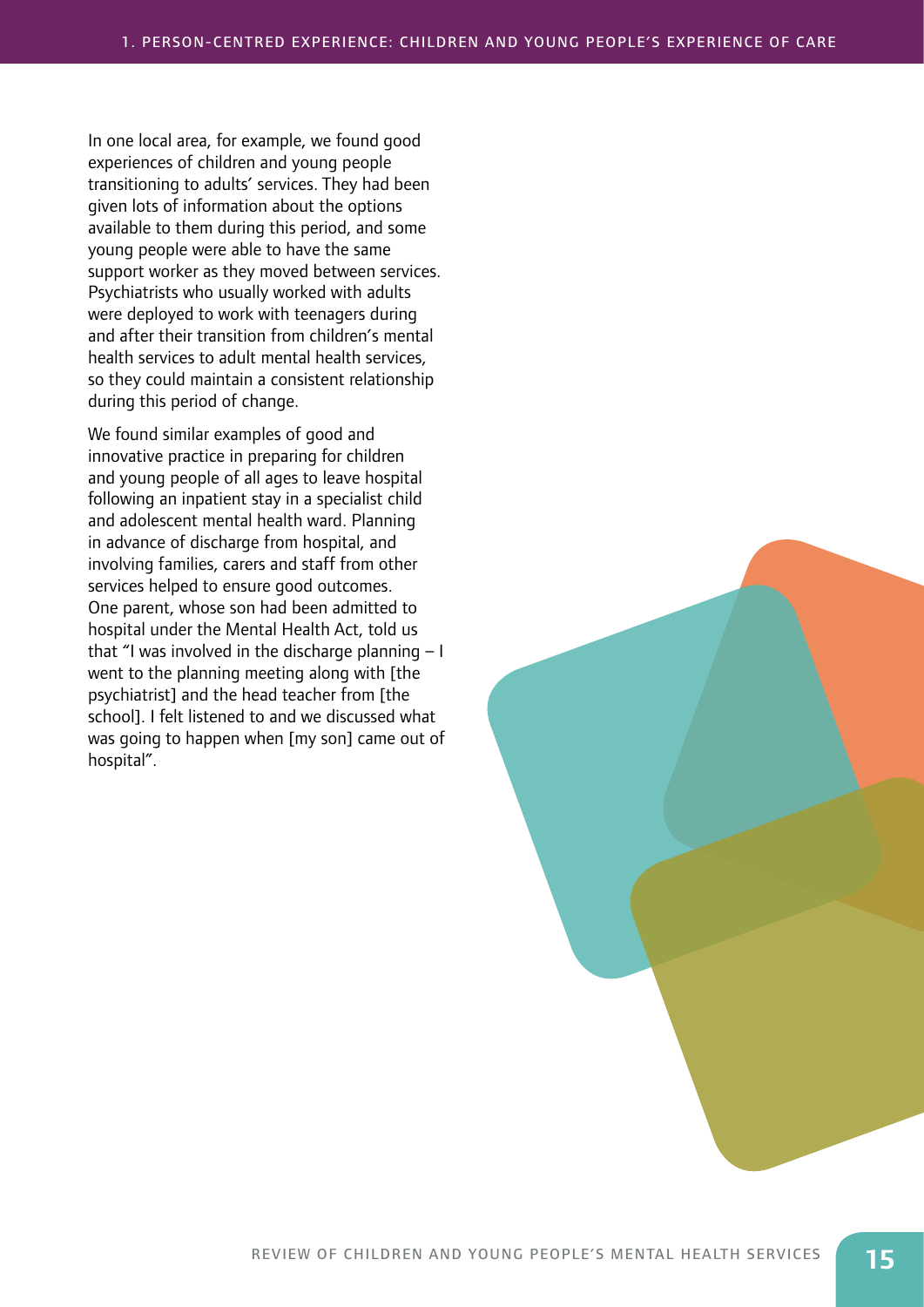<span id="page-16-0"></span>In one local area, for example, we found good experiences of children and young people transitioning to adults' services. They had been given lots of information about the options available to them during this period, and some young people were able to have the same support worker as they moved between services. Psychiatrists who usually worked with adults were deployed to work with teenagers during and after their transition from children's mental health services to adult mental health services, so they could maintain a consistent relationship during this period of change.

We found similar examples of good and innovative practice in preparing for children and young people of all ages to leave hospital following an inpatient stay in a specialist child and adolescent mental health ward. Planning in advance of discharge from hospital, and involving families, carers and staff from other services helped to ensure good outcomes. One parent, whose son had been admitted to hospital under the Mental Health Act, told us that  $\degree$ I was involved in the discharge planning  $-1$ went to the planning meeting along with [the psychiatrist] and the head teacher from [the school]. I felt listened to and we discussed what was going to happen when [my son] came out of hospital".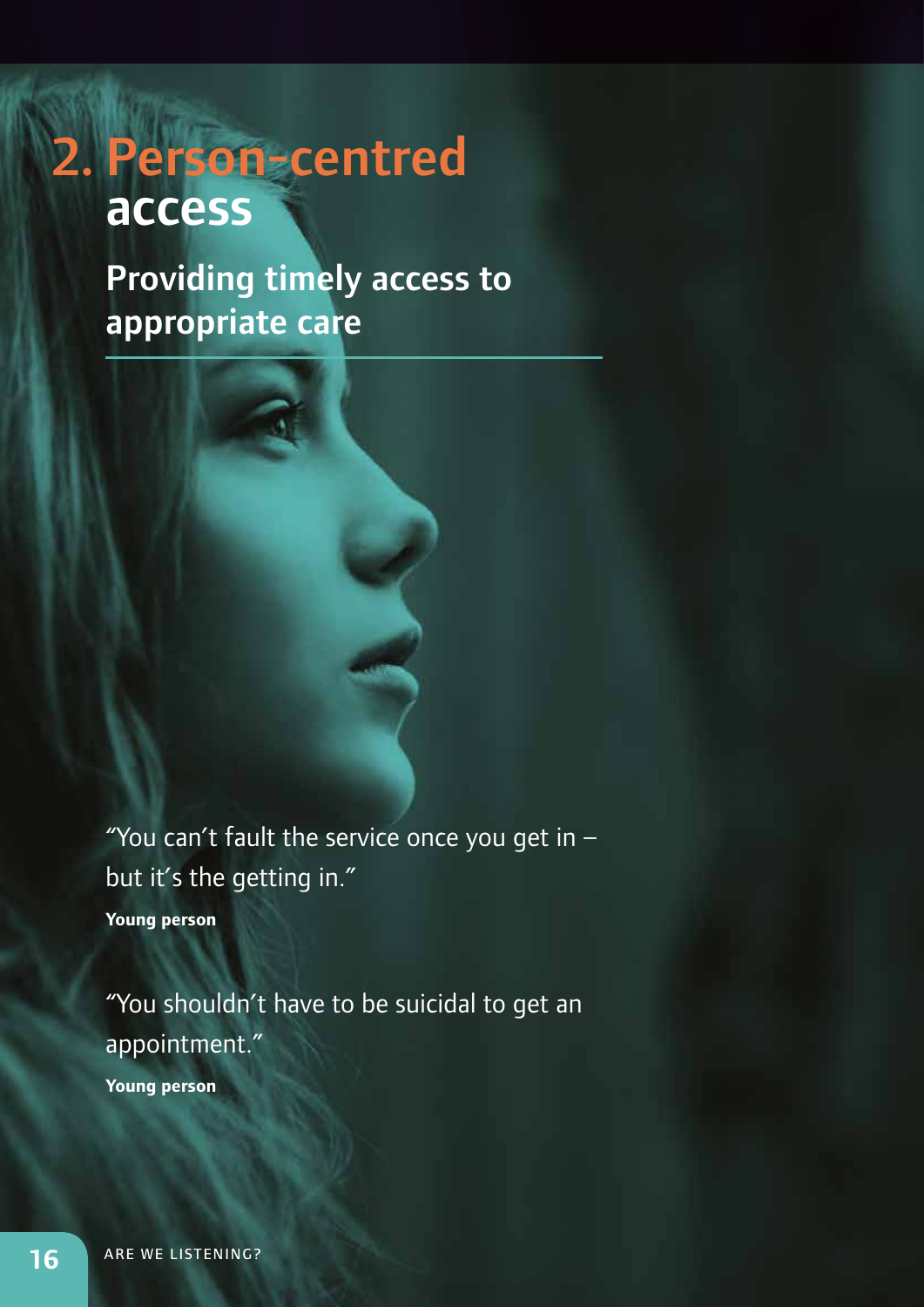## <span id="page-17-0"></span>2. Person-centred access

Providing timely access to appropriate care

"You can't fault the service once you get in  $$ but it's the getting in." **Young person**

"You shouldn't have to be suicidal to get an appointment." **Young person**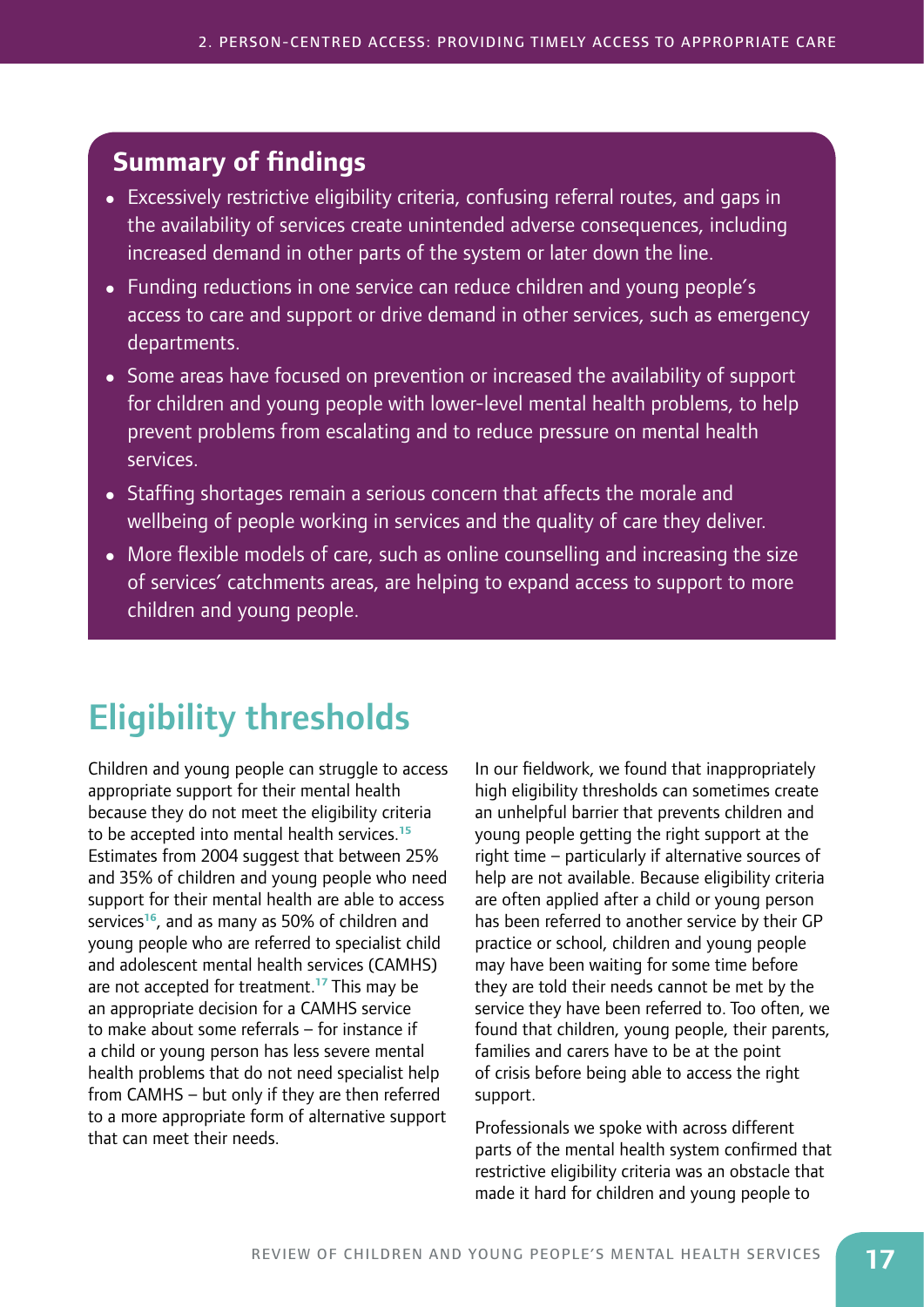#### <span id="page-18-0"></span>**Summary of findings**

- Excessively restrictive eligibility criteria, confusing referral routes, and gaps in the availability of services create unintended adverse consequences, including increased demand in other parts of the system or later down the line.
- Funding reductions in one service can reduce children and young people's access to care and support or drive demand in other services, such as emergency departments.
- Some areas have focused on prevention or increased the availability of support for children and young people with lower-level mental health problems, to help prevent problems from escalating and to reduce pressure on mental health services.
- Staffing shortages remain a serious concern that affects the morale and wellbeing of people working in services and the quality of care they deliver.
- More flexible models of care, such as online counselling and increasing the size of services' catchments areas, are helping to expand access to support to more children and young people.

## Eligibility thresholds

Children and young people can struggle to access appropriate support for their mental health because they do not meet the eligibility criteria to be accepted into mental health services.**[15](#page-54-0)** Estimates from 2004 suggest that between 25% and 35% of children and young people who need support for their mental health are able to access services**[16](#page-54-0)**, and as many as 50% of children and young people who are referred to specialist child and adolescent mental health services (CAMHS) are not accepted for treatment.**[17](#page-54-0)** This may be an appropriate decision for a CAMHS service to make about some referrals – for instance if a child or young person has less severe mental health problems that do not need specialist help from CAMHS – but only if they are then referred to a more appropriate form of alternative support that can meet their needs.

In our fieldwork, we found that inappropriately high eligibility thresholds can sometimes create an unhelpful barrier that prevents children and young people getting the right support at the right time – particularly if alternative sources of help are not available. Because eligibility criteria are often applied after a child or young person has been referred to another service by their GP practice or school, children and young people may have been waiting for some time before they are told their needs cannot be met by the service they have been referred to. Too often, we found that children, young people, their parents, families and carers have to be at the point of crisis before being able to access the right support.

Professionals we spoke with across different parts of the mental health system confirmed that restrictive eligibility criteria was an obstacle that made it hard for children and young people to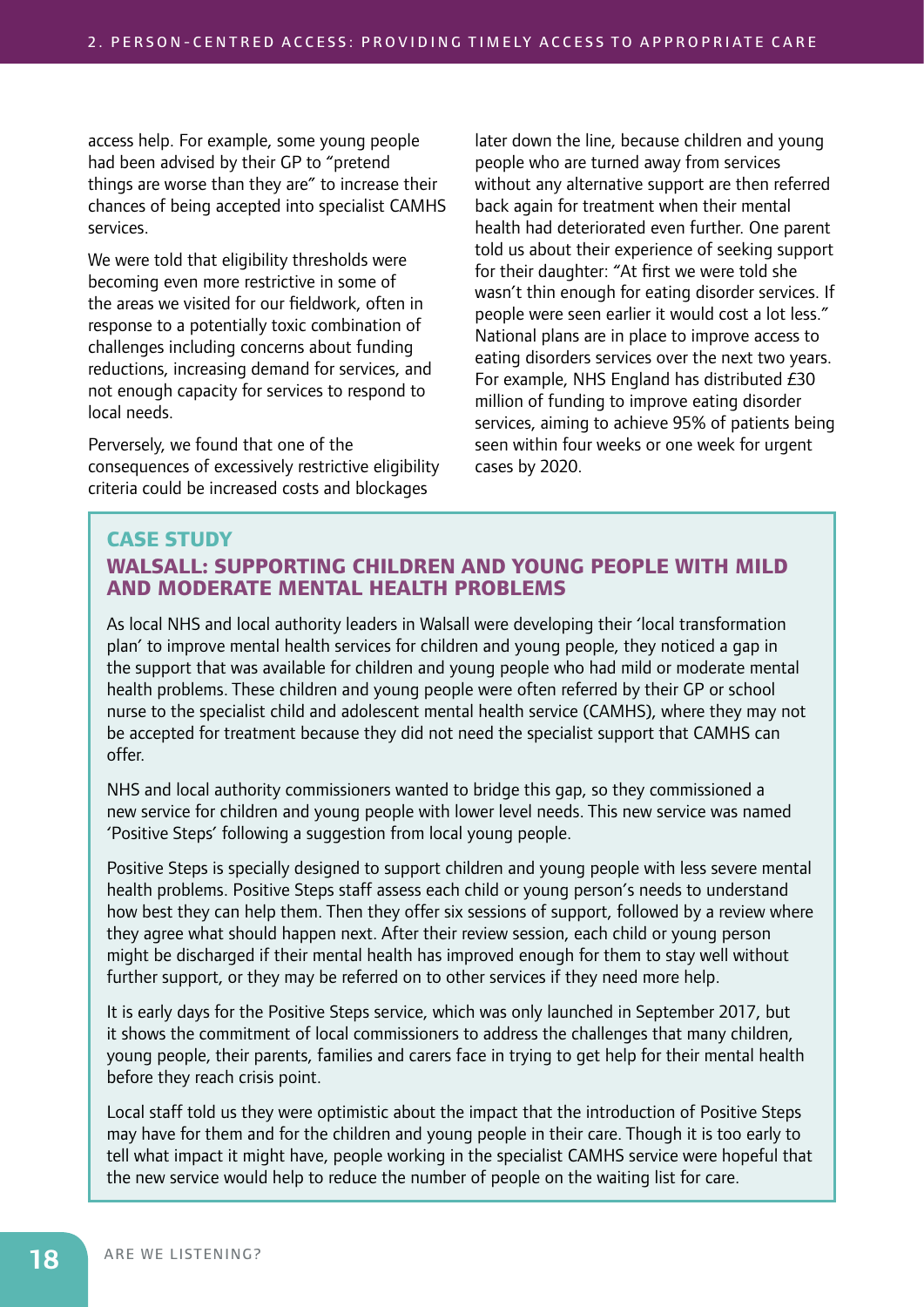<span id="page-19-0"></span>access help. For example, some young people had been advised by their GP to "pretend things are worse than they are" to increase their chances of being accepted into specialist CAMHS services.

We were told that eligibility thresholds were becoming even more restrictive in some of the areas we visited for our fieldwork, often in response to a potentially toxic combination of challenges including concerns about funding reductions, increasing demand for services, and not enough capacity for services to respond to local needs.

Perversely, we found that one of the consequences of excessively restrictive eligibility criteria could be increased costs and blockages

later down the line, because children and young people who are turned away from services without any alternative support are then referred back again for treatment when their mental health had deteriorated even further. One parent told us about their experience of seeking support for their daughter: "At first we were told she wasn't thin enough for eating disorder services. If people were seen earlier it would cost a lot less." National plans are in place to improve access to eating disorders services over the next two years. For example, NHS England has distributed £30 million of funding to improve eating disorder services, aiming to achieve 95% of patients being seen within four weeks or one week for urgent cases by 2020.

#### **CASE STUDY**

#### **WALSALL: SUPPORTING CHILDREN AND YOUNG PEOPLE WITH MILD AND MODERATE MENTAL HEALTH PROBLEMS**

As local NHS and local authority leaders in Walsall were developing their 'local transformation plan' to improve mental health services for children and young people, they noticed a gap in the support that was available for children and young people who had mild or moderate mental health problems. These children and young people were often referred by their GP or school nurse to the specialist child and adolescent mental health service (CAMHS), where they may not be accepted for treatment because they did not need the specialist support that CAMHS can offer.

NHS and local authority commissioners wanted to bridge this gap, so they commissioned a new service for children and young people with lower level needs. This new service was named 'Positive Steps' following a suggestion from local young people.

Positive Steps is specially designed to support children and young people with less severe mental health problems. Positive Steps staff assess each child or young person's needs to understand how best they can help them. Then they offer six sessions of support, followed by a review where they agree what should happen next. After their review session, each child or young person might be discharged if their mental health has improved enough for them to stay well without further support, or they may be referred on to other services if they need more help.

It is early days for the Positive Steps service, which was only launched in September 2017, but it shows the commitment of local commissioners to address the challenges that many children, young people, their parents, families and carers face in trying to get help for their mental health before they reach crisis point.

Local staff told us they were optimistic about the impact that the introduction of Positive Steps may have for them and for the children and young people in their care. Though it is too early to tell what impact it might have, people working in the specialist CAMHS service were hopeful that the new service would help to reduce the number of people on the waiting list for care.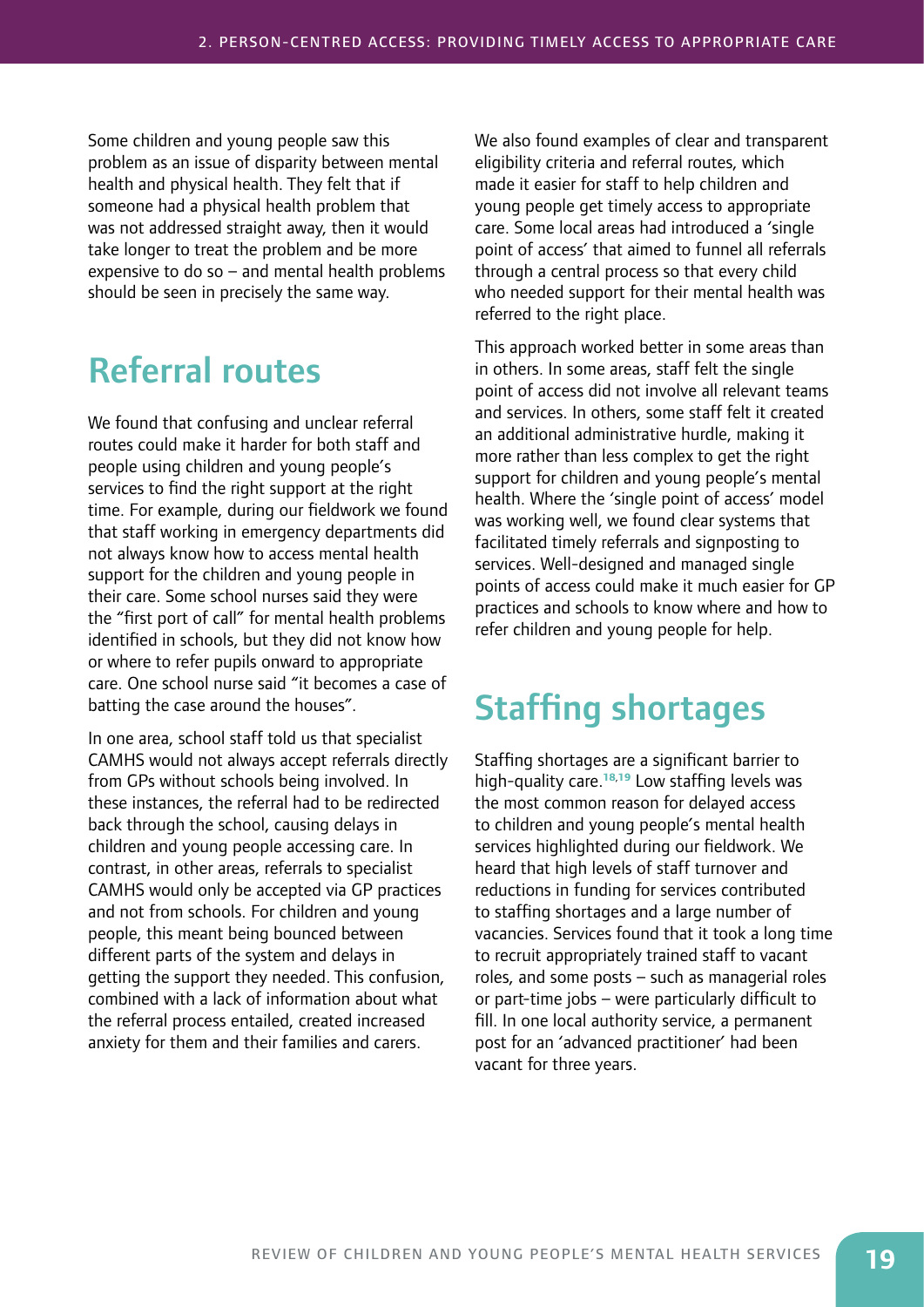<span id="page-20-0"></span>Some children and young people saw this problem as an issue of disparity between mental health and physical health. They felt that if someone had a physical health problem that was not addressed straight away, then it would take longer to treat the problem and be more expensive to do so – and mental health problems should be seen in precisely the same way.

## Referral routes

We found that confusing and unclear referral routes could make it harder for both staff and people using children and young people's services to find the right support at the right time. For example, during our fieldwork we found that staff working in emergency departments did not always know how to access mental health support for the children and young people in their care. Some school nurses said they were the "first port of call" for mental health problems identified in schools, but they did not know how or where to refer pupils onward to appropriate care. One school nurse said "it becomes a case of batting the case around the houses".

In one area, school staff told us that specialist CAMHS would not always accept referrals directly from GPs without schools being involved. In these instances, the referral had to be redirected back through the school, causing delays in children and young people accessing care. In contrast, in other areas, referrals to specialist CAMHS would only be accepted via GP practices and not from schools. For children and young people, this meant being bounced between different parts of the system and delays in getting the support they needed. This confusion, combined with a lack of information about what the referral process entailed, created increased anxiety for them and their families and carers.

We also found examples of clear and transparent eligibility criteria and referral routes, which made it easier for staff to help children and young people get timely access to appropriate care. Some local areas had introduced a 'single point of access' that aimed to funnel all referrals through a central process so that every child who needed support for their mental health was referred to the right place.

This approach worked better in some areas than in others. In some areas, staff felt the single point of access did not involve all relevant teams and services. In others, some staff felt it created an additional administrative hurdle, making it more rather than less complex to get the right support for children and young people's mental health. Where the 'single point of access' model was working well, we found clear systems that facilitated timely referrals and signposting to services. Well-designed and managed single points of access could make it much easier for GP practices and schools to know where and how to refer children and young people for help.

## Staffing shortages

Staffing shortages are a significant barrier to high-quality care.**[18](#page-54-0)**,**[19](#page-54-0)** Low staffing levels was the most common reason for delayed access to children and young people's mental health services highlighted during our fieldwork. We heard that high levels of staff turnover and reductions in funding for services contributed to staffing shortages and a large number of vacancies. Services found that it took a long time to recruit appropriately trained staff to vacant roles, and some posts – such as managerial roles or part-time jobs – were particularly difficult to fill. In one local authority service, a permanent post for an 'advanced practitioner' had been vacant for three years.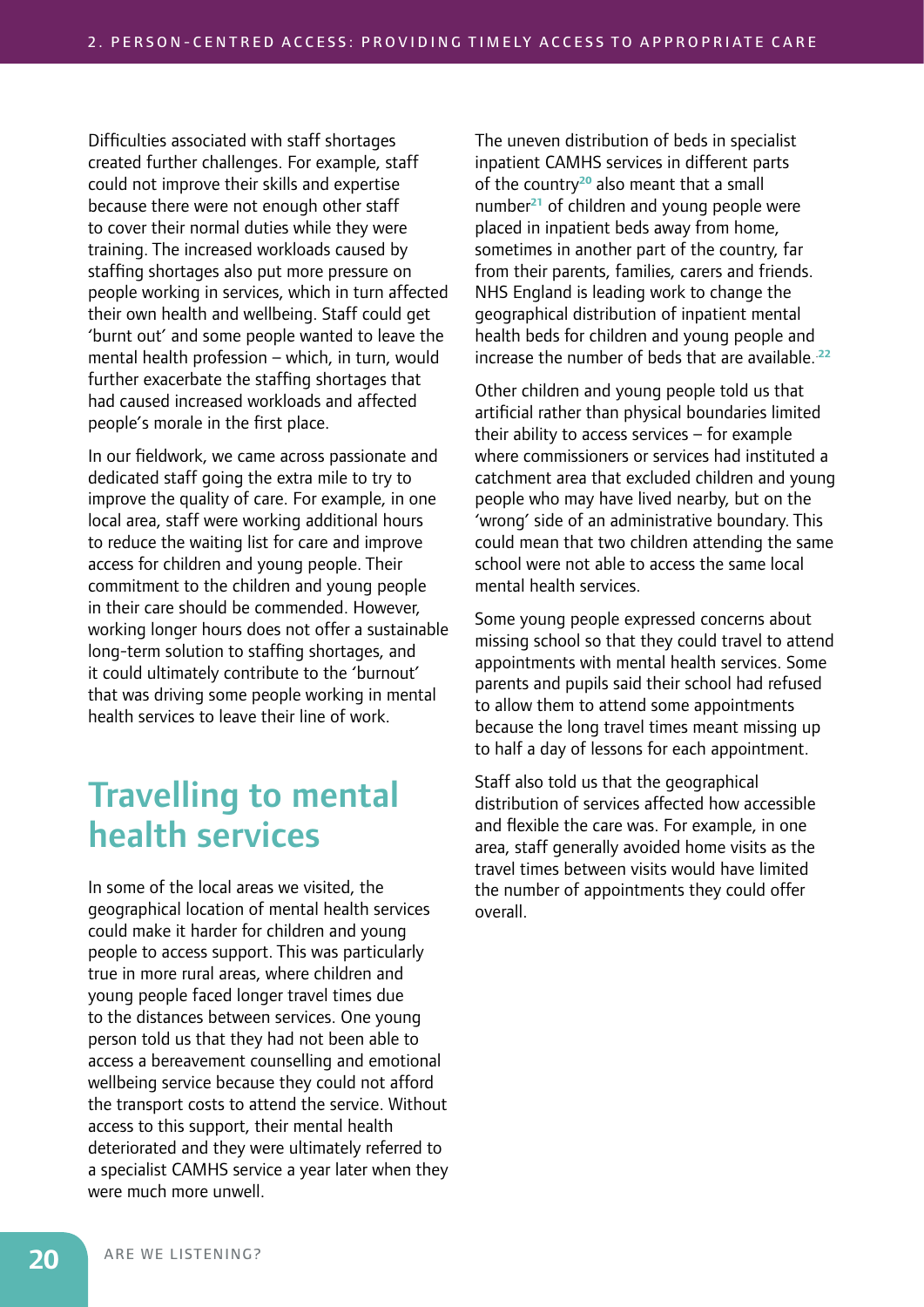Difficulties associated with staff shortages created further challenges. For example, staff could not improve their skills and expertise because there were not enough other staff to cover their normal duties while they were training. The increased workloads caused by staffing shortages also put more pressure on people working in services, which in turn affected their own health and wellbeing. Staff could get 'burnt out' and some people wanted to leave the mental health profession – which, in turn, would further exacerbate the staffing shortages that had caused increased workloads and affected people's morale in the first place.

In our fieldwork, we came across passionate and dedicated staff going the extra mile to try to improve the quality of care. For example, in one local area, staff were working additional hours to reduce the waiting list for care and improve access for children and young people. Their commitment to the children and young people in their care should be commended. However, working longer hours does not offer a sustainable long-term solution to staffing shortages, and it could ultimately contribute to the 'burnout' that was driving some people working in mental health services to leave their line of work.

### Travelling to mental health services

In some of the local areas we visited, the geographical location of mental health services could make it harder for children and young people to access support. This was particularly true in more rural areas, where children and young people faced longer travel times due to the distances between services. One young person told us that they had not been able to access a bereavement counselling and emotional wellbeing service because they could not afford the transport costs to attend the service. Without access to this support, their mental health deteriorated and they were ultimately referred to a specialist CAMHS service a year later when they were much more unwell.

The uneven distribution of beds in specialist inpatient CAMHS services in different parts of the country**[20](#page-54-0)** also meant that a small number**[21](#page-54-0)** of children and young people were placed in inpatient beds away from home, sometimes in another part of the country, far from their parents, families, carers and friends. NHS England is leading work to change the geographical distribution of inpatient mental health beds for children and young people and increase the number of beds that are available..**[22](#page-54-0)**

Other children and young people told us that artificial rather than physical boundaries limited their ability to access services – for example where commissioners or services had instituted a catchment area that excluded children and young people who may have lived nearby, but on the 'wrong' side of an administrative boundary. This could mean that two children attending the same school were not able to access the same local mental health services.

Some young people expressed concerns about missing school so that they could travel to attend appointments with mental health services. Some parents and pupils said their school had refused to allow them to attend some appointments because the long travel times meant missing up to half a day of lessons for each appointment.

Staff also told us that the geographical distribution of services affected how accessible and flexible the care was. For example, in one area, staff generally avoided home visits as the travel times between visits would have limited the number of appointments they could offer overall.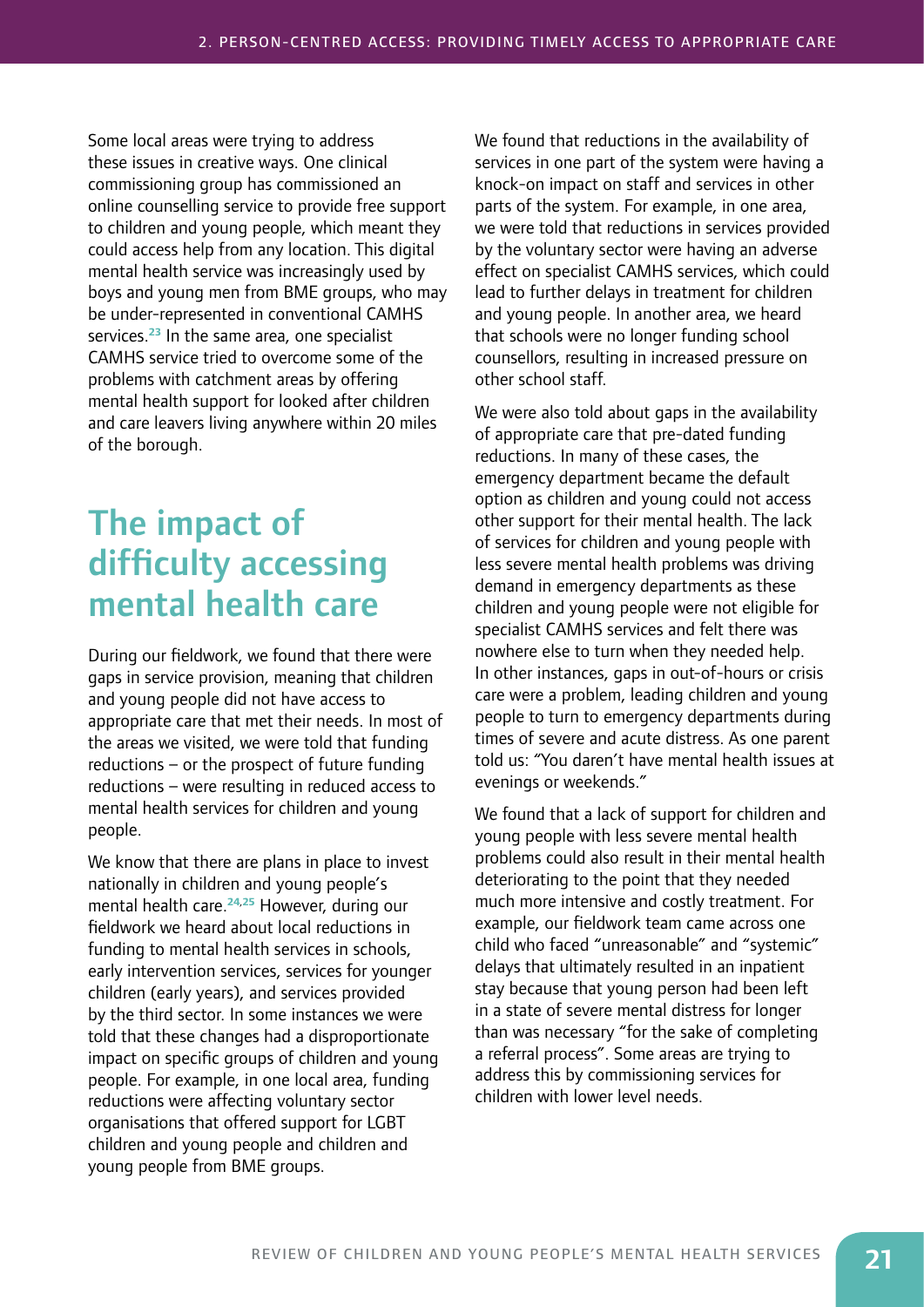Some local areas were trying to address these issues in creative ways. One clinical commissioning group has commissioned an online counselling service to provide free support to children and young people, which meant they could access help from any location. This digital mental health service was increasingly used by boys and young men from BME groups, who may be under-represented in conventional CAMHS services.**[23](#page-54-0)** In the same area, one specialist CAMHS service tried to overcome some of the problems with catchment areas by offering mental health support for looked after children and care leavers living anywhere within 20 miles of the borough.

## The impact of difficulty accessing mental health care

During our fieldwork, we found that there were gaps in service provision, meaning that children and young people did not have access to appropriate care that met their needs. In most of the areas we visited, we were told that funding reductions – or the prospect of future funding reductions – were resulting in reduced access to mental health services for children and young people.

We know that there are plans in place to invest nationally in children and young people's mental health care.**[24](#page-54-0)**,**[25](#page-55-0)** However, during our fieldwork we heard about local reductions in funding to mental health services in schools, early intervention services, services for younger children (early years), and services provided by the third sector. In some instances we were told that these changes had a disproportionate impact on specific groups of children and young people. For example, in one local area, funding reductions were affecting voluntary sector organisations that offered support for LGBT children and young people and children and young people from BME groups.

We found that reductions in the availability of services in one part of the system were having a knock-on impact on staff and services in other parts of the system. For example, in one area, we were told that reductions in services provided by the voluntary sector were having an adverse effect on specialist CAMHS services, which could lead to further delays in treatment for children and young people. In another area, we heard that schools were no longer funding school counsellors, resulting in increased pressure on other school staff.

We were also told about gaps in the availability of appropriate care that pre-dated funding reductions. In many of these cases, the emergency department became the default option as children and young could not access other support for their mental health. The lack of services for children and young people with less severe mental health problems was driving demand in emergency departments as these children and young people were not eligible for specialist CAMHS services and felt there was nowhere else to turn when they needed help. In other instances, gaps in out-of-hours or crisis care were a problem, leading children and young people to turn to emergency departments during times of severe and acute distress. As one parent told us: "You daren't have mental health issues at evenings or weekends."

We found that a lack of support for children and young people with less severe mental health problems could also result in their mental health deteriorating to the point that they needed much more intensive and costly treatment. For example, our fieldwork team came across one child who faced "unreasonable" and "systemic" delays that ultimately resulted in an inpatient stay because that young person had been left in a state of severe mental distress for longer than was necessary "for the sake of completing a referral process". Some areas are trying to address this by commissioning services for children with lower level needs.

**21**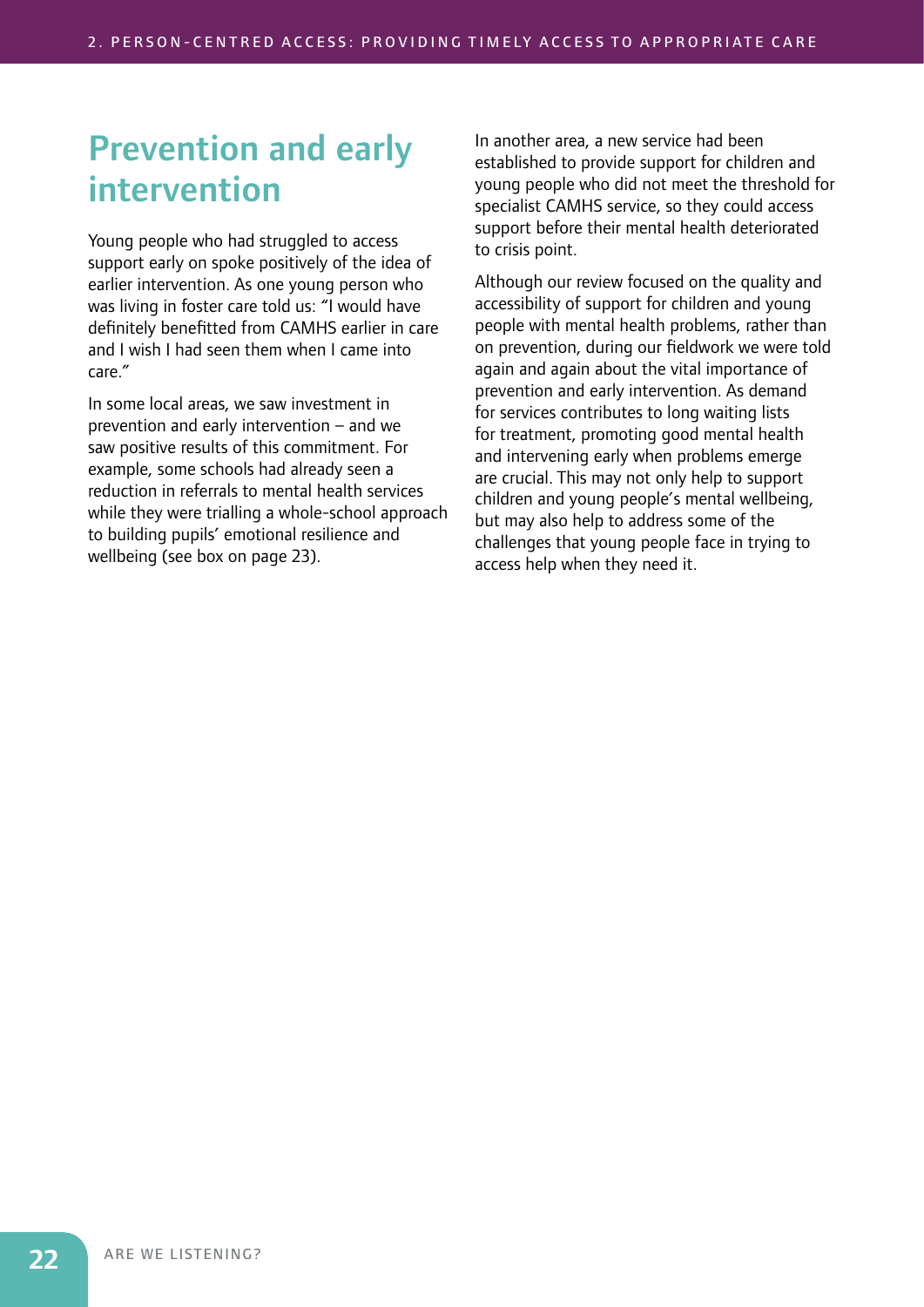### Prevention and early intervention

Young people who had struggled to access support early on spoke positively of the idea of earlier intervention. As one young person who was living in foster care told us: "I would have definitely benefitted from CAMHS earlier in care and I wish I had seen them when I came into care."

In some local areas, we saw investment in prevention and early intervention – and we saw positive results of this commitment. For example, some schools had already seen a reduction in referrals to mental health services while they were trialling a whole-school approach to building pupils' emotional resilience and wellbeing (see box on page 23).

In another area, a new service had been established to provide support for children and young people who did not meet the threshold for specialist CAMHS service, so they could access support before their mental health deteriorated to crisis point.

Although our review focused on the quality and accessibility of support for children and young people with mental health problems, rather than on prevention, during our fieldwork we were told again and again about the vital importance of prevention and early intervention. As demand for services contributes to long waiting lists for treatment, promoting good mental health and intervening early when problems emerge are crucial. This may not only help to support children and young people's mental wellbeing, but may also help to address some of the challenges that young people face in trying to access help when they need it.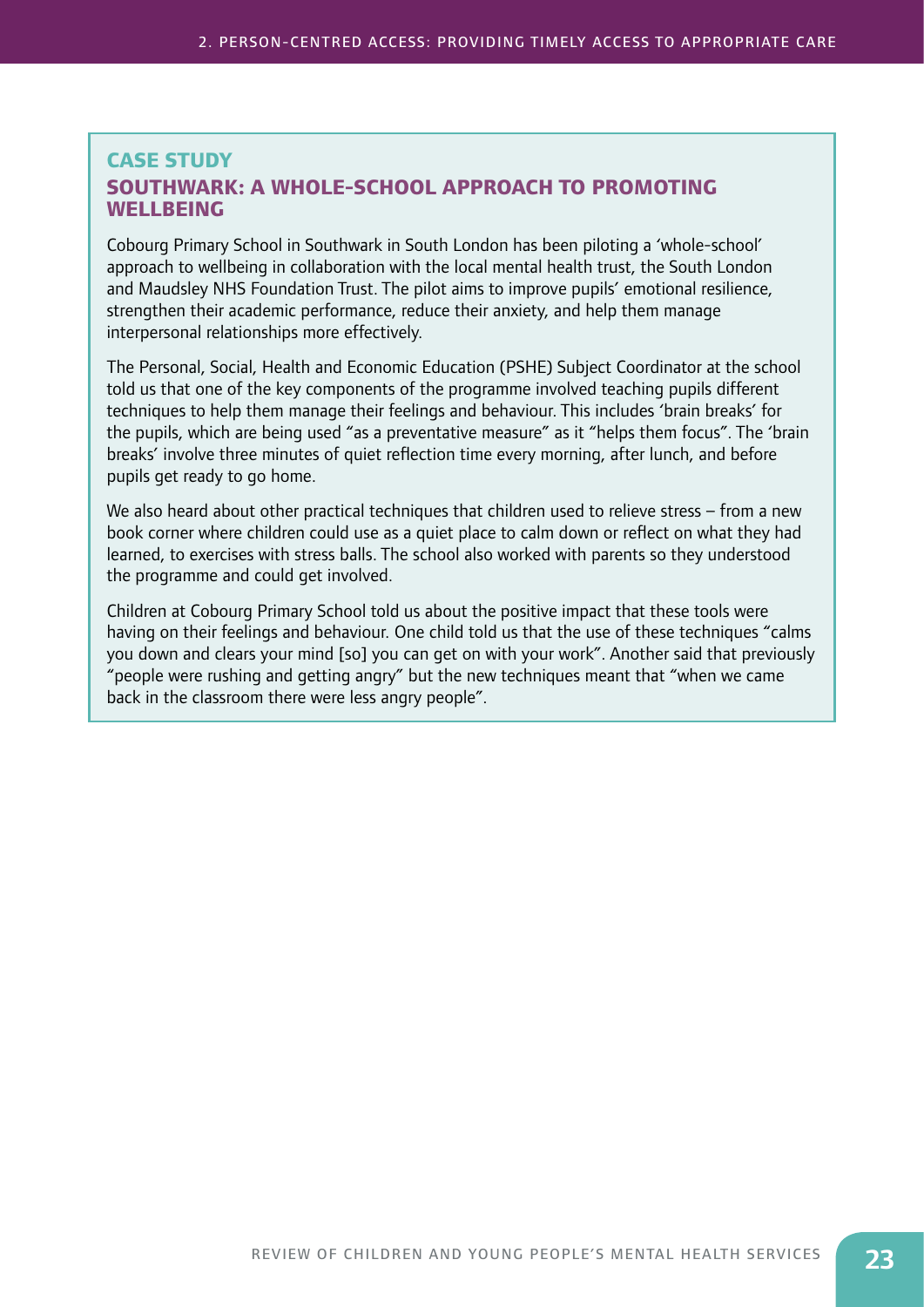#### **CASE STUDY SOUTHWARK: A WHOLE-SCHOOL APPROACH TO PROMOTING WELLBEING**

Cobourg Primary School in Southwark in South London has been piloting a 'whole-school' approach to wellbeing in collaboration with the local mental health trust, the South London and Maudsley NHS Foundation Trust. The pilot aims to improve pupils' emotional resilience, strengthen their academic performance, reduce their anxiety, and help them manage interpersonal relationships more effectively.

The Personal, Social, Health and Economic Education (PSHE) Subject Coordinator at the school told us that one of the key components of the programme involved teaching pupils different techniques to help them manage their feelings and behaviour. This includes 'brain breaks' for the pupils, which are being used "as a preventative measure" as it "helps them focus". The 'brain breaks' involve three minutes of quiet reflection time every morning, after lunch, and before pupils get ready to go home.

We also heard about other practical techniques that children used to relieve stress – from a new book corner where children could use as a quiet place to calm down or reflect on what they had learned, to exercises with stress balls. The school also worked with parents so they understood the programme and could get involved.

Children at Cobourg Primary School told us about the positive impact that these tools were having on their feelings and behaviour. One child told us that the use of these techniques "calms you down and clears your mind [so] you can get on with your work". Another said that previously "people were rushing and getting angry" but the new techniques meant that "when we came back in the classroom there were less angry people".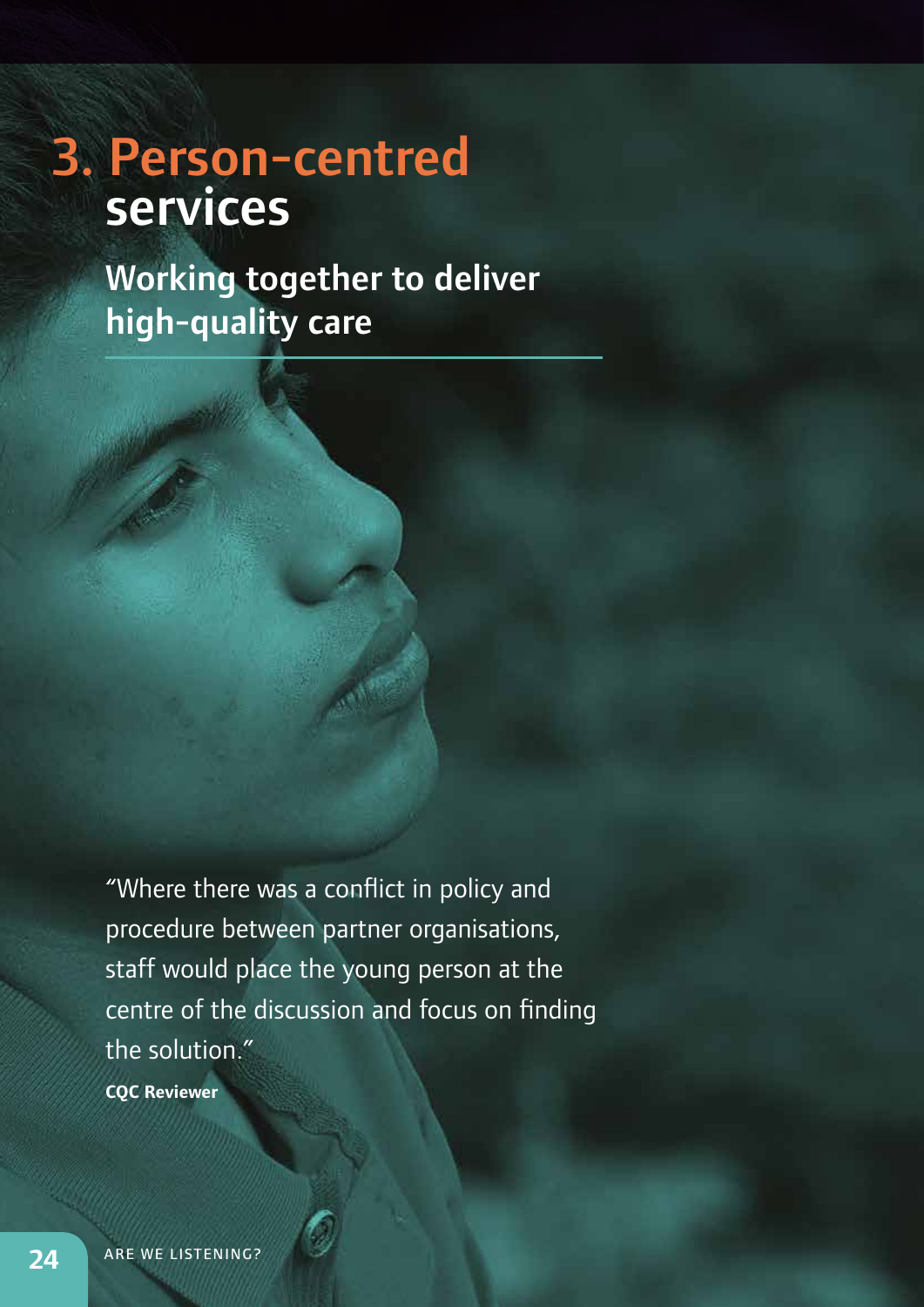## <span id="page-25-0"></span>3. Person-centred services

Working together to deliver high-quality care

"Where there was a conflict in policy and procedure between partner organisations, staff would place the young person at the centre of the discussion and focus on finding the solution." **CQC Reviewer**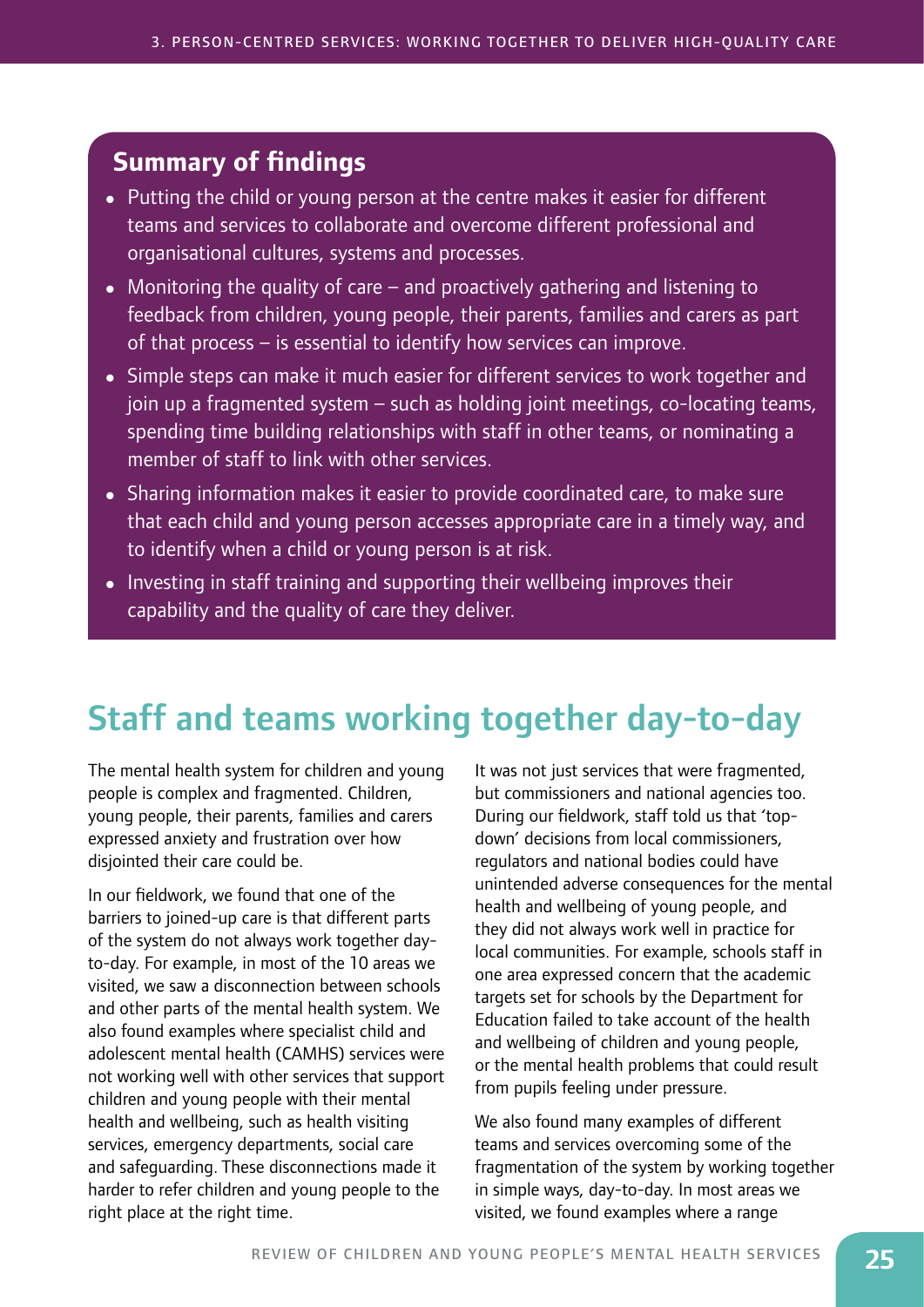#### **Summary of findings**

- Putting the child or young person at the centre makes it easier for different teams and services to collaborate and overcome different professional and organisational cultures, systems and processes.
- Monitoring the quality of care  $-$  and proactively gathering and listening to feedback from children, young people, their parents, families and carers as part of that process – is essential to identify how services can improve.
- Simple steps can make it much easier for different services to work together and join up a fragmented system – such as holding joint meetings, co-locating teams, spending time building relationships with staff in other teams, or nominating a member of staff to link with other services.
- Sharing information makes it easier to provide coordinated care, to make sure that each child and young person accesses appropriate care in a timely way, and to identify when a child or young person is at risk.
- Investing in staff training and supporting their wellbeing improves their capability and the quality of care they deliver.

## Staff and teams working together day-to-day

The mental health system for children and young people is complex and fragmented. Children, young people, their parents, families and carers expressed anxiety and frustration over how disjointed their care could be.

In our fieldwork, we found that one of the barriers to joined-up care is that different parts of the system do not always work together dayto-day. For example, in most of the 10 areas we visited, we saw a disconnection between schools and other parts of the mental health system. We also found examples where specialist child and adolescent mental health (CAMHS) services were not working well with other services that support children and young people with their mental health and wellbeing, such as health visiting services, emergency departments, social care and safeguarding. These disconnections made it harder to refer children and young people to the right place at the right time.

It was not just services that were fragmented, but commissioners and national agencies too. During our fieldwork, staff told us that 'topdown' decisions from local commissioners, regulators and national bodies could have unintended adverse consequences for the mental health and wellbeing of young people, and they did not always work well in practice for local communities. For example, schools staff in one area expressed concern that the academic targets set for schools by the Department for Education failed to take account of the health and wellbeing of children and young people, or the mental health problems that could result from pupils feeling under pressure.

We also found many examples of different teams and services overcoming some of the fragmentation of the system by working together in simple ways, day-to-day. In most areas we visited, we found examples where a range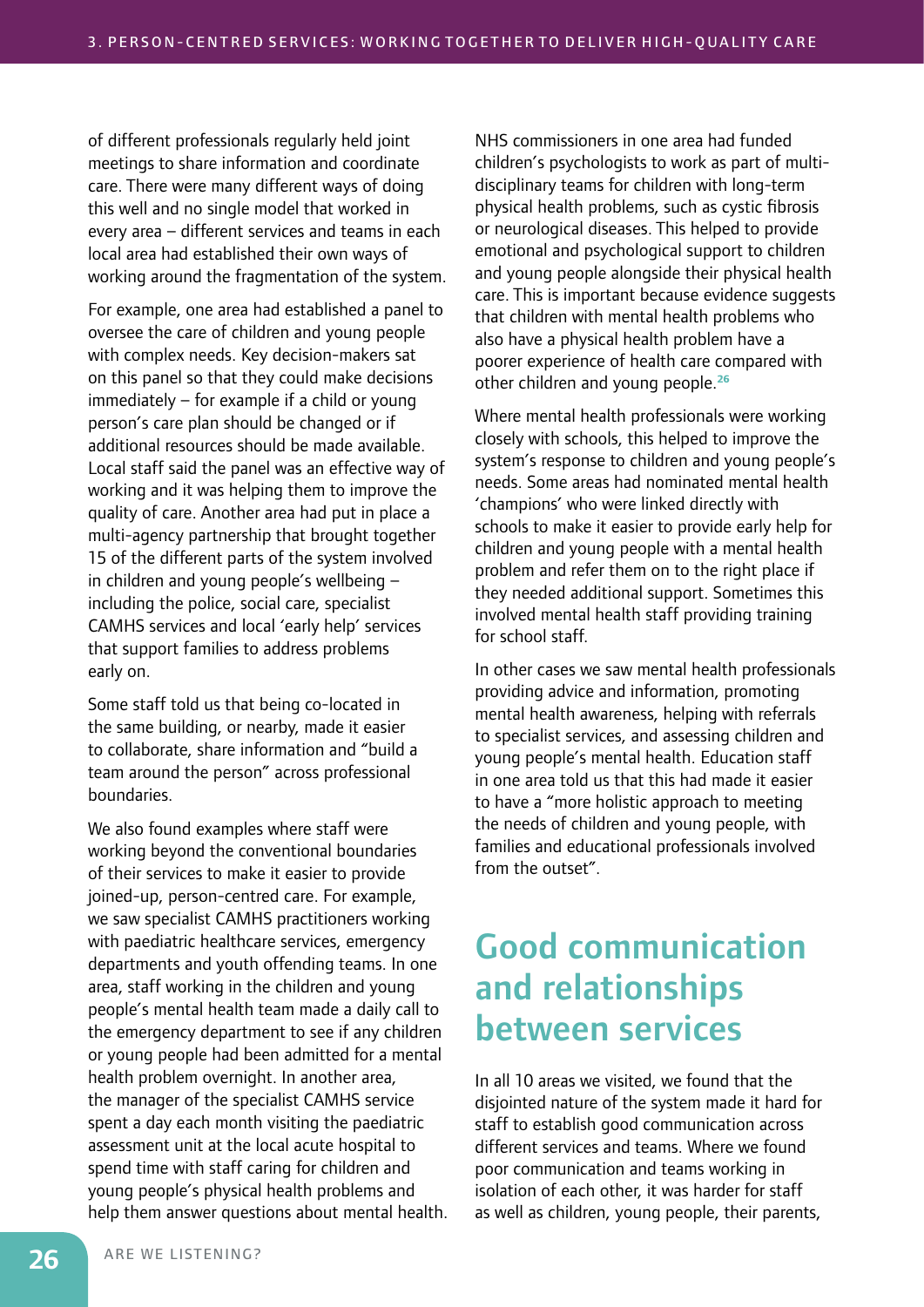of different professionals regularly held joint meetings to share information and coordinate care. There were many different ways of doing this well and no single model that worked in every area – different services and teams in each local area had established their own ways of working around the fragmentation of the system.

For example, one area had established a panel to oversee the care of children and young people with complex needs. Key decision-makers sat on this panel so that they could make decisions immediately – for example if a child or young person's care plan should be changed or if additional resources should be made available. Local staff said the panel was an effective way of working and it was helping them to improve the quality of care. Another area had put in place a multi-agency partnership that brought together 15 of the different parts of the system involved in children and young people's wellbeing – including the police, social care, specialist CAMHS services and local 'early help' services that support families to address problems early on.

Some staff told us that being co-located in the same building, or nearby, made it easier to collaborate, share information and "build a team around the person" across professional boundaries.

We also found examples where staff were working beyond the conventional boundaries of their services to make it easier to provide joined-up, person-centred care. For example, we saw specialist CAMHS practitioners working with paediatric healthcare services, emergency departments and youth offending teams. In one area, staff working in the children and young people's mental health team made a daily call to the emergency department to see if any children or young people had been admitted for a mental health problem overnight. In another area, the manager of the specialist CAMHS service spent a day each month visiting the paediatric assessment unit at the local acute hospital to spend time with staff caring for children and young people's physical health problems and help them answer questions about mental health. NHS commissioners in one area had funded children's psychologists to work as part of multidisciplinary teams for children with long-term physical health problems, such as cystic fibrosis or neurological diseases. This helped to provide emotional and psychological support to children and young people alongside their physical health care. This is important because evidence suggests that children with mental health problems who also have a physical health problem have a poorer experience of health care compared with other children and young people.**[26](#page-55-0)**

Where mental health professionals were working closely with schools, this helped to improve the system's response to children and young people's needs. Some areas had nominated mental health 'champions' who were linked directly with schools to make it easier to provide early help for children and young people with a mental health problem and refer them on to the right place if they needed additional support. Sometimes this involved mental health staff providing training for school staff.

In other cases we saw mental health professionals providing advice and information, promoting mental health awareness, helping with referrals to specialist services, and assessing children and young people's mental health. Education staff in one area told us that this had made it easier to have a "more holistic approach to meeting the needs of children and young people, with families and educational professionals involved from the outset".

## Good communication and relationships between services

In all 10 areas we visited, we found that the disjointed nature of the system made it hard for staff to establish good communication across different services and teams. Where we found poor communication and teams working in isolation of each other, it was harder for staff as well as children, young people, their parents,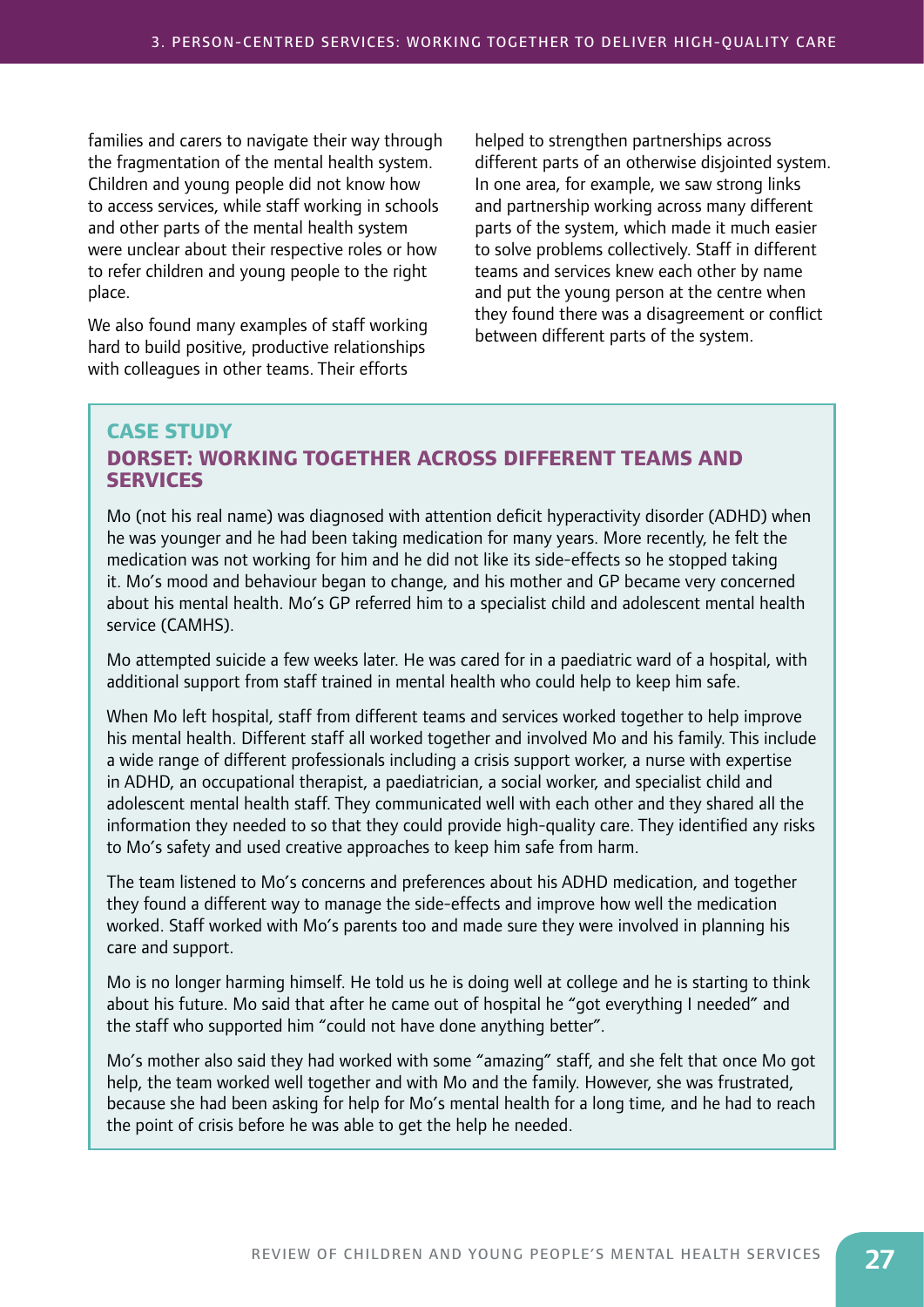families and carers to navigate their way through the fragmentation of the mental health system. Children and young people did not know how to access services, while staff working in schools and other parts of the mental health system were unclear about their respective roles or how to refer children and young people to the right place.

We also found many examples of staff working hard to build positive, productive relationships with colleagues in other teams. Their efforts

helped to strengthen partnerships across different parts of an otherwise disjointed system. In one area, for example, we saw strong links and partnership working across many different parts of the system, which made it much easier to solve problems collectively. Staff in different teams and services knew each other by name and put the young person at the centre when they found there was a disagreement or conflict between different parts of the system.

#### **CASE STUDY DORSET: WORKING TOGETHER ACROSS DIFFERENT TEAMS AND SERVICES**

Mo (not his real name) was diagnosed with attention deficit hyperactivity disorder (ADHD) when he was younger and he had been taking medication for many years. More recently, he felt the medication was not working for him and he did not like its side-effects so he stopped taking it. Mo's mood and behaviour began to change, and his mother and GP became very concerned about his mental health. Mo's GP referred him to a specialist child and adolescent mental health service (CAMHS).

Mo attempted suicide a few weeks later. He was cared for in a paediatric ward of a hospital, with additional support from staff trained in mental health who could help to keep him safe.

When Mo left hospital, staff from different teams and services worked together to help improve his mental health. Different staff all worked together and involved Mo and his family. This include a wide range of different professionals including a crisis support worker, a nurse with expertise in ADHD, an occupational therapist, a paediatrician, a social worker, and specialist child and adolescent mental health staff. They communicated well with each other and they shared all the information they needed to so that they could provide high-quality care. They identified any risks to Mo's safety and used creative approaches to keep him safe from harm.

The team listened to Mo's concerns and preferences about his ADHD medication, and together they found a different way to manage the side-effects and improve how well the medication worked. Staff worked with Mo's parents too and made sure they were involved in planning his care and support.

Mo is no longer harming himself. He told us he is doing well at college and he is starting to think about his future. Mo said that after he came out of hospital he "got everything I needed" and the staff who supported him "could not have done anything better".

Mo's mother also said they had worked with some "amazing" staff, and she felt that once Mo got help, the team worked well together and with Mo and the family. However, she was frustrated, because she had been asking for help for Mo's mental health for a long time, and he had to reach the point of crisis before he was able to get the help he needed.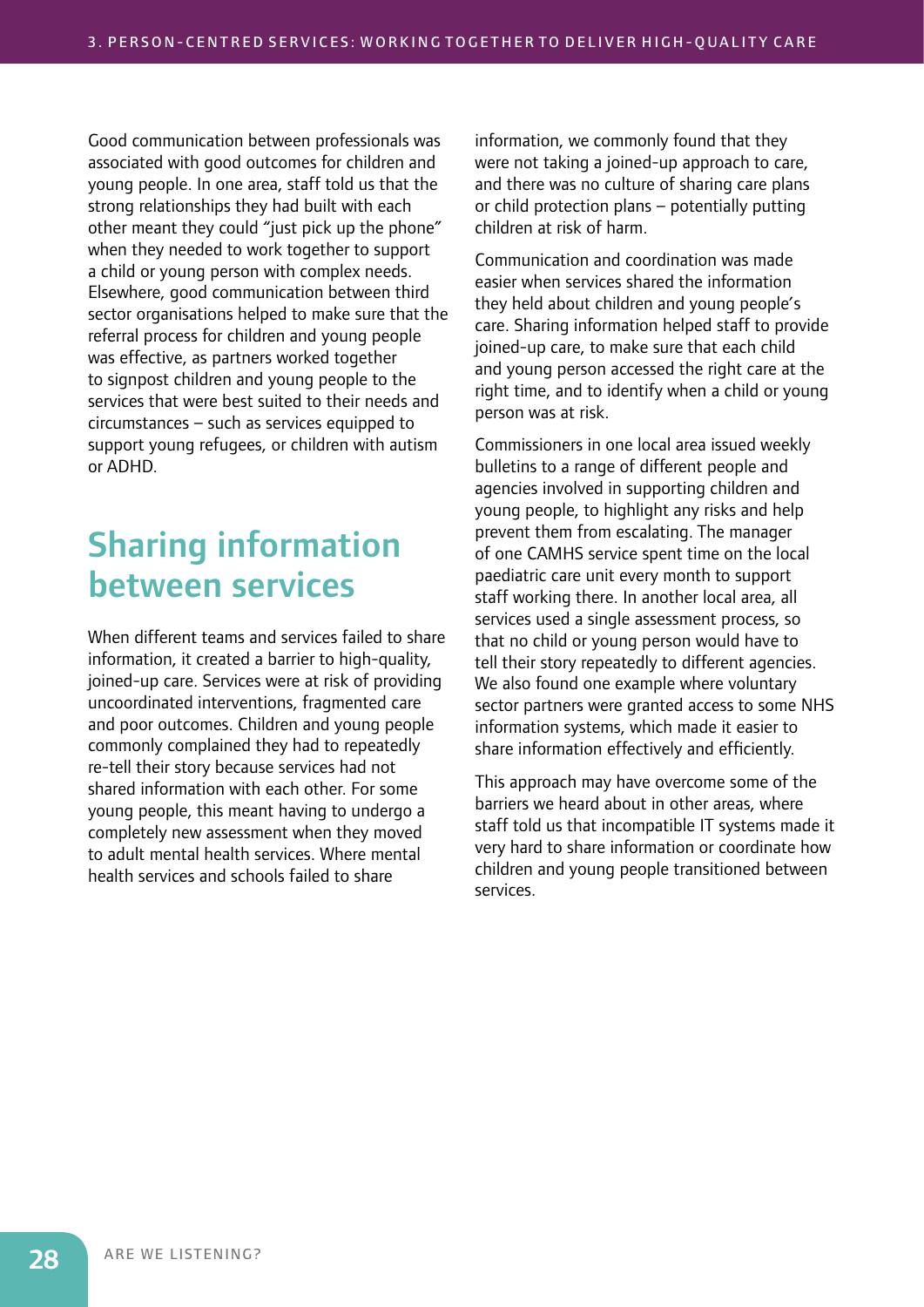Good communication between professionals was associated with good outcomes for children and young people. In one area, staff told us that the strong relationships they had built with each other meant they could "just pick up the phone" when they needed to work together to support a child or young person with complex needs. Elsewhere, good communication between third sector organisations helped to make sure that the referral process for children and young people was effective, as partners worked together to signpost children and young people to the services that were best suited to their needs and circumstances – such as services equipped to support young refugees, or children with autism or ADHD.

### Sharing information between services

When different teams and services failed to share information, it created a barrier to high-quality, joined-up care. Services were at risk of providing uncoordinated interventions, fragmented care and poor outcomes. Children and young people commonly complained they had to repeatedly re-tell their story because services had not shared information with each other. For some young people, this meant having to undergo a completely new assessment when they moved to adult mental health services. Where mental health services and schools failed to share

information, we commonly found that they were not taking a joined-up approach to care, and there was no culture of sharing care plans or child protection plans – potentially putting children at risk of harm.

Communication and coordination was made easier when services shared the information they held about children and young people's care. Sharing information helped staff to provide joined-up care, to make sure that each child and young person accessed the right care at the right time, and to identify when a child or young person was at risk.

Commissioners in one local area issued weekly bulletins to a range of different people and agencies involved in supporting children and young people, to highlight any risks and help prevent them from escalating. The manager of one CAMHS service spent time on the local paediatric care unit every month to support staff working there. In another local area, all services used a single assessment process, so that no child or young person would have to tell their story repeatedly to different agencies. We also found one example where voluntary sector partners were granted access to some NHS information systems, which made it easier to share information effectively and efficiently.

This approach may have overcome some of the barriers we heard about in other areas, where staff told us that incompatible IT systems made it very hard to share information or coordinate how children and young people transitioned between services.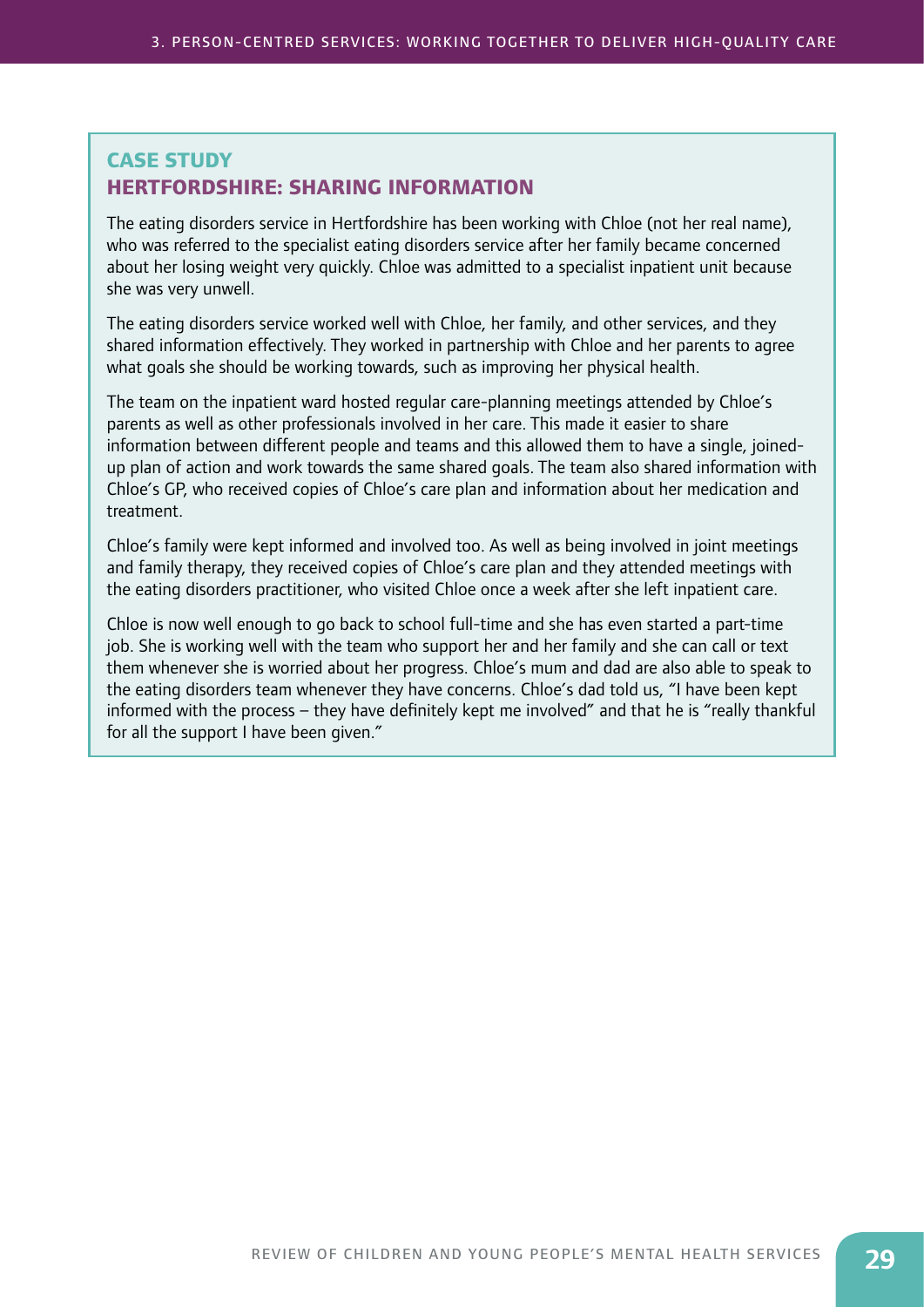#### **CASE STUDY HERTFORDSHIRE: SHARING INFORMATION**

The eating disorders service in Hertfordshire has been working with Chloe (not her real name), who was referred to the specialist eating disorders service after her family became concerned about her losing weight very quickly. Chloe was admitted to a specialist inpatient unit because she was very unwell.

The eating disorders service worked well with Chloe, her family, and other services, and they shared information effectively. They worked in partnership with Chloe and her parents to agree what goals she should be working towards, such as improving her physical health.

The team on the inpatient ward hosted regular care-planning meetings attended by Chloe's parents as well as other professionals involved in her care. This made it easier to share information between different people and teams and this allowed them to have a single, joinedup plan of action and work towards the same shared goals. The team also shared information with Chloe's GP, who received copies of Chloe's care plan and information about her medication and treatment.

Chloe's family were kept informed and involved too. As well as being involved in joint meetings and family therapy, they received copies of Chloe's care plan and they attended meetings with the eating disorders practitioner, who visited Chloe once a week after she left inpatient care.

Chloe is now well enough to go back to school full-time and she has even started a part-time job. She is working well with the team who support her and her family and she can call or text them whenever she is worried about her progress. Chloe's mum and dad are also able to speak to the eating disorders team whenever they have concerns. Chloe's dad told us, "I have been kept informed with the process - they have definitely kept me involved" and that he is "really thankful for all the support I have been given."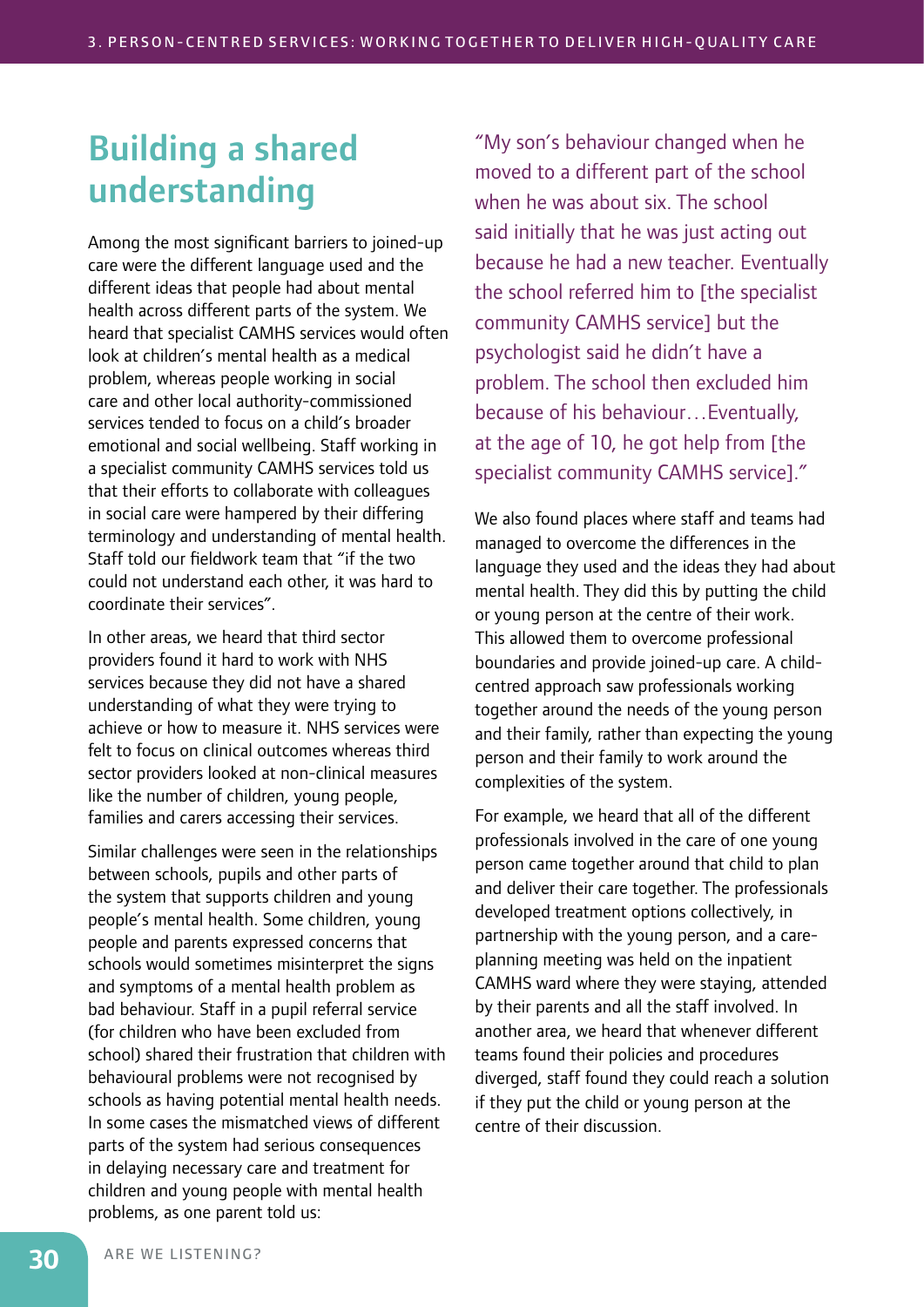## Building a shared understanding

Among the most significant barriers to joined-up care were the different language used and the different ideas that people had about mental health across different parts of the system. We heard that specialist CAMHS services would often look at children's mental health as a medical problem, whereas people working in social care and other local authority-commissioned services tended to focus on a child's broader emotional and social wellbeing. Staff working in a specialist community CAMHS services told us that their efforts to collaborate with colleagues in social care were hampered by their differing terminology and understanding of mental health. Staff told our fieldwork team that "if the two could not understand each other, it was hard to coordinate their services".

In other areas, we heard that third sector providers found it hard to work with NHS services because they did not have a shared understanding of what they were trying to achieve or how to measure it. NHS services were felt to focus on clinical outcomes whereas third sector providers looked at non-clinical measures like the number of children, young people, families and carers accessing their services.

Similar challenges were seen in the relationships between schools, pupils and other parts of the system that supports children and young people's mental health. Some children, young people and parents expressed concerns that schools would sometimes misinterpret the signs and symptoms of a mental health problem as bad behaviour. Staff in a pupil referral service (for children who have been excluded from school) shared their frustration that children with behavioural problems were not recognised by schools as having potential mental health needs. In some cases the mismatched views of different parts of the system had serious consequences in delaying necessary care and treatment for children and young people with mental health problems, as one parent told us:

"My son's behaviour changed when he moved to a different part of the school when he was about six. The school said initially that he was just acting out because he had a new teacher. Eventually the school referred him to [the specialist community CAMHS service] but the psychologist said he didn't have a problem. The school then excluded him because of his behaviour…Eventually, at the age of 10, he got help from [the specialist community CAMHS service]."

We also found places where staff and teams had managed to overcome the differences in the language they used and the ideas they had about mental health. They did this by putting the child or young person at the centre of their work. This allowed them to overcome professional boundaries and provide joined-up care. A childcentred approach saw professionals working together around the needs of the young person and their family, rather than expecting the young person and their family to work around the complexities of the system.

For example, we heard that all of the different professionals involved in the care of one young person came together around that child to plan and deliver their care together. The professionals developed treatment options collectively, in partnership with the young person, and a careplanning meeting was held on the inpatient CAMHS ward where they were staying, attended by their parents and all the staff involved. In another area, we heard that whenever different teams found their policies and procedures diverged, staff found they could reach a solution if they put the child or young person at the centre of their discussion.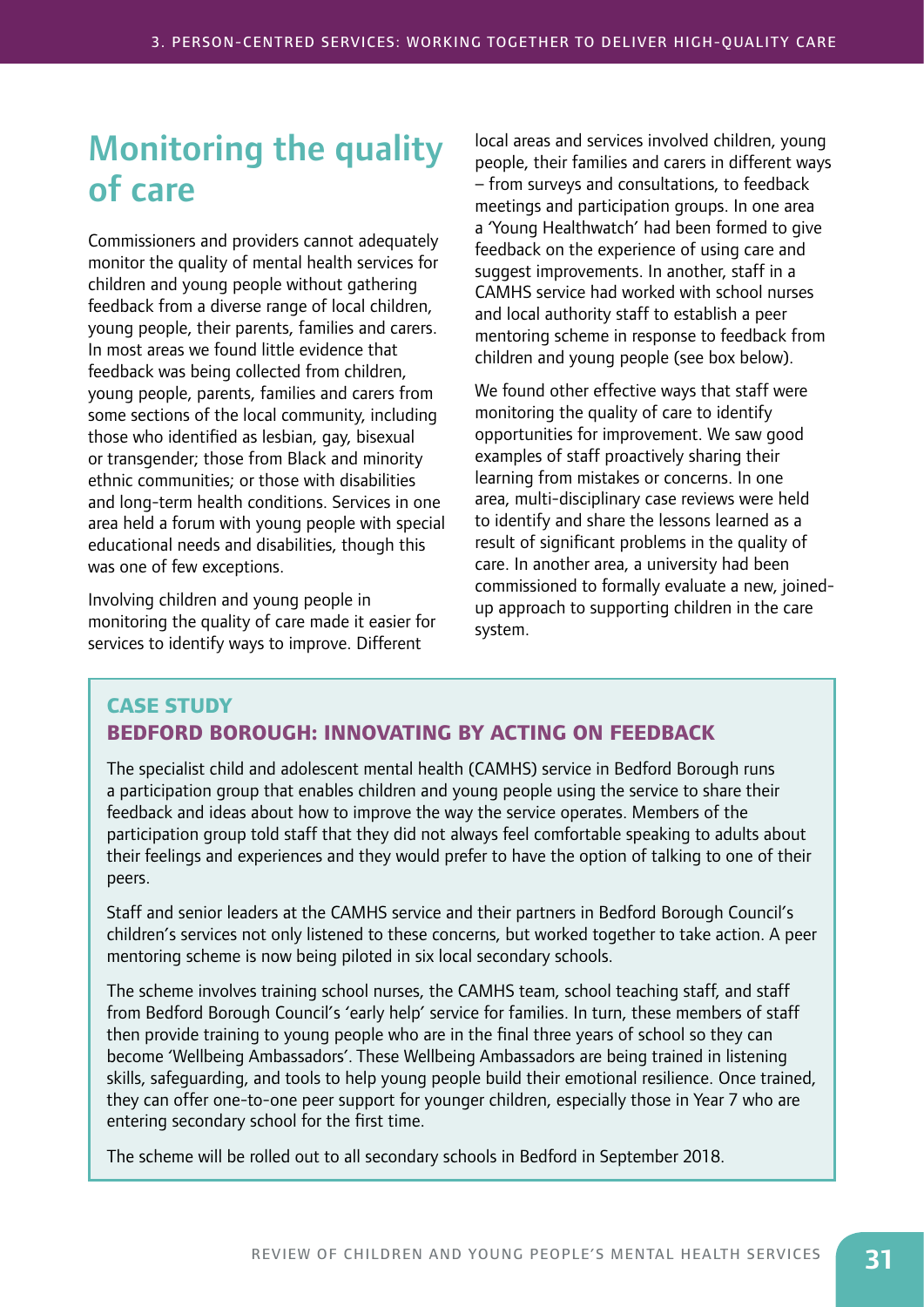## Monitoring the quality of care

Commissioners and providers cannot adequately monitor the quality of mental health services for children and young people without gathering feedback from a diverse range of local children, young people, their parents, families and carers. In most areas we found little evidence that feedback was being collected from children, young people, parents, families and carers from some sections of the local community, including those who identified as lesbian, gay, bisexual or transgender; those from Black and minority ethnic communities; or those with disabilities and long-term health conditions. Services in one area held a forum with young people with special educational needs and disabilities, though this was one of few exceptions.

Involving children and young people in monitoring the quality of care made it easier for services to identify ways to improve. Different

local areas and services involved children, young people, their families and carers in different ways – from surveys and consultations, to feedback meetings and participation groups. In one area a 'Young Healthwatch' had been formed to give feedback on the experience of using care and suggest improvements. In another, staff in a CAMHS service had worked with school nurses and local authority staff to establish a peer mentoring scheme in response to feedback from children and young people (see box below).

We found other effective ways that staff were monitoring the quality of care to identify opportunities for improvement. We saw good examples of staff proactively sharing their learning from mistakes or concerns. In one area, multi-disciplinary case reviews were held to identify and share the lessons learned as a result of significant problems in the quality of care. In another area, a university had been commissioned to formally evaluate a new, joinedup approach to supporting children in the care system.

#### **CASE STUDY BEDFORD BOROUGH: INNOVATING BY ACTING ON FEEDBACK**

The specialist child and adolescent mental health (CAMHS) service in Bedford Borough runs a participation group that enables children and young people using the service to share their feedback and ideas about how to improve the way the service operates. Members of the participation group told staff that they did not always feel comfortable speaking to adults about their feelings and experiences and they would prefer to have the option of talking to one of their peers.

Staff and senior leaders at the CAMHS service and their partners in Bedford Borough Council's children's services not only listened to these concerns, but worked together to take action. A peer mentoring scheme is now being piloted in six local secondary schools.

The scheme involves training school nurses, the CAMHS team, school teaching staff, and staff from Bedford Borough Council's 'early help' service for families. In turn, these members of staff then provide training to young people who are in the final three years of school so they can become 'Wellbeing Ambassadors'. These Wellbeing Ambassadors are being trained in listening skills, safeguarding, and tools to help young people build their emotional resilience. Once trained, they can offer one-to-one peer support for younger children, especially those in Year 7 who are entering secondary school for the first time.

The scheme will be rolled out to all secondary schools in Bedford in September 2018.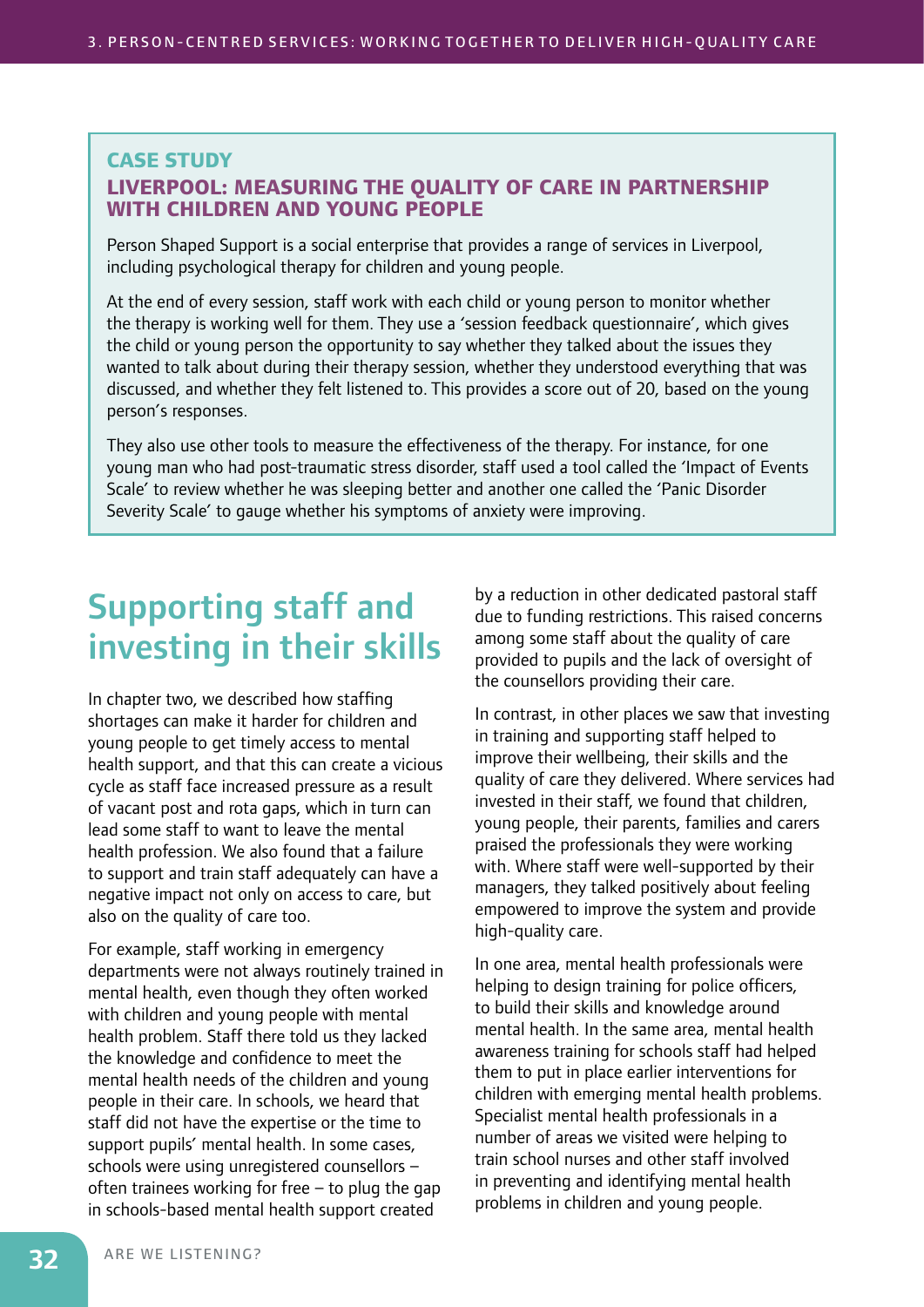#### <span id="page-33-0"></span>**CASE STUDY LIVERPOOL: MEASURING THE QUALITY OF CARE IN PARTNERSHIP WITH CHILDREN AND YOUNG PEOPLE**

Person Shaped Support is a social enterprise that provides a range of services in Liverpool, including psychological therapy for children and young people.

At the end of every session, staff work with each child or young person to monitor whether the therapy is working well for them. They use a 'session feedback questionnaire', which gives the child or young person the opportunity to say whether they talked about the issues they wanted to talk about during their therapy session, whether they understood everything that was discussed, and whether they felt listened to. This provides a score out of 20, based on the young person's responses.

They also use other tools to measure the effectiveness of the therapy. For instance, for one young man who had post-traumatic stress disorder, staff used a tool called the 'Impact of Events Scale' to review whether he was sleeping better and another one called the 'Panic Disorder Severity Scale' to gauge whether his symptoms of anxiety were improving.

## Supporting staff and investing in their skills

In chapter two, we described how staffing shortages can make it harder for children and young people to get timely access to mental health support, and that this can create a vicious cycle as staff face increased pressure as a result of vacant post and rota gaps, which in turn can lead some staff to want to leave the mental health profession. We also found that a failure to support and train staff adequately can have a negative impact not only on access to care, but also on the quality of care too.

For example, staff working in emergency departments were not always routinely trained in mental health, even though they often worked with children and young people with mental health problem. Staff there told us they lacked the knowledge and confidence to meet the mental health needs of the children and young people in their care. In schools, we heard that staff did not have the expertise or the time to support pupils' mental health. In some cases, schools were using unregistered counsellors – often trainees working for free – to plug the gap in schools-based mental health support created

by a reduction in other dedicated pastoral staff due to funding restrictions. This raised concerns among some staff about the quality of care provided to pupils and the lack of oversight of the counsellors providing their care.

In contrast, in other places we saw that investing in training and supporting staff helped to improve their wellbeing, their skills and the quality of care they delivered. Where services had invested in their staff, we found that children, young people, their parents, families and carers praised the professionals they were working with. Where staff were well-supported by their managers, they talked positively about feeling empowered to improve the system and provide high-quality care.

In one area, mental health professionals were helping to design training for police officers, to build their skills and knowledge around mental health. In the same area, mental health awareness training for schools staff had helped them to put in place earlier interventions for children with emerging mental health problems. Specialist mental health professionals in a number of areas we visited were helping to train school nurses and other staff involved in preventing and identifying mental health problems in children and young people.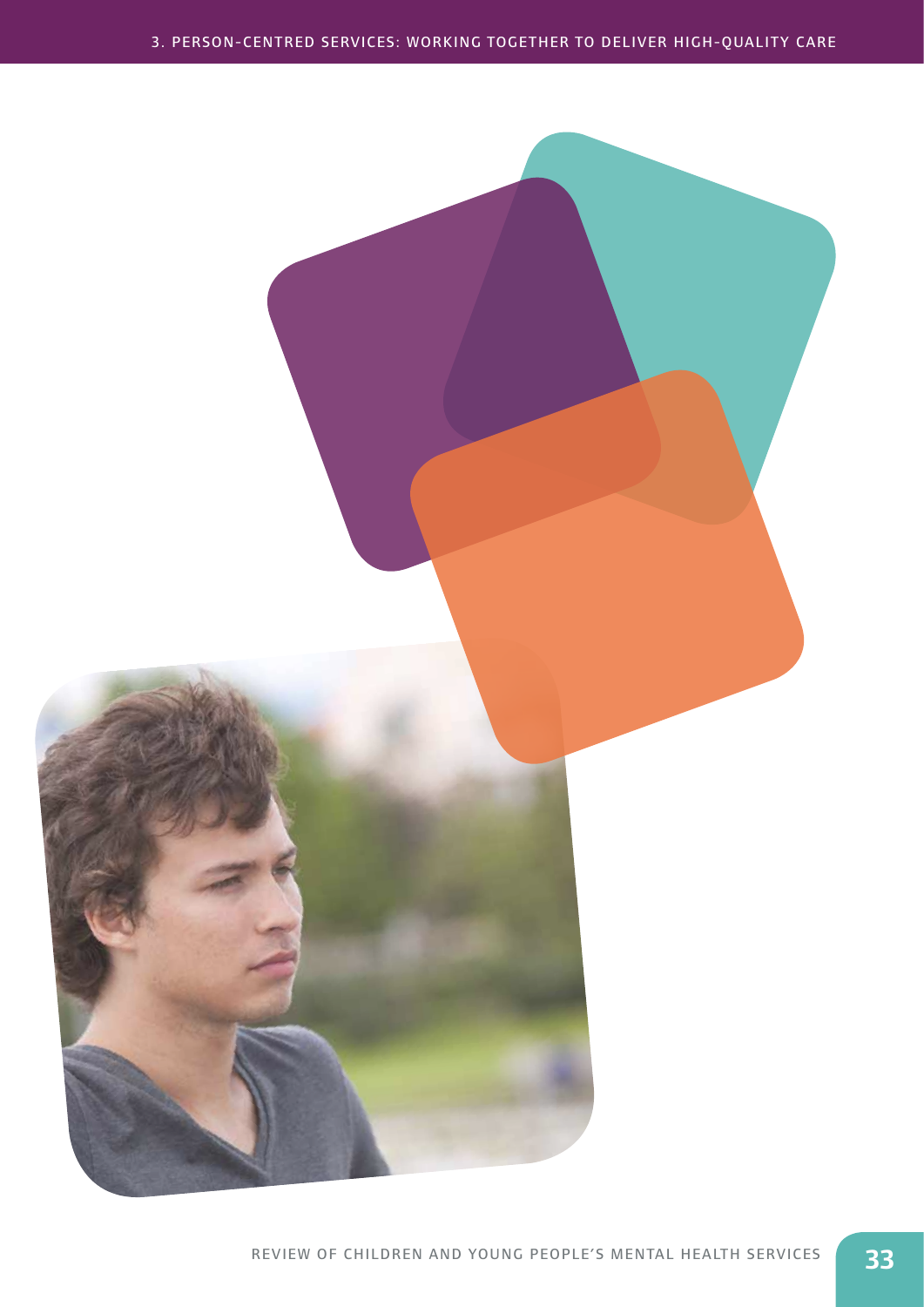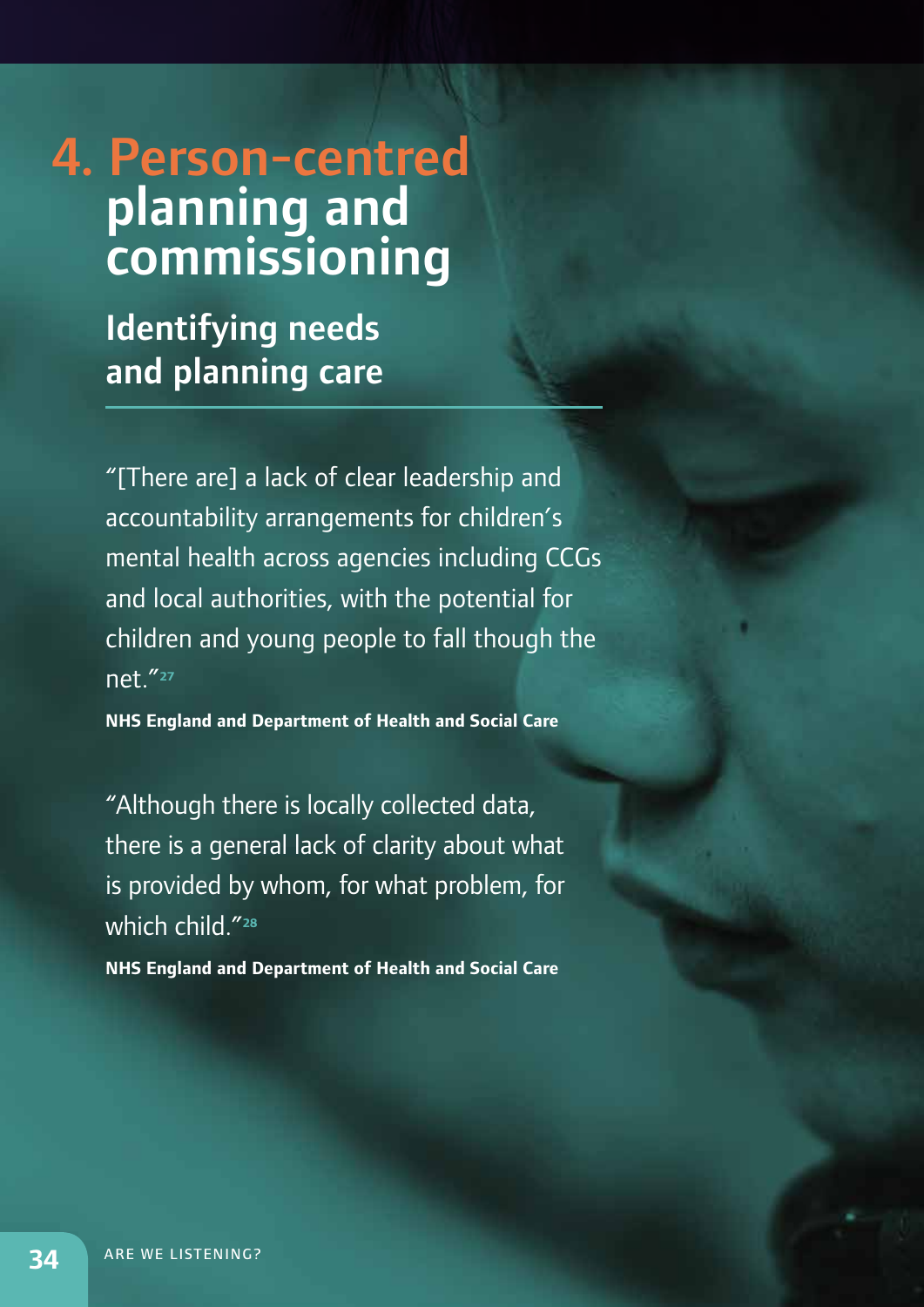## <span id="page-35-0"></span>4. Person-centred planning and **commissioning**

Identifying needs and planning care

"[There are] a lack of clear leadership and accountability arrangements for children's mental health across agencies including CCGs and local authorities, with the potential for children and young people to fall though the net."**[27](#page-55-0)**

**NHS England and Department of Health and Social Care**

"Although there is locally collected data, there is a general lack of clarity about what is provided by whom, for what problem, for which child."**[28](#page-55-0)**

**NHS England and Department of Health and Social Care**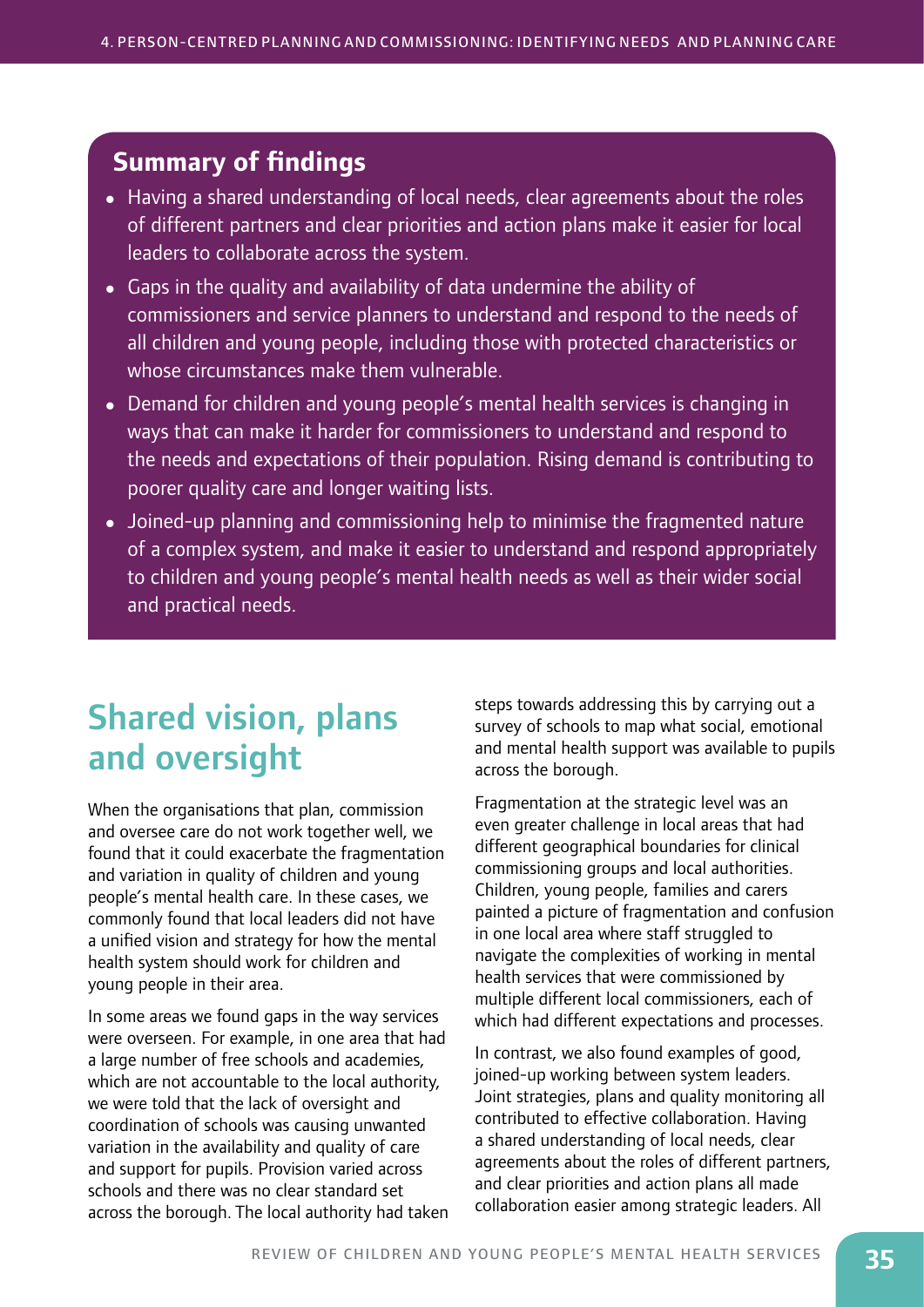#### <span id="page-36-0"></span>**Summary of findings**

- Having a shared understanding of local needs, clear agreements about the roles of different partners and clear priorities and action plans make it easier for local leaders to collaborate across the system.
- Gaps in the quality and availability of data undermine the ability of commissioners and service planners to understand and respond to the needs of all children and young people, including those with protected characteristics or whose circumstances make them vulnerable.
- Demand for children and young people's mental health services is changing in ways that can make it harder for commissioners to understand and respond to the needs and expectations of their population. Rising demand is contributing to poorer quality care and longer waiting lists.
- Joined-up planning and commissioning help to minimise the fragmented nature of a complex system, and make it easier to understand and respond appropriately to children and young people's mental health needs as well as their wider social and practical needs.

## Shared vision, plans and oversight

When the organisations that plan, commission and oversee care do not work together well, we found that it could exacerbate the fragmentation and variation in quality of children and young people's mental health care. In these cases, we commonly found that local leaders did not have a unified vision and strategy for how the mental health system should work for children and young people in their area.

In some areas we found gaps in the way services were overseen. For example, in one area that had a large number of free schools and academies, which are not accountable to the local authority, we were told that the lack of oversight and coordination of schools was causing unwanted variation in the availability and quality of care and support for pupils. Provision varied across schools and there was no clear standard set across the borough. The local authority had taken steps towards addressing this by carrying out a survey of schools to map what social, emotional and mental health support was available to pupils across the borough.

Fragmentation at the strategic level was an even greater challenge in local areas that had different geographical boundaries for clinical commissioning groups and local authorities. Children, young people, families and carers painted a picture of fragmentation and confusion in one local area where staff struggled to navigate the complexities of working in mental health services that were commissioned by multiple different local commissioners, each of which had different expectations and processes.

In contrast, we also found examples of good, joined-up working between system leaders. Joint strategies, plans and quality monitoring all contributed to effective collaboration. Having a shared understanding of local needs, clear agreements about the roles of different partners, and clear priorities and action plans all made collaboration easier among strategic leaders. All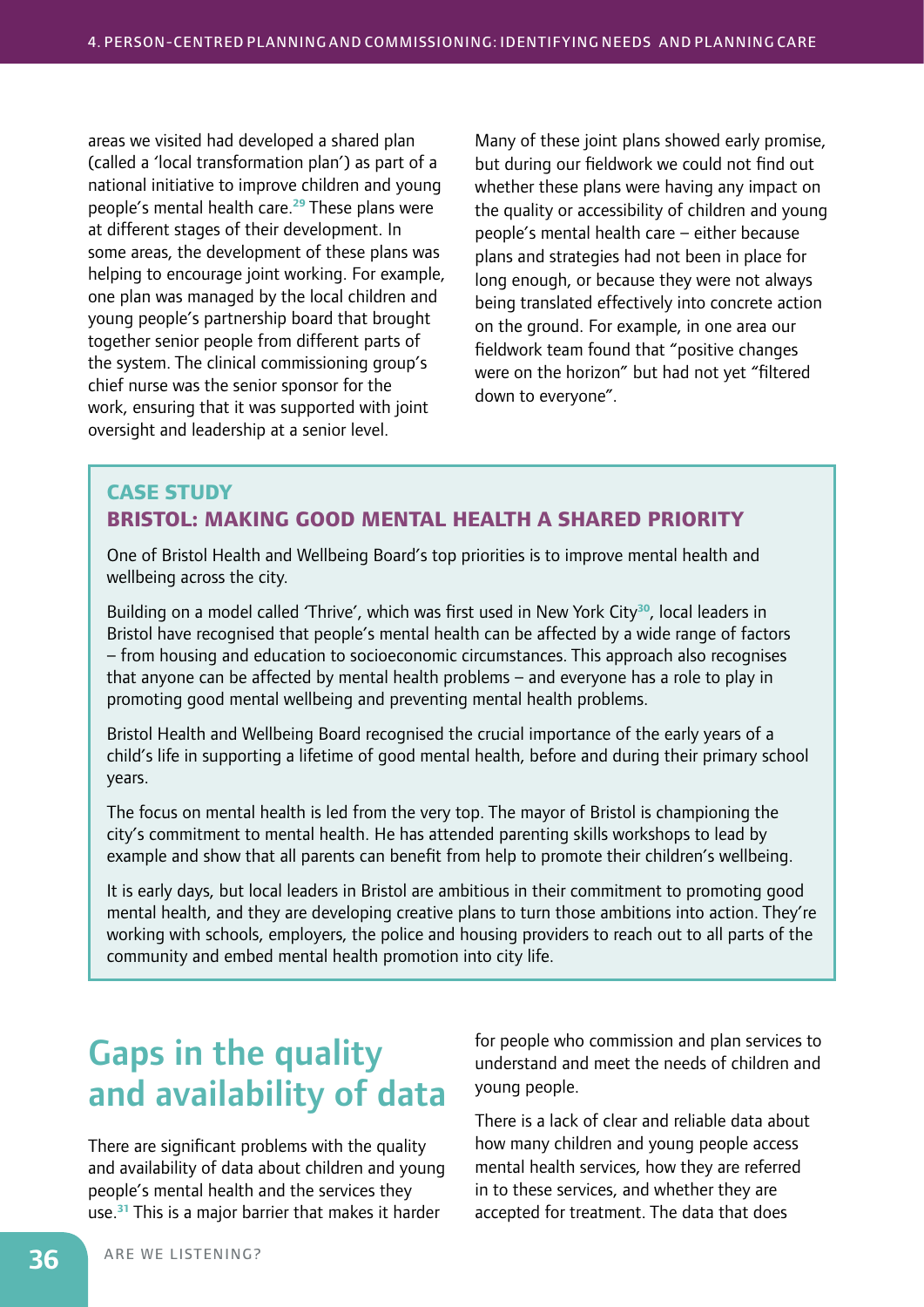areas we visited had developed a shared plan (called a 'local transformation plan') as part of a national initiative to improve children and young people's mental health care.**[29](#page-55-0)** These plans were at different stages of their development. In some areas, the development of these plans was helping to encourage joint working. For example, one plan was managed by the local children and young people's partnership board that brought together senior people from different parts of the system. The clinical commissioning group's chief nurse was the senior sponsor for the work, ensuring that it was supported with joint oversight and leadership at a senior level.

Many of these joint plans showed early promise, but during our fieldwork we could not find out whether these plans were having any impact on the quality or accessibility of children and young people's mental health care – either because plans and strategies had not been in place for long enough, or because they were not always being translated effectively into concrete action on the ground. For example, in one area our fieldwork team found that "positive changes were on the horizon" but had not yet "filtered down to everyone".

#### **CASE STUDY BRISTOL: MAKING GOOD MENTAL HEALTH A SHARED PRIORITY**

One of Bristol Health and Wellbeing Board's top priorities is to improve mental health and wellbeing across the city.

Building on a model called 'Thrive', which was first used in New York City**[30](#page-55-0)**, local leaders in Bristol have recognised that people's mental health can be affected by a wide range of factors – from housing and education to socioeconomic circumstances. This approach also recognises that anyone can be affected by mental health problems – and everyone has a role to play in promoting good mental wellbeing and preventing mental health problems.

Bristol Health and Wellbeing Board recognised the crucial importance of the early years of a child's life in supporting a lifetime of good mental health, before and during their primary school years.

The focus on mental health is led from the very top. The mayor of Bristol is championing the city's commitment to mental health. He has attended parenting skills workshops to lead by example and show that all parents can benefit from help to promote their children's wellbeing.

It is early days, but local leaders in Bristol are ambitious in their commitment to promoting good mental health, and they are developing creative plans to turn those ambitions into action. They're working with schools, employers, the police and housing providers to reach out to all parts of the community and embed mental health promotion into city life.

## Gaps in the quality and availability of data

There are significant problems with the quality and availability of data about children and young people's mental health and the services they use.**[31](#page-55-0)** This is a major barrier that makes it harder

for people who commission and plan services to understand and meet the needs of children and young people.

There is a lack of clear and reliable data about how many children and young people access mental health services, how they are referred in to these services, and whether they are accepted for treatment. The data that does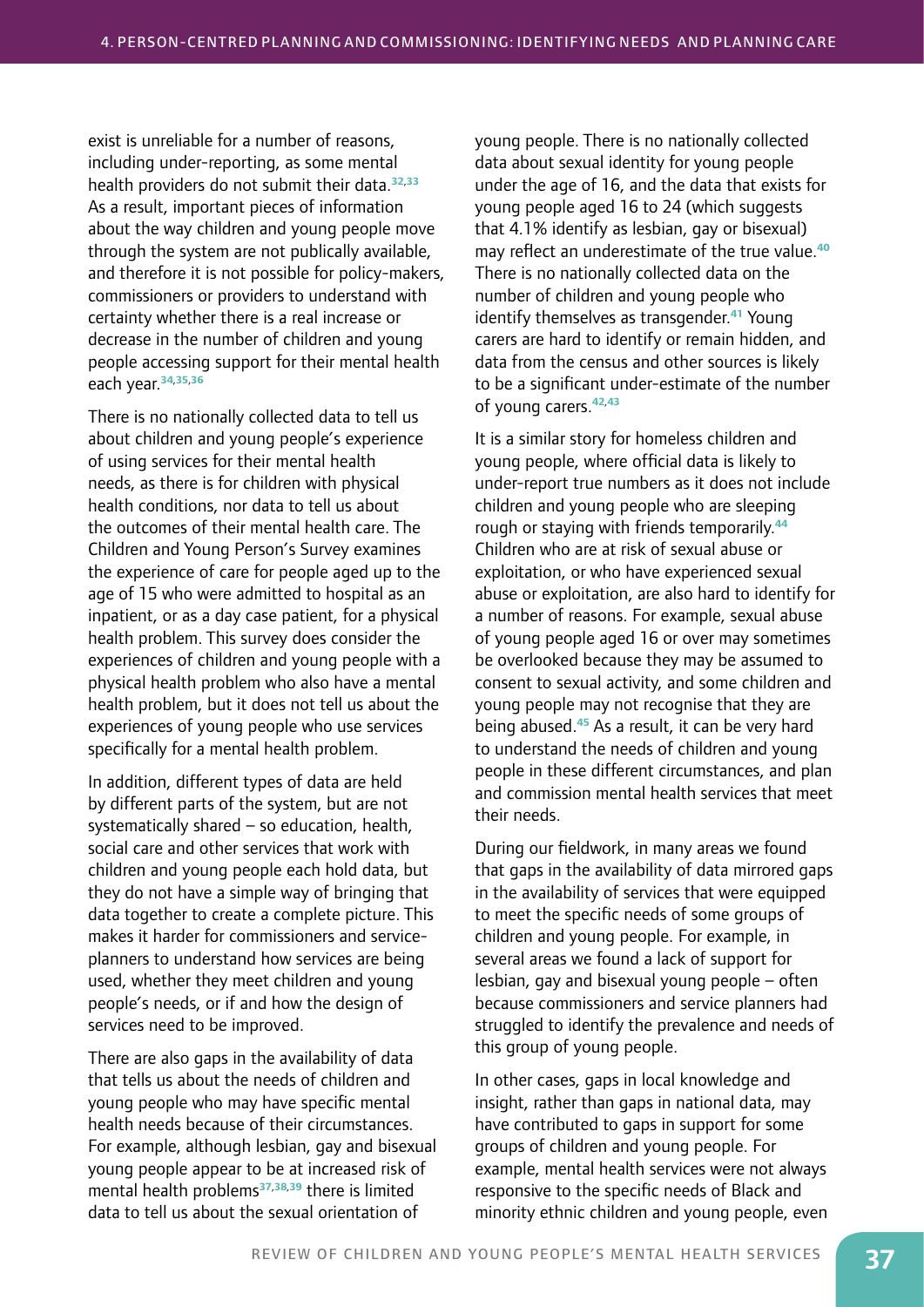exist is unreliable for a number of reasons, including under-reporting, as some mental health providers do not submit their data.**[32](#page-55-0)**,**[33](#page-55-0)** As a result, important pieces of information about the way children and young people move through the system are not publically available, and therefore it is not possible for policy-makers, commissioners or providers to understand with certainty whether there is a real increase or decrease in the number of children and young people accessing support for their mental health each year.**[34](#page-55-0)**,**[35](#page-55-0)**,**[36](#page-55-0)**

There is no nationally collected data to tell us about children and young people's experience of using services for their mental health needs, as there is for children with physical health conditions, nor data to tell us about the outcomes of their mental health care. The Children and Young Person's Survey examines the experience of care for people aged up to the age of 15 who were admitted to hospital as an inpatient, or as a day case patient, for a physical health problem. This survey does consider the experiences of children and young people with a physical health problem who also have a mental health problem, but it does not tell us about the experiences of young people who use services specifically for a mental health problem.

In addition, different types of data are held by different parts of the system, but are not systematically shared – so education, health, social care and other services that work with children and young people each hold data, but they do not have a simple way of bringing that data together to create a complete picture. This makes it harder for commissioners and serviceplanners to understand how services are being used, whether they meet children and young people's needs, or if and how the design of services need to be improved.

There are also gaps in the availability of data that tells us about the needs of children and young people who may have specific mental health needs because of their circumstances. For example, although lesbian, gay and bisexual young people appear to be at increased risk of mental health problems**[37](#page-55-0)**,**[38](#page-55-0)**,**[39](#page-55-0)** there is limited data to tell us about the sexual orientation of

young people. There is no nationally collected data about sexual identity for young people under the age of 16, and the data that exists for young people aged 16 to 24 (which suggests that 4.1% identify as lesbian, gay or bisexual) may reflect an underestimate of the true value.**[40](#page-55-0)** There is no nationally collected data on the number of children and young people who identify themselves as transgender.**[41](#page-55-0)** Young carers are hard to identify or remain hidden, and data from the census and other sources is likely to be a significant under-estimate of the number of young carers.**[42](#page-55-0)**,**[43](#page-55-0)**

It is a similar story for homeless children and young people, where official data is likely to under-report true numbers as it does not include children and young people who are sleeping rough or staying with friends temporarily.**[44](#page-55-0)** Children who are at risk of sexual abuse or exploitation, or who have experienced sexual abuse or exploitation, are also hard to identify for a number of reasons. For example, sexual abuse of young people aged 16 or over may sometimes be overlooked because they may be assumed to consent to sexual activity, and some children and young people may not recognise that they are being abused.**[45](#page-55-0)** As a result, it can be very hard to understand the needs of children and young people in these different circumstances, and plan and commission mental health services that meet their needs.

During our fieldwork, in many areas we found that gaps in the availability of data mirrored gaps in the availability of services that were equipped to meet the specific needs of some groups of children and young people. For example, in several areas we found a lack of support for lesbian, gay and bisexual young people – often because commissioners and service planners had struggled to identify the prevalence and needs of this group of young people.

In other cases, gaps in local knowledge and insight, rather than gaps in national data, may have contributed to gaps in support for some groups of children and young people. For example, mental health services were not always responsive to the specific needs of Black and minority ethnic children and young people, even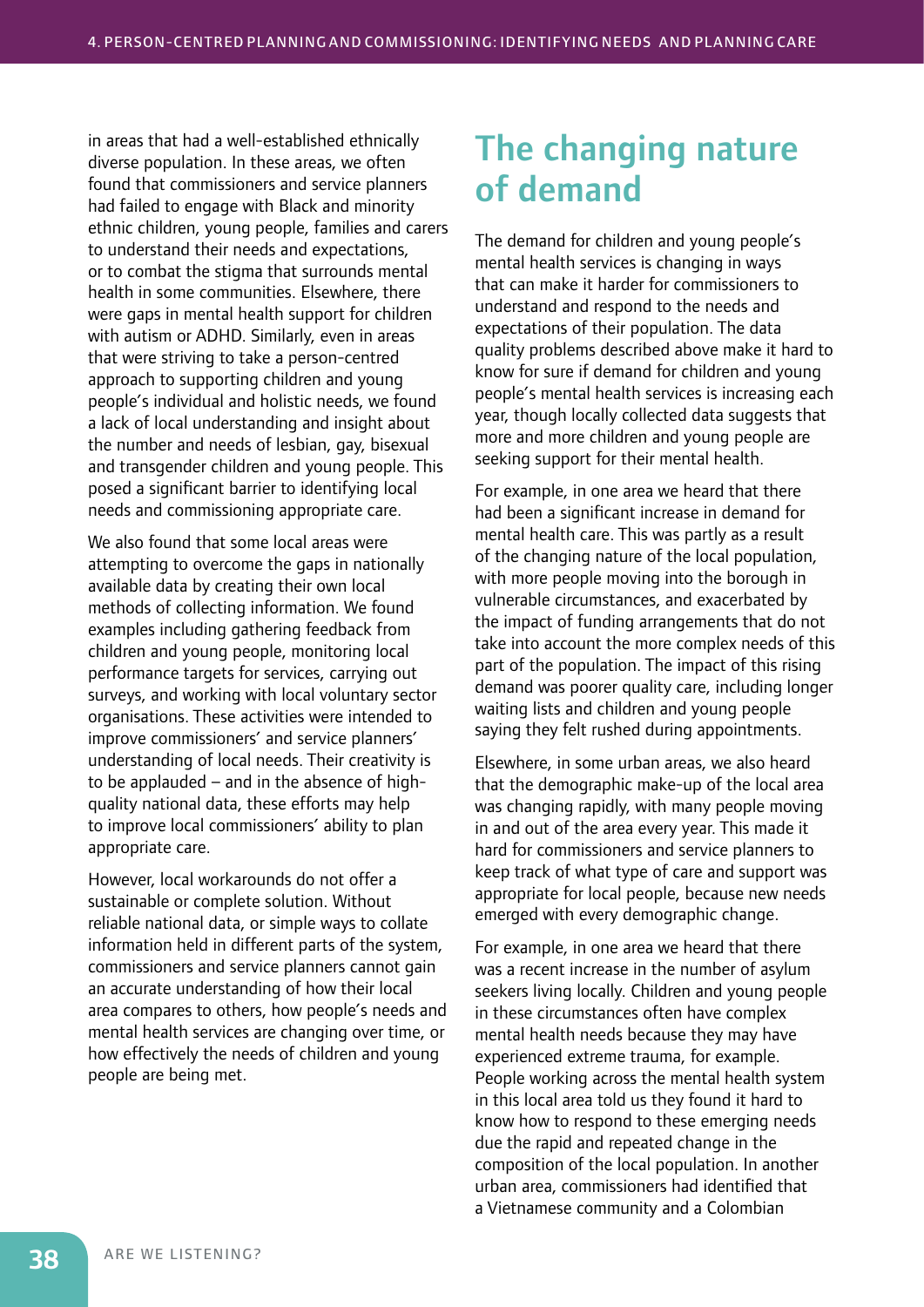in areas that had a well-established ethnically diverse population. In these areas, we often found that commissioners and service planners had failed to engage with Black and minority ethnic children, young people, families and carers to understand their needs and expectations, or to combat the stigma that surrounds mental health in some communities. Elsewhere, there were gaps in mental health support for children with autism or ADHD. Similarly, even in areas that were striving to take a person-centred approach to supporting children and young people's individual and holistic needs, we found a lack of local understanding and insight about the number and needs of lesbian, gay, bisexual and transgender children and young people. This posed a significant barrier to identifying local needs and commissioning appropriate care.

We also found that some local areas were attempting to overcome the gaps in nationally available data by creating their own local methods of collecting information. We found examples including gathering feedback from children and young people, monitoring local performance targets for services, carrying out surveys, and working with local voluntary sector organisations. These activities were intended to improve commissioners' and service planners' understanding of local needs. Their creativity is to be applauded – and in the absence of highquality national data, these efforts may help to improve local commissioners' ability to plan appropriate care.

However, local workarounds do not offer a sustainable or complete solution. Without reliable national data, or simple ways to collate information held in different parts of the system, commissioners and service planners cannot gain an accurate understanding of how their local area compares to others, how people's needs and mental health services are changing over time, or how effectively the needs of children and young people are being met.

## The changing nature of demand

The demand for children and young people's mental health services is changing in ways that can make it harder for commissioners to understand and respond to the needs and expectations of their population. The data quality problems described above make it hard to know for sure if demand for children and young people's mental health services is increasing each year, though locally collected data suggests that more and more children and young people are seeking support for their mental health.

For example, in one area we heard that there had been a significant increase in demand for mental health care. This was partly as a result of the changing nature of the local population, with more people moving into the borough in vulnerable circumstances, and exacerbated by the impact of funding arrangements that do not take into account the more complex needs of this part of the population. The impact of this rising demand was poorer quality care, including longer waiting lists and children and young people saying they felt rushed during appointments.

Elsewhere, in some urban areas, we also heard that the demographic make-up of the local area was changing rapidly, with many people moving in and out of the area every year. This made it hard for commissioners and service planners to keep track of what type of care and support was appropriate for local people, because new needs emerged with every demographic change.

For example, in one area we heard that there was a recent increase in the number of asylum seekers living locally. Children and young people in these circumstances often have complex mental health needs because they may have experienced extreme trauma, for example. People working across the mental health system in this local area told us they found it hard to know how to respond to these emerging needs due the rapid and repeated change in the composition of the local population. In another urban area, commissioners had identified that a Vietnamese community and a Colombian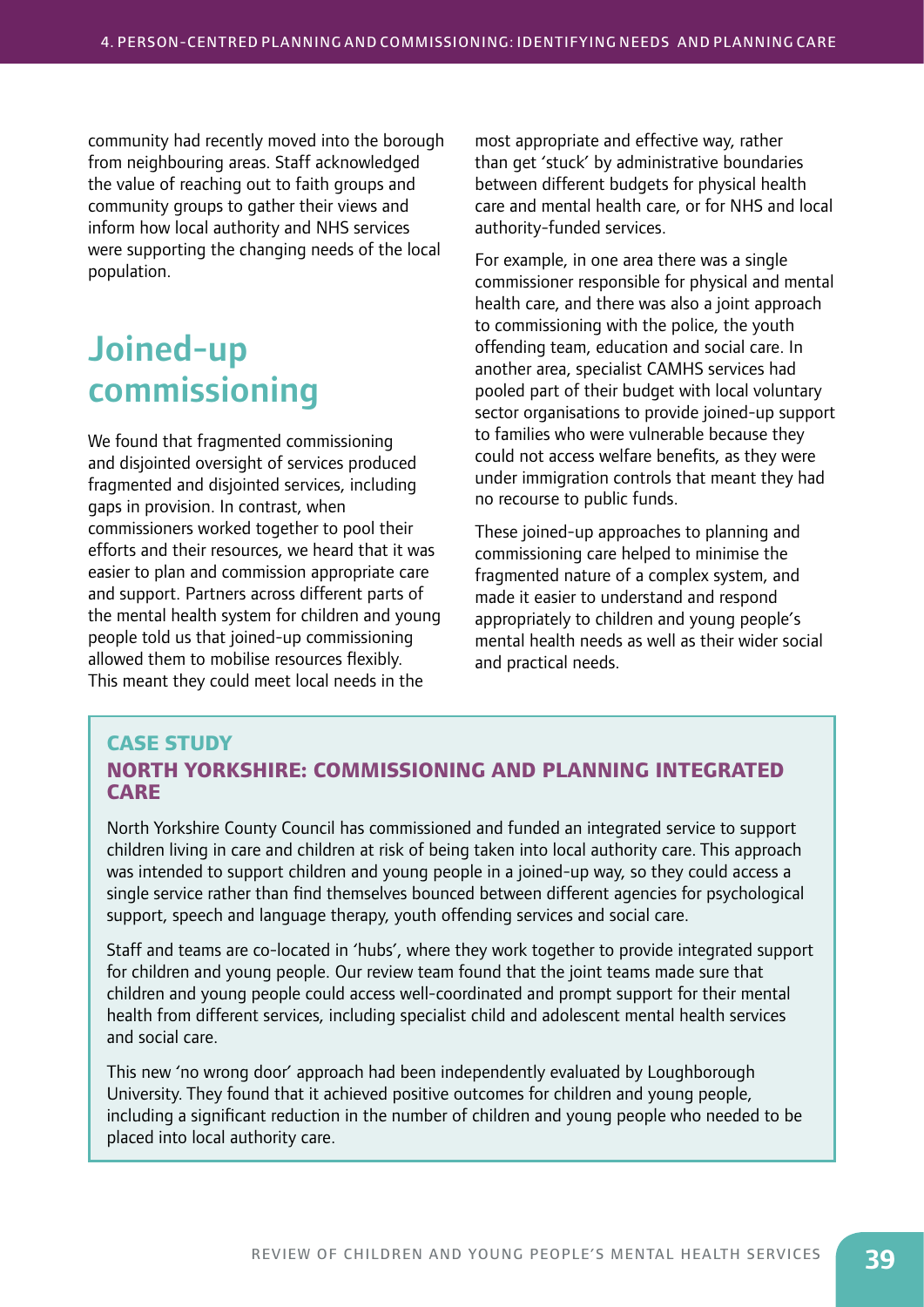<span id="page-40-0"></span>community had recently moved into the borough from neighbouring areas. Staff acknowledged the value of reaching out to faith groups and community groups to gather their views and inform how local authority and NHS services were supporting the changing needs of the local population.

## Joined-up commissioning

We found that fragmented commissioning and disjointed oversight of services produced fragmented and disjointed services, including gaps in provision. In contrast, when commissioners worked together to pool their efforts and their resources, we heard that it was easier to plan and commission appropriate care and support. Partners across different parts of the mental health system for children and young people told us that joined-up commissioning allowed them to mobilise resources flexibly. This meant they could meet local needs in the

most appropriate and effective way, rather than get 'stuck' by administrative boundaries between different budgets for physical health care and mental health care, or for NHS and local authority-funded services.

For example, in one area there was a single commissioner responsible for physical and mental health care, and there was also a joint approach to commissioning with the police, the youth offending team, education and social care. In another area, specialist CAMHS services had pooled part of their budget with local voluntary sector organisations to provide joined-up support to families who were vulnerable because they could not access welfare benefits, as they were under immigration controls that meant they had no recourse to public funds.

These joined-up approaches to planning and commissioning care helped to minimise the fragmented nature of a complex system, and made it easier to understand and respond appropriately to children and young people's mental health needs as well as their wider social and practical needs.

#### **CASE STUDY NORTH YORKSHIRE: COMMISSIONING AND PLANNING INTEGRATED CARE**

North Yorkshire County Council has commissioned and funded an integrated service to support children living in care and children at risk of being taken into local authority care. This approach was intended to support children and young people in a joined-up way, so they could access a single service rather than find themselves bounced between different agencies for psychological support, speech and language therapy, youth offending services and social care.

Staff and teams are co-located in 'hubs', where they work together to provide integrated support for children and young people. Our review team found that the joint teams made sure that children and young people could access well-coordinated and prompt support for their mental health from different services, including specialist child and adolescent mental health services and social care.

This new 'no wrong door' approach had been independently evaluated by Loughborough University. They found that it achieved positive outcomes for children and young people, including a significant reduction in the number of children and young people who needed to be placed into local authority care.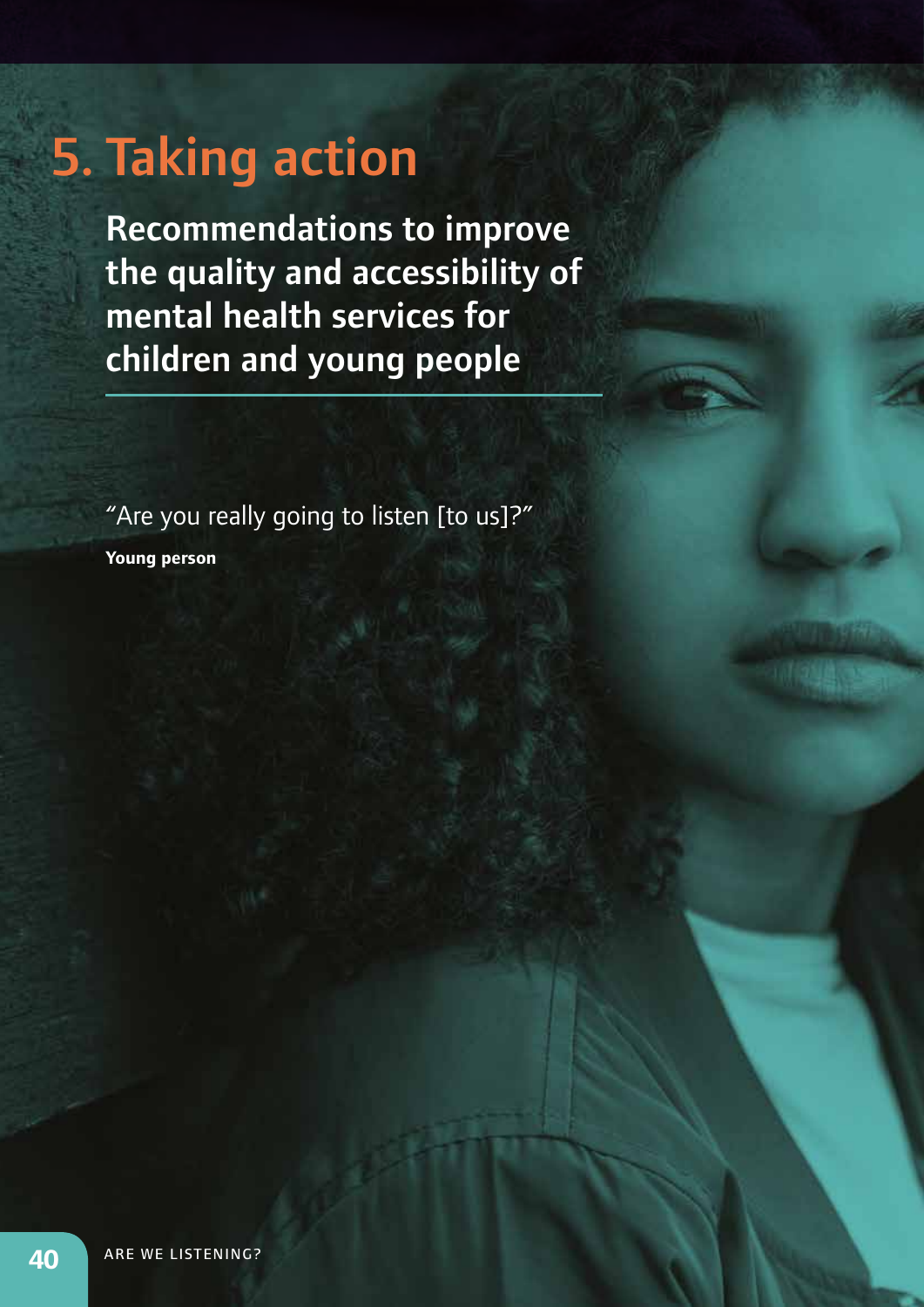## <span id="page-41-0"></span>5. Taking action

Recommendations to improve the quality and accessibility of mental health services for children and young people

"Are you really going to listen [to us]?"

**Young person**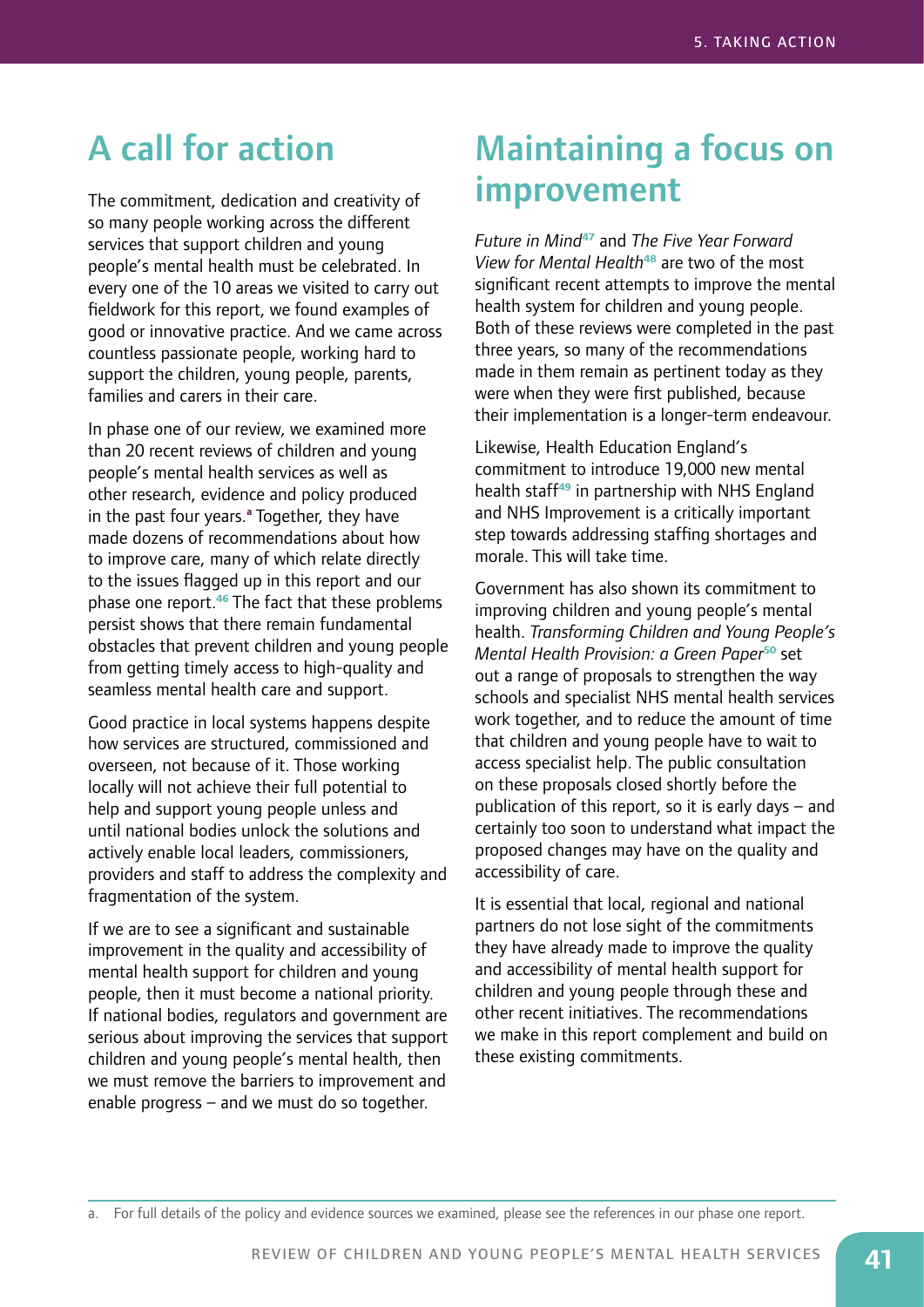### A call for action

The commitment, dedication and creativity of so many people working across the different services that support children and young people's mental health must be celebrated. In every one of the 10 areas we visited to carry out fieldwork for this report, we found examples of good or innovative practice. And we came across countless passionate people, working hard to support the children, young people, parents, families and carers in their care.

In phase one of our review, we examined more than 20 recent reviews of children and young people's mental health services as well as other research, evidence and policy produced in the past four years.**<sup>a</sup>** Together, they have made dozens of recommendations about how to improve care, many of which relate directly to the issues flagged up in this report and our phase one report.**[46](#page-55-0)** The fact that these problems persist shows that there remain fundamental obstacles that prevent children and young people from getting timely access to high-quality and seamless mental health care and support.

Good practice in local systems happens despite how services are structured, commissioned and overseen, not because of it. Those working locally will not achieve their full potential to help and support young people unless and until national bodies unlock the solutions and actively enable local leaders, commissioners, providers and staff to address the complexity and fragmentation of the system.

If we are to see a significant and sustainable improvement in the quality and accessibility of mental health support for children and young people, then it must become a national priority. If national bodies, regulators and government are serious about improving the services that support children and young people's mental health, then we must remove the barriers to improvement and enable progress – and we must do so together.

### Maintaining a focus on improvement

*Future in Mind***[47](#page-55-0)** and *The Five Year Forward View for Mental Health***[48](#page-55-0)** are two of the most significant recent attempts to improve the mental health system for children and young people. Both of these reviews were completed in the past three years, so many of the recommendations made in them remain as pertinent today as they were when they were first published, because their implementation is a longer-term endeavour.

Likewise, Health Education England's commitment to introduce 19,000 new mental health staff**[49](#page-55-0)** in partnership with NHS England and NHS Improvement is a critically important step towards addressing staffing shortages and morale. This will take time.

Government has also shown its commitment to improving children and young people's mental health. *Transforming Children and Young People's Mental Health Provision: a Green Paper***[50](#page-55-0)** set out a range of proposals to strengthen the way schools and specialist NHS mental health services work together, and to reduce the amount of time that children and young people have to wait to access specialist help. The public consultation on these proposals closed shortly before the publication of this report, so it is early days – and certainly too soon to understand what impact the proposed changes may have on the quality and accessibility of care.

It is essential that local, regional and national partners do not lose sight of the commitments they have already made to improve the quality and accessibility of mental health support for children and young people through these and other recent initiatives. The recommendations we make in this report complement and build on these existing commitments.

a. For full details of the policy and evidence sources we examined, please see the references in our phase one report.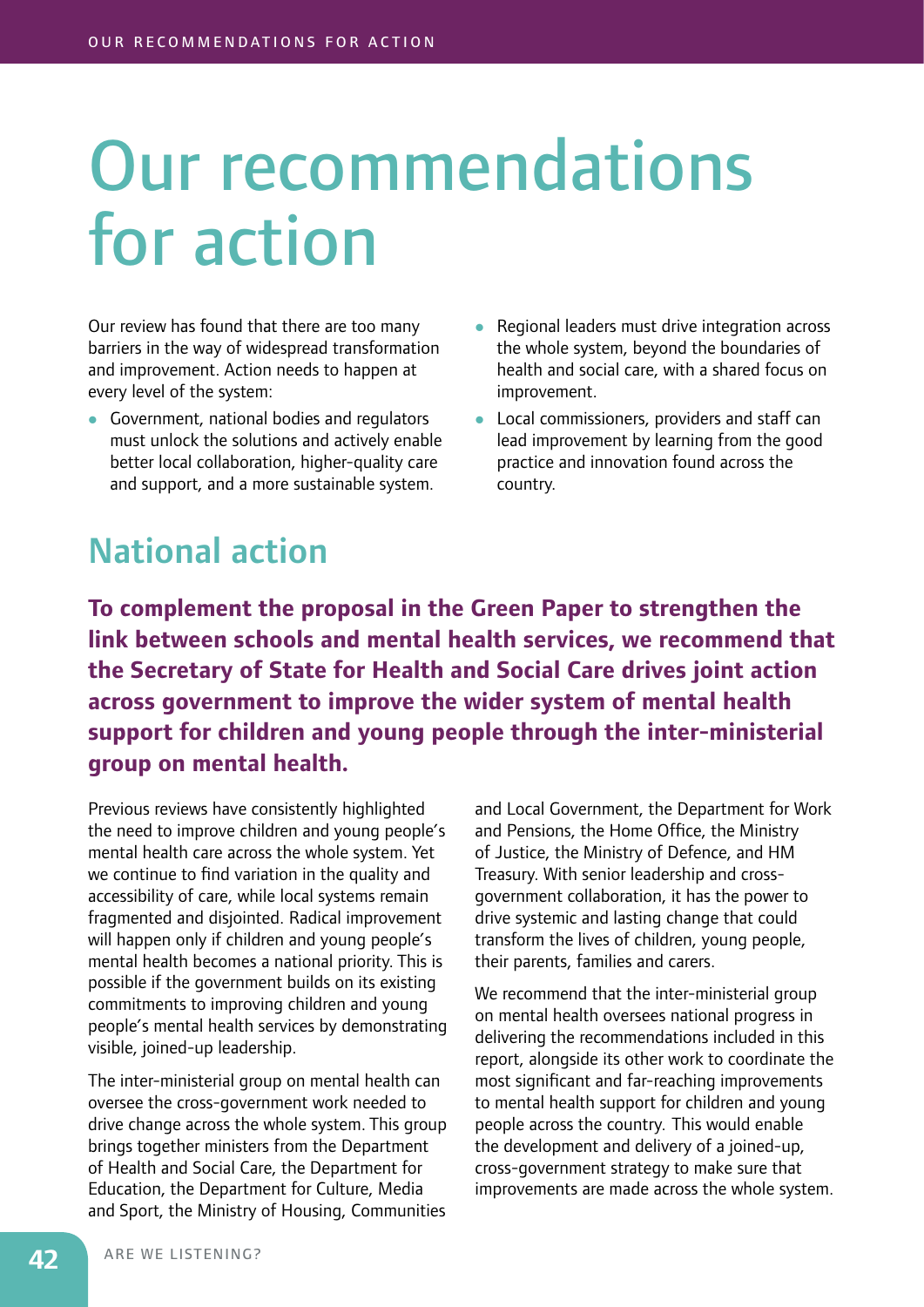## <span id="page-43-0"></span>Our recommendations for action

Our review has found that there are too many barriers in the way of widespread transformation and improvement. Action needs to happen at every level of the system:

- Government, national bodies and regulators must unlock the solutions and actively enable better local collaboration, higher-quality care and support, and a more sustainable system.
- Regional leaders must drive integration across the whole system, beyond the boundaries of health and social care, with a shared focus on improvement.
- Local commissioners, providers and staff can lead improvement by learning from the good practice and innovation found across the country.

### National action

**To complement the proposal in the Green Paper to strengthen the link between schools and mental health services, we recommend that the Secretary of State for Health and Social Care drives joint action across government to improve the wider system of mental health support for children and young people through the inter-ministerial group on mental health.** 

Previous reviews have consistently highlighted the need to improve children and young people's mental health care across the whole system. Yet we continue to find variation in the quality and accessibility of care, while local systems remain fragmented and disjointed. Radical improvement will happen only if children and young people's mental health becomes a national priority. This is possible if the government builds on its existing commitments to improving children and young people's mental health services by demonstrating visible, joined-up leadership.

The inter-ministerial group on mental health can oversee the cross-government work needed to drive change across the whole system. This group brings together ministers from the Department of Health and Social Care, the Department for Education, the Department for Culture, Media and Sport, the Ministry of Housing, Communities

and Local Government, the Department for Work and Pensions, the Home Office, the Ministry of Justice, the Ministry of Defence, and HM Treasury. With senior leadership and crossgovernment collaboration, it has the power to drive systemic and lasting change that could transform the lives of children, young people, their parents, families and carers.

We recommend that the inter-ministerial group on mental health oversees national progress in delivering the recommendations included in this report, alongside its other work to coordinate the most significant and far-reaching improvements to mental health support for children and young people across the country*.* This would enable the development and delivery of a joined-up, cross-government strategy to make sure that improvements are made across the whole system.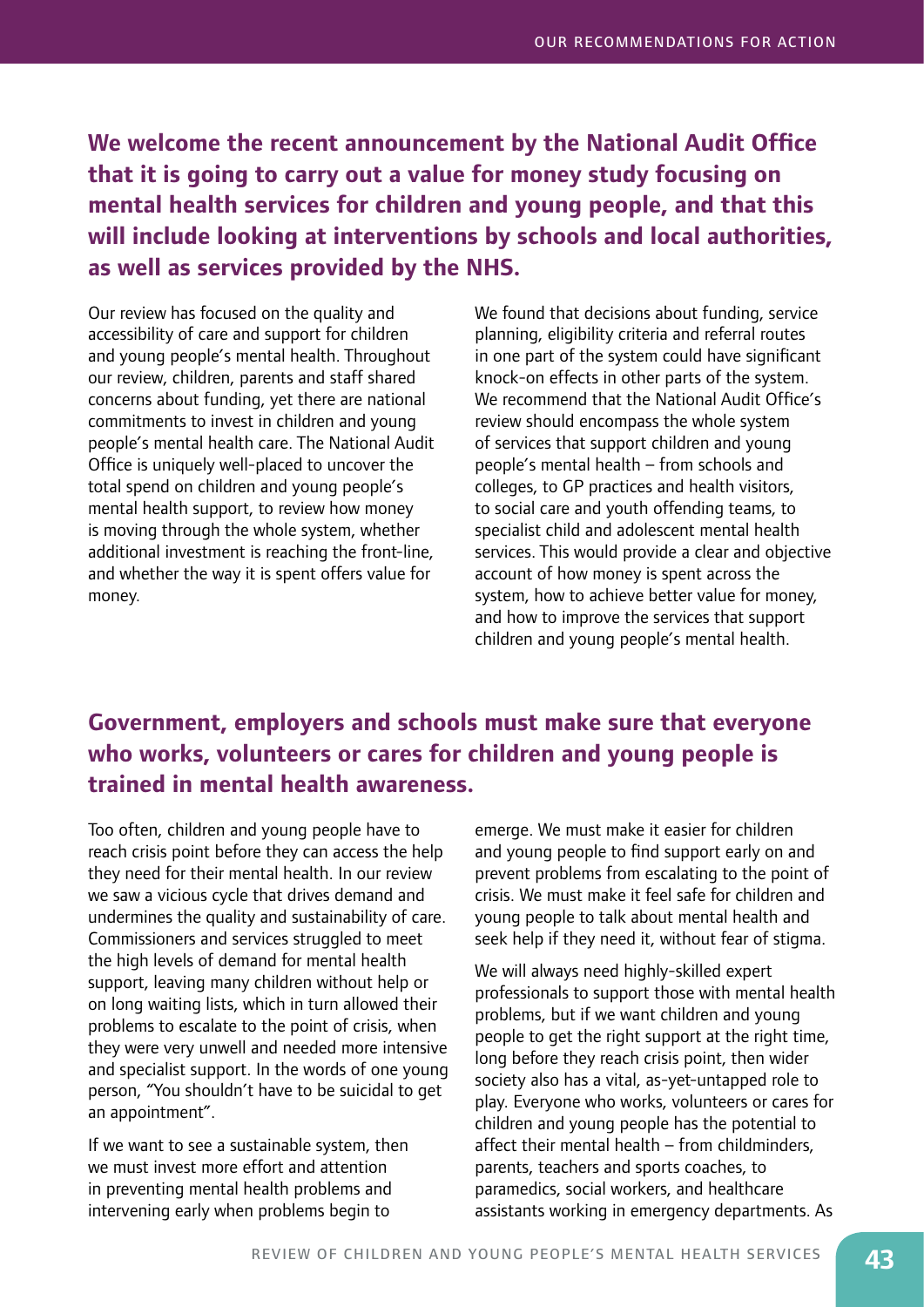**We welcome the recent announcement by the National Audit Office that it is going to carry out a value for money study focusing on mental health services for children and young people, and that this will include looking at interventions by schools and local authorities, as well as services provided by the NHS.** 

Our review has focused on the quality and accessibility of care and support for children and young people's mental health. Throughout our review, children, parents and staff shared concerns about funding, yet there are national commitments to invest in children and young people's mental health care. The National Audit Office is uniquely well-placed to uncover the total spend on children and young people's mental health support, to review how money is moving through the whole system, whether additional investment is reaching the front-line, and whether the way it is spent offers value for money.

We found that decisions about funding, service planning, eligibility criteria and referral routes in one part of the system could have significant knock-on effects in other parts of the system. We recommend that the National Audit Office's review should encompass the whole system of services that support children and young people's mental health – from schools and colleges, to GP practices and health visitors, to social care and youth offending teams, to specialist child and adolescent mental health services. This would provide a clear and objective account of how money is spent across the system, how to achieve better value for money, and how to improve the services that support children and young people's mental health.

#### **Government, employers and schools must make sure that everyone who works, volunteers or cares for children and young people is trained in mental health awareness.**

Too often, children and young people have to reach crisis point before they can access the help they need for their mental health. In our review we saw a vicious cycle that drives demand and undermines the quality and sustainability of care. Commissioners and services struggled to meet the high levels of demand for mental health support, leaving many children without help or on long waiting lists, which in turn allowed their problems to escalate to the point of crisis, when they were very unwell and needed more intensive and specialist support. In the words of one young person, "You shouldn't have to be suicidal to get an appointment".

If we want to see a sustainable system, then we must invest more effort and attention in preventing mental health problems and intervening early when problems begin to

emerge. We must make it easier for children and young people to find support early on and prevent problems from escalating to the point of crisis. We must make it feel safe for children and young people to talk about mental health and seek help if they need it, without fear of stigma.

We will always need highly-skilled expert professionals to support those with mental health problems, but if we want children and young people to get the right support at the right time, long before they reach crisis point, then wider society also has a vital, as-yet-untapped role to play. Everyone who works, volunteers or cares for children and young people has the potential to affect their mental health – from childminders, parents, teachers and sports coaches, to paramedics, social workers, and healthcare assistants working in emergency departments. As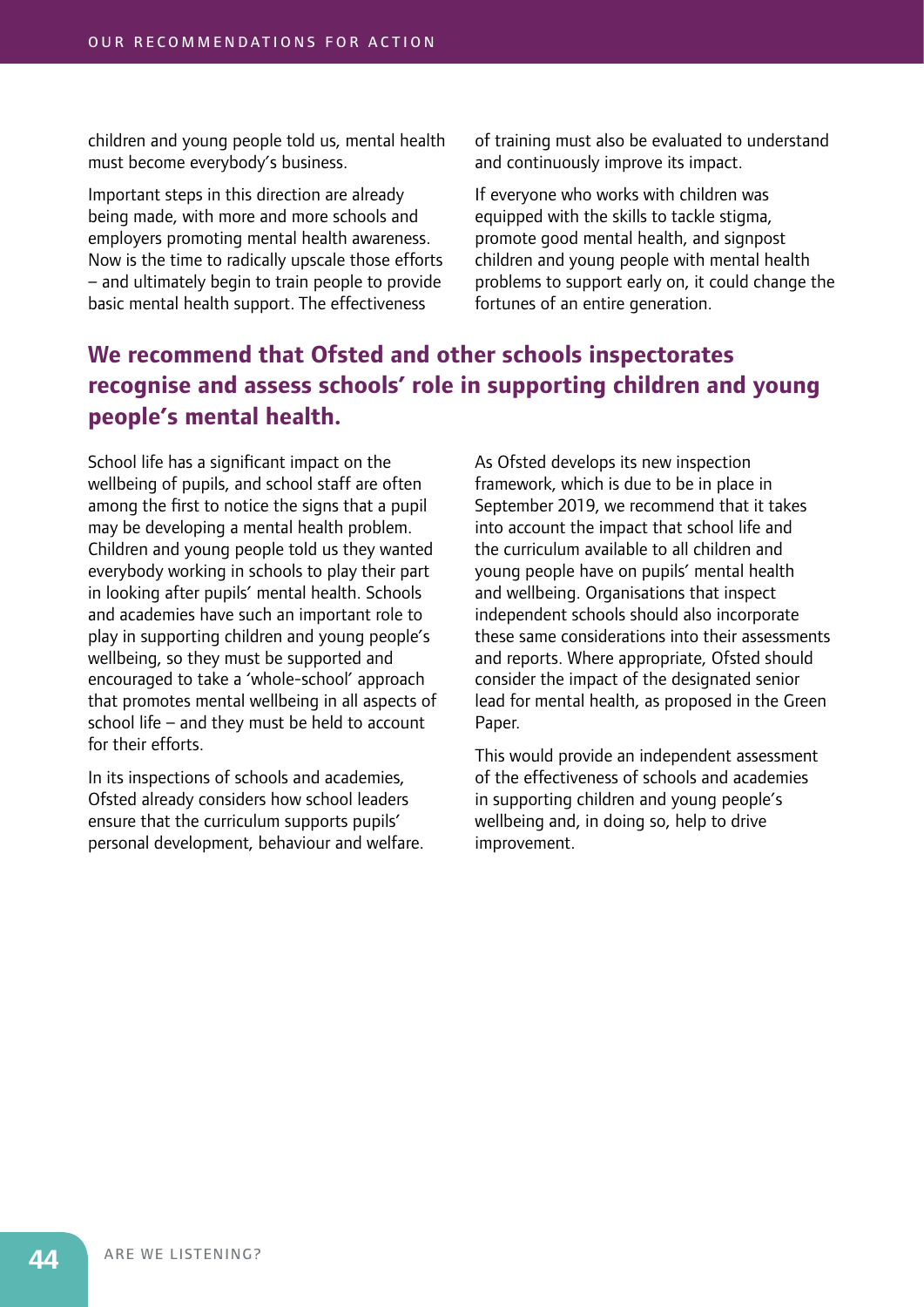children and young people told us, mental health must become everybody's business.

Important steps in this direction are already being made, with more and more schools and employers promoting mental health awareness. Now is the time to radically upscale those efforts – and ultimately begin to train people to provide basic mental health support. The effectiveness

of training must also be evaluated to understand and continuously improve its impact.

If everyone who works with children was equipped with the skills to tackle stigma, promote good mental health, and signpost children and young people with mental health problems to support early on, it could change the fortunes of an entire generation.

#### **We recommend that Ofsted and other schools inspectorates recognise and assess schools' role in supporting children and young people's mental health.**

School life has a significant impact on the wellbeing of pupils, and school staff are often among the first to notice the signs that a pupil may be developing a mental health problem. Children and young people told us they wanted everybody working in schools to play their part in looking after pupils' mental health. Schools and academies have such an important role to play in supporting children and young people's wellbeing, so they must be supported and encouraged to take a 'whole-school' approach that promotes mental wellbeing in all aspects of school life – and they must be held to account for their efforts.

In its inspections of schools and academies, Ofsted already considers how school leaders ensure that the curriculum supports pupils' personal development, behaviour and welfare. As Ofsted develops its new inspection framework, which is due to be in place in September 2019, we recommend that it takes into account the impact that school life and the curriculum available to all children and young people have on pupils' mental health and wellbeing. Organisations that inspect independent schools should also incorporate these same considerations into their assessments and reports. Where appropriate, Ofsted should consider the impact of the designated senior lead for mental health, as proposed in the Green Paper.

This would provide an independent assessment of the effectiveness of schools and academies in supporting children and young people's wellbeing and, in doing so, help to drive improvement.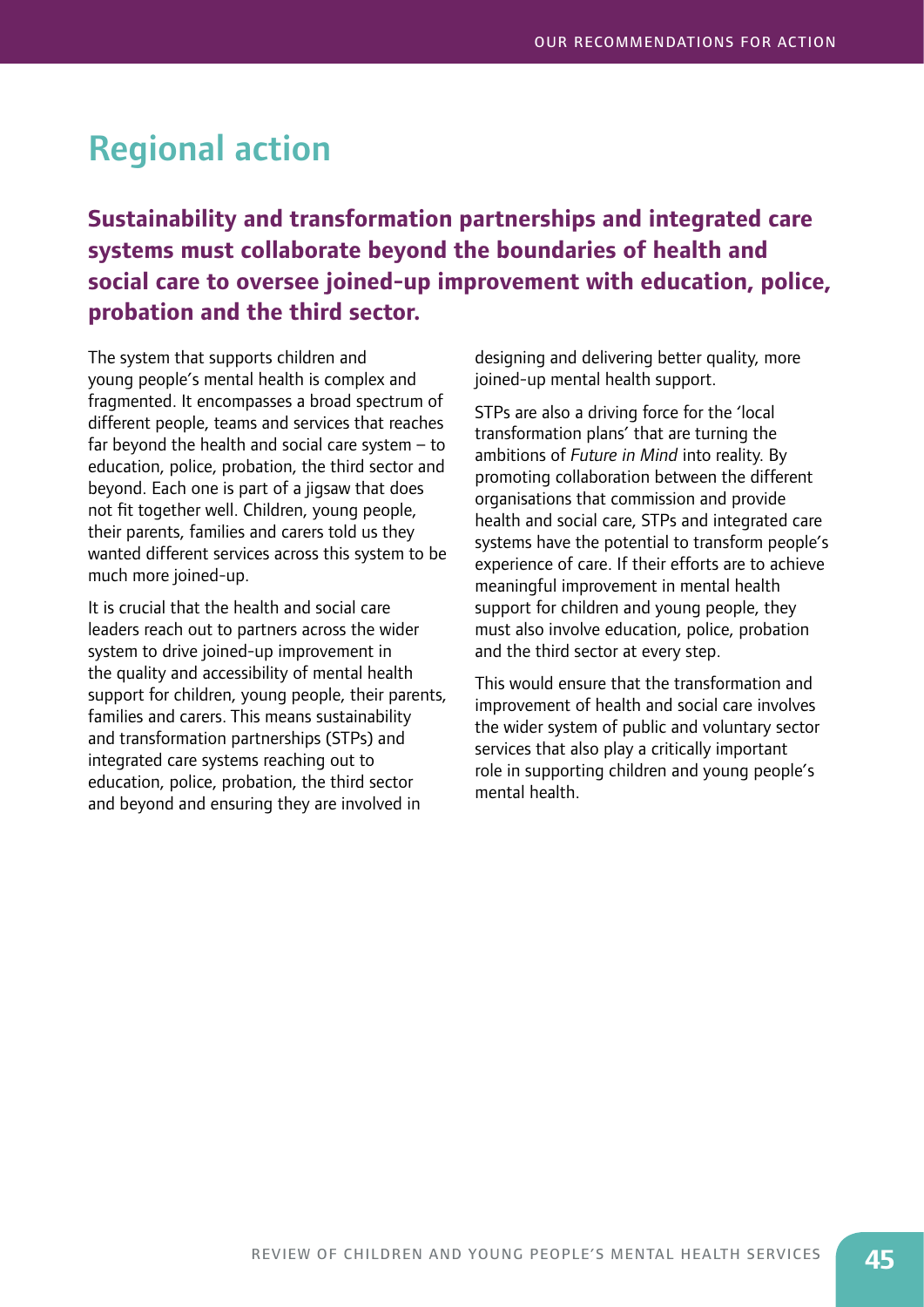### Regional action

**Sustainability and transformation partnerships and integrated care systems must collaborate beyond the boundaries of health and social care to oversee joined-up improvement with education, police, probation and the third sector.** 

The system that supports children and young people's mental health is complex and fragmented. It encompasses a broad spectrum of different people, teams and services that reaches far beyond the health and social care system – to education, police, probation, the third sector and beyond. Each one is part of a jigsaw that does not fit together well. Children, young people, their parents, families and carers told us they wanted different services across this system to be much more joined-up.

It is crucial that the health and social care leaders reach out to partners across the wider system to drive joined-up improvement in the quality and accessibility of mental health support for children, young people, their parents, families and carers. This means sustainability and transformation partnerships (STPs) and integrated care systems reaching out to education, police, probation, the third sector and beyond and ensuring they are involved in

designing and delivering better quality, more joined-up mental health support.

STPs are also a driving force for the 'local transformation plans' that are turning the ambitions of *Future in Mind* into reality. By promoting collaboration between the different organisations that commission and provide health and social care, STPs and integrated care systems have the potential to transform people's experience of care. If their efforts are to achieve meaningful improvement in mental health support for children and young people, they must also involve education, police, probation and the third sector at every step.

This would ensure that the transformation and improvement of health and social care involves the wider system of public and voluntary sector services that also play a critically important role in supporting children and young people's mental health.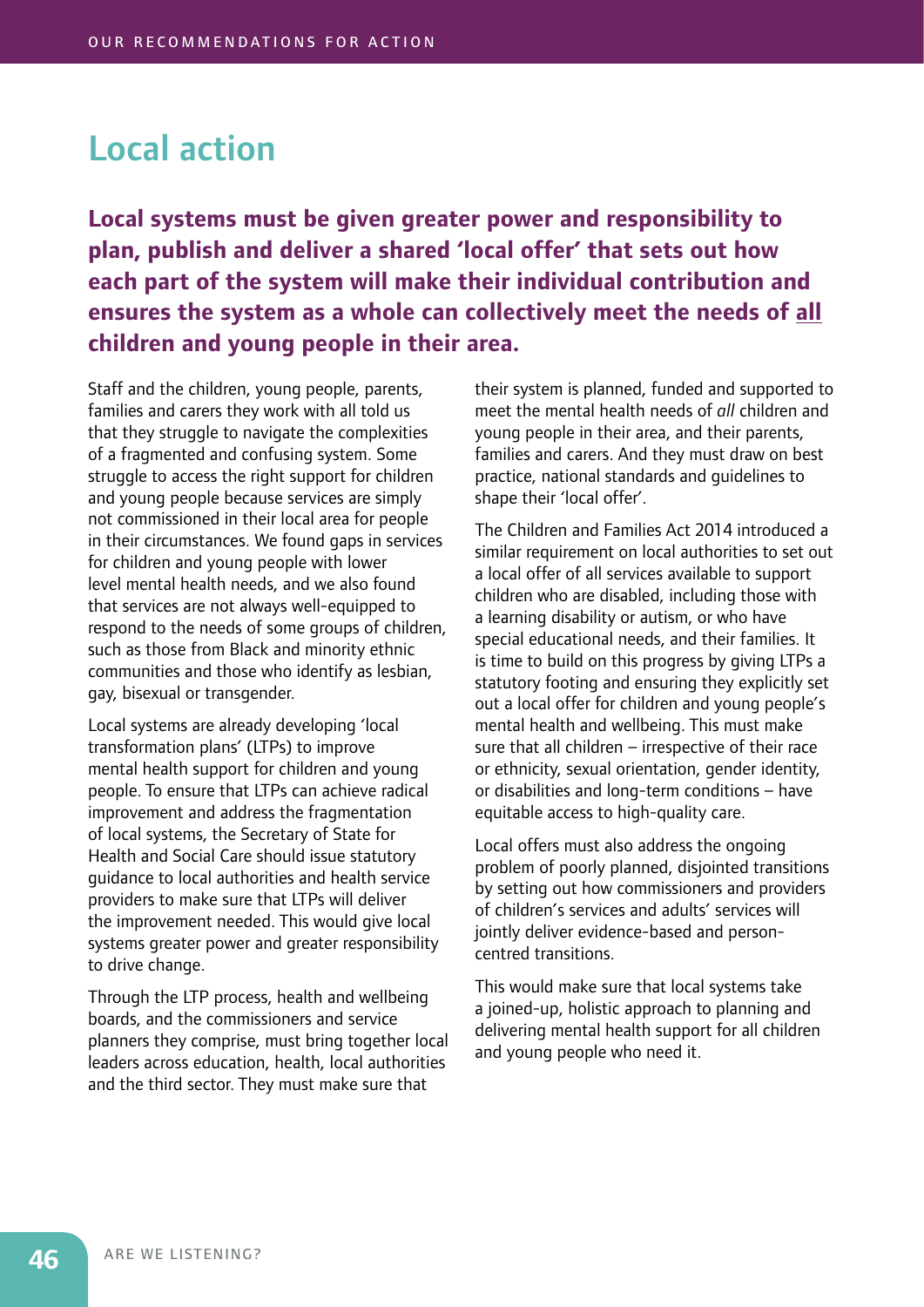### Local action

**Local systems must be given greater power and responsibility to plan, publish and deliver a shared 'local offer' that sets out how each part of the system will make their individual contribution and ensures the system as a whole can collectively meet the needs of all children and young people in their area.** 

Staff and the children, young people, parents, families and carers they work with all told us that they struggle to navigate the complexities of a fragmented and confusing system. Some struggle to access the right support for children and young people because services are simply not commissioned in their local area for people in their circumstances. We found gaps in services for children and young people with lower level mental health needs, and we also found that services are not always well-equipped to respond to the needs of some groups of children, such as those from Black and minority ethnic communities and those who identify as lesbian, gay, bisexual or transgender.

Local systems are already developing 'local transformation plans' (LTPs) to improve mental health support for children and young people. To ensure that LTPs can achieve radical improvement and address the fragmentation of local systems, the Secretary of State for Health and Social Care should issue statutory guidance to local authorities and health service providers to make sure that LTPs will deliver the improvement needed. This would give local systems greater power and greater responsibility to drive change.

Through the LTP process, health and wellbeing boards, and the commissioners and service planners they comprise, must bring together local leaders across education, health, local authorities and the third sector. They must make sure that

their system is planned, funded and supported to meet the mental health needs of *all* children and young people in their area, and their parents, families and carers. And they must draw on best practice, national standards and guidelines to shape their 'local offer'.

The Children and Families Act 2014 introduced a similar requirement on local authorities to set out a local offer of all services available to support children who are disabled, including those with a learning disability or autism, or who have special educational needs, and their families. It is time to build on this progress by giving LTPs a statutory footing and ensuring they explicitly set out a local offer for children and young people's mental health and wellbeing. This must make sure that all children – irrespective of their race or ethnicity, sexual orientation, gender identity, or disabilities and long-term conditions – have equitable access to high-quality care.

Local offers must also address the ongoing problem of poorly planned, disjointed transitions by setting out how commissioners and providers of children's services and adults' services will jointly deliver evidence-based and personcentred transitions.

This would make sure that local systems take a joined-up, holistic approach to planning and delivering mental health support for all children and young people who need it.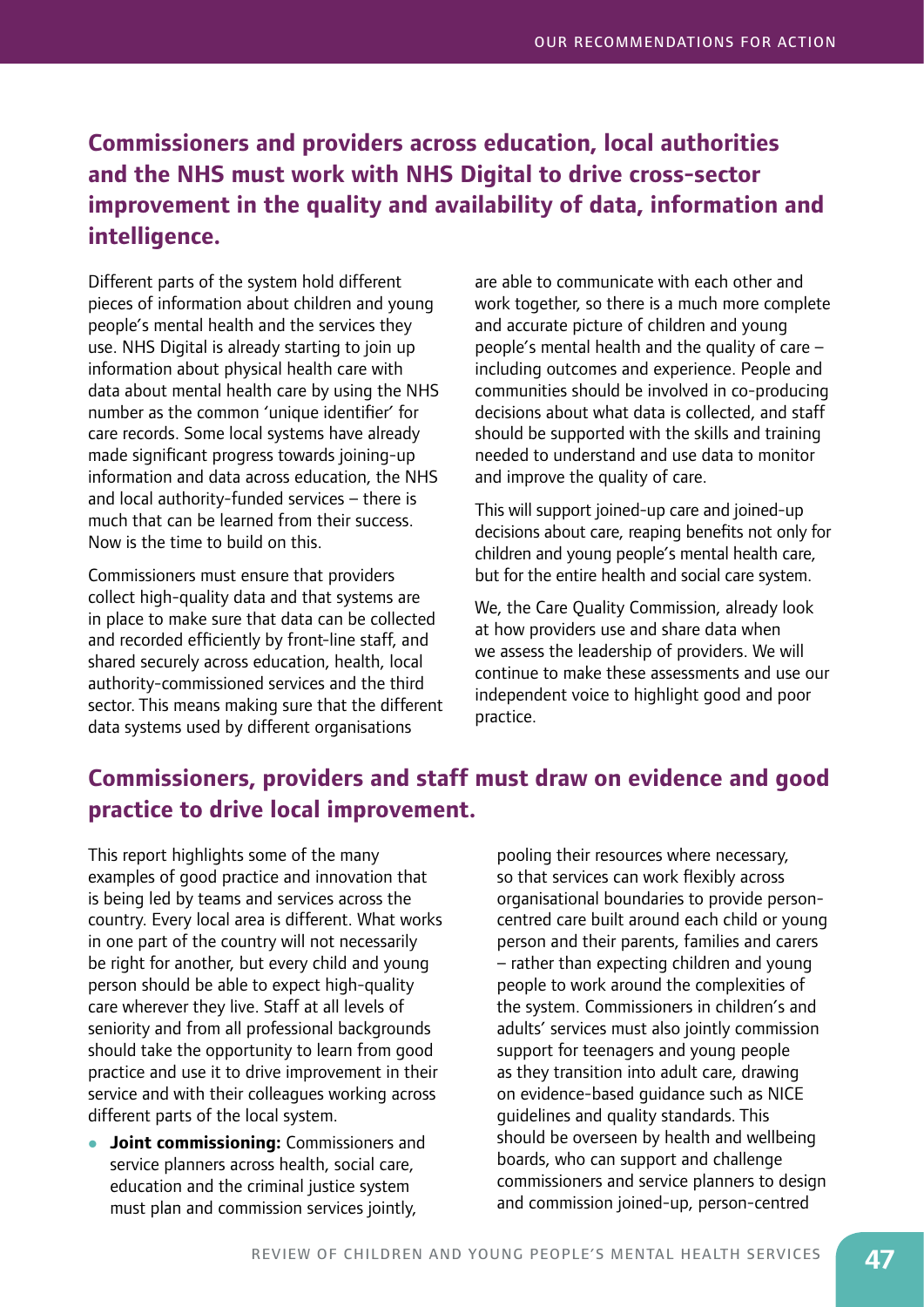#### **Commissioners and providers across education, local authorities and the NHS must work with NHS Digital to drive cross-sector improvement in the quality and availability of data, information and intelligence.**

Different parts of the system hold different pieces of information about children and young people's mental health and the services they use. NHS Digital is already starting to join up information about physical health care with data about mental health care by using the NHS number as the common 'unique identifier' for care records. Some local systems have already made significant progress towards joining-up information and data across education, the NHS and local authority-funded services – there is much that can be learned from their success. Now is the time to build on this.

Commissioners must ensure that providers collect high-quality data and that systems are in place to make sure that data can be collected and recorded efficiently by front-line staff, and shared securely across education, health, local authority-commissioned services and the third sector. This means making sure that the different data systems used by different organisations

are able to communicate with each other and work together, so there is a much more complete and accurate picture of children and young people's mental health and the quality of care – including outcomes and experience. People and communities should be involved in co-producing decisions about what data is collected, and staff should be supported with the skills and training needed to understand and use data to monitor and improve the quality of care.

This will support joined-up care and joined-up decisions about care, reaping benefits not only for children and young people's mental health care, but for the entire health and social care system.

We, the Care Quality Commission, already look at how providers use and share data when we assess the leadership of providers. We will continue to make these assessments and use our independent voice to highlight good and poor practice.

#### **Commissioners, providers and staff must draw on evidence and good practice to drive local improvement.**

This report highlights some of the many examples of good practice and innovation that is being led by teams and services across the country. Every local area is different. What works in one part of the country will not necessarily be right for another, but every child and young person should be able to expect high-quality care wherever they live. Staff at all levels of seniority and from all professional backgrounds should take the opportunity to learn from good practice and use it to drive improvement in their service and with their colleagues working across different parts of the local system.

**Joint commissioning:** Commissioners and service planners across health, social care, education and the criminal justice system must plan and commission services jointly,

pooling their resources where necessary, so that services can work flexibly across organisational boundaries to provide personcentred care built around each child or young person and their parents, families and carers – rather than expecting children and young people to work around the complexities of the system. Commissioners in children's and adults' services must also jointly commission support for teenagers and young people as they transition into adult care, drawing on evidence-based guidance such as NICE guidelines and quality standards. This should be overseen by health and wellbeing boards, who can support and challenge commissioners and service planners to design and commission joined-up, person-centred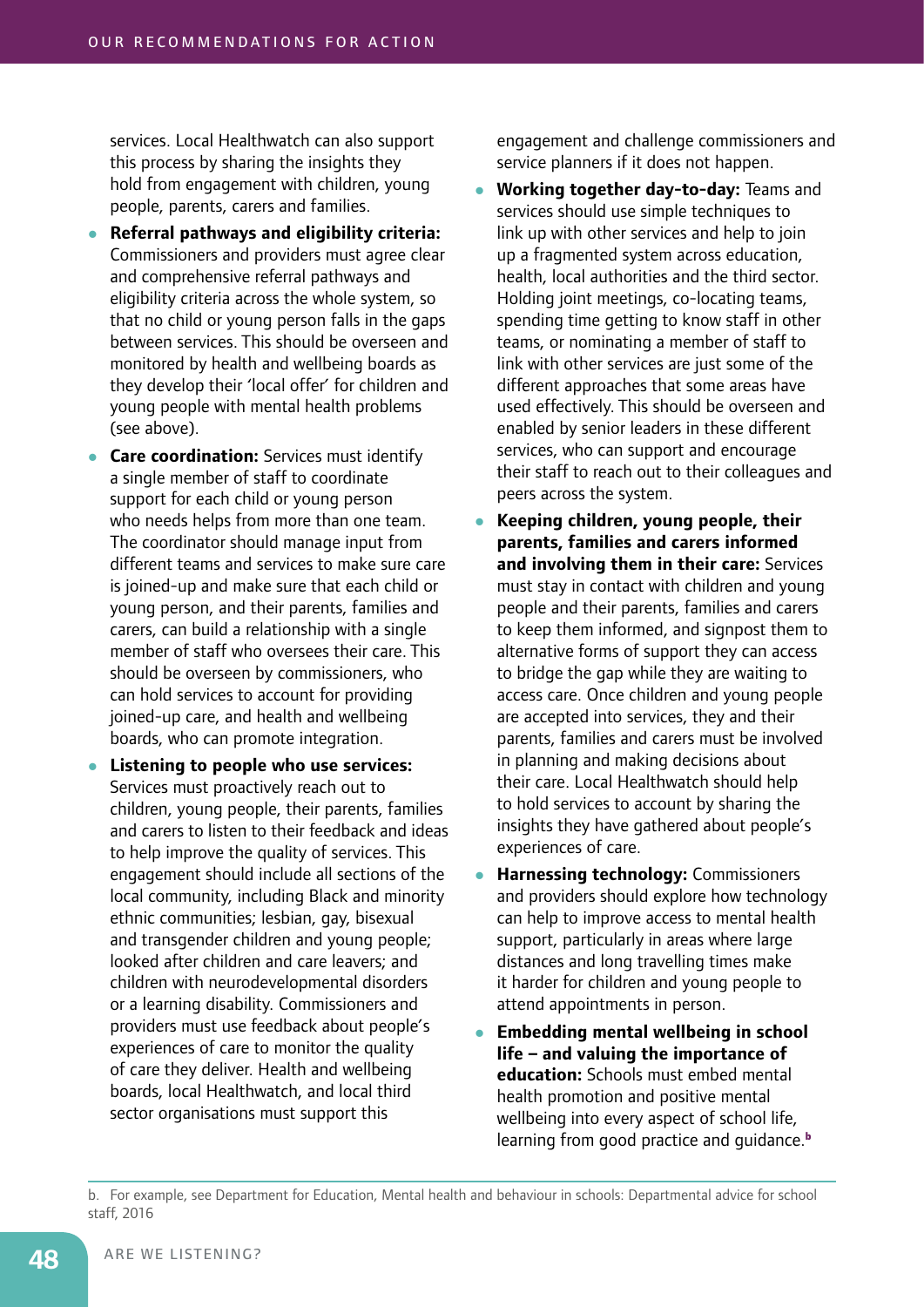services. Local Healthwatch can also support this process by sharing the insights they hold from engagement with children, young people, parents, carers and families.

- **Referral pathways and eligibility criteria:** Commissioners and providers must agree clear and comprehensive referral pathways and eligibility criteria across the whole system, so that no child or young person falls in the gaps between services. This should be overseen and monitored by health and wellbeing boards as they develop their 'local offer' for children and young people with mental health problems (see above).
- **Care coordination:** Services must identify a single member of staff to coordinate support for each child or young person who needs helps from more than one team. The coordinator should manage input from different teams and services to make sure care is joined-up and make sure that each child or young person, and their parents, families and carers, can build a relationship with a single member of staff who oversees their care. This should be overseen by commissioners, who can hold services to account for providing joined-up care, and health and wellbeing boards, who can promote integration.
- **EXECTE:** Listening to people who use services: Services must proactively reach out to children, young people, their parents, families and carers to listen to their feedback and ideas to help improve the quality of services. This engagement should include all sections of the local community, including Black and minority ethnic communities; lesbian, gay, bisexual and transgender children and young people; looked after children and care leavers; and children with neurodevelopmental disorders or a learning disability. Commissioners and providers must use feedback about people's experiences of care to monitor the quality of care they deliver. Health and wellbeing boards, local Healthwatch, and local third sector organisations must support this

engagement and challenge commissioners and service planners if it does not happen.

- **Working together day-to-day:** Teams and services should use simple techniques to link up with other services and help to join up a fragmented system across education, health, local authorities and the third sector. Holding joint meetings, co-locating teams, spending time getting to know staff in other teams, or nominating a member of staff to link with other services are just some of the different approaches that some areas have used effectively. This should be overseen and enabled by senior leaders in these different services, who can support and encourage their staff to reach out to their colleagues and peers across the system.
- **Keeping children, young people, their parents, families and carers informed and involving them in their care:** Services must stay in contact with children and young people and their parents, families and carers to keep them informed, and signpost them to alternative forms of support they can access to bridge the gap while they are waiting to access care. Once children and young people are accepted into services, they and their parents, families and carers must be involved in planning and making decisions about their care. Local Healthwatch should help to hold services to account by sharing the insights they have gathered about people's experiences of care.
- **Harnessing technology: Commissioners** and providers should explore how technology can help to improve access to mental health support, particularly in areas where large distances and long travelling times make it harder for children and young people to attend appointments in person.
- **Embedding mental wellbeing in school life – and valuing the importance of education:** Schools must embed mental health promotion and positive mental wellbeing into every aspect of school life, learning from good practice and guidance.**<sup>b</sup>**

b. For example, see Department for Education, Mental health and behaviour in schools: Departmental advice for school staff, 2016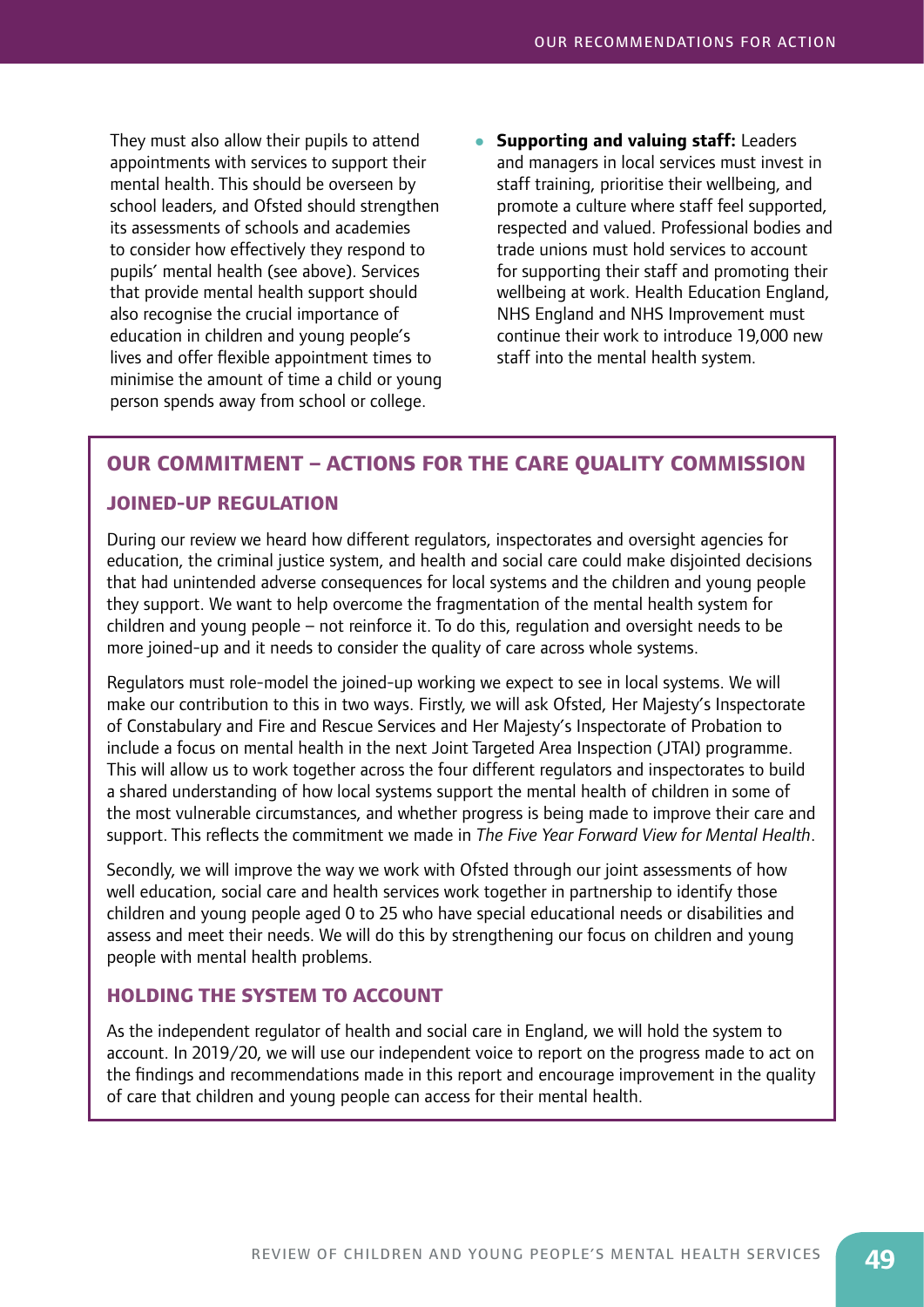They must also allow their pupils to attend appointments with services to support their mental health. This should be overseen by school leaders, and Ofsted should strengthen its assessments of schools and academies to consider how effectively they respond to pupils' mental health (see above). Services that provide mental health support should also recognise the crucial importance of education in children and young people's lives and offer flexible appointment times to minimise the amount of time a child or young person spends away from school or college.

**• Supporting and valuing staff: Leaders** and managers in local services must invest in staff training, prioritise their wellbeing, and promote a culture where staff feel supported, respected and valued. Professional bodies and trade unions must hold services to account for supporting their staff and promoting their wellbeing at work. Health Education England, NHS England and NHS Improvement must continue their work to introduce 19,000 new staff into the mental health system.

#### **OUR COMMITMENT – ACTIONS FOR THE CARE QUALITY COMMISSION**

#### **JOINED-UP REGULATION**

During our review we heard how different regulators, inspectorates and oversight agencies for education, the criminal justice system, and health and social care could make disjointed decisions that had unintended adverse consequences for local systems and the children and young people they support. We want to help overcome the fragmentation of the mental health system for children and young people – not reinforce it. To do this, regulation and oversight needs to be more joined-up and it needs to consider the quality of care across whole systems.

Regulators must role-model the joined-up working we expect to see in local systems. We will make our contribution to this in two ways. Firstly, we will ask Ofsted, Her Majesty's Inspectorate of Constabulary and Fire and Rescue Services and Her Majesty's Inspectorate of Probation to include a focus on mental health in the next Joint Targeted Area Inspection (JTAI) programme. This will allow us to work together across the four different regulators and inspectorates to build a shared understanding of how local systems support the mental health of children in some of the most vulnerable circumstances, and whether progress is being made to improve their care and support. This reflects the commitment we made in *The Five Year Forward View for Mental Health*.

Secondly, we will improve the way we work with Ofsted through our joint assessments of how well education, social care and health services work together in partnership to identify those children and young people aged 0 to 25 who have special educational needs or disabilities and assess and meet their needs. We will do this by strengthening our focus on children and young people with mental health problems.

#### **HOLDING THE SYSTEM TO ACCOUNT**

As the independent regulator of health and social care in England, we will hold the system to account. In 2019/20, we will use our independent voice to report on the progress made to act on the findings and recommendations made in this report and encourage improvement in the quality of care that children and young people can access for their mental health.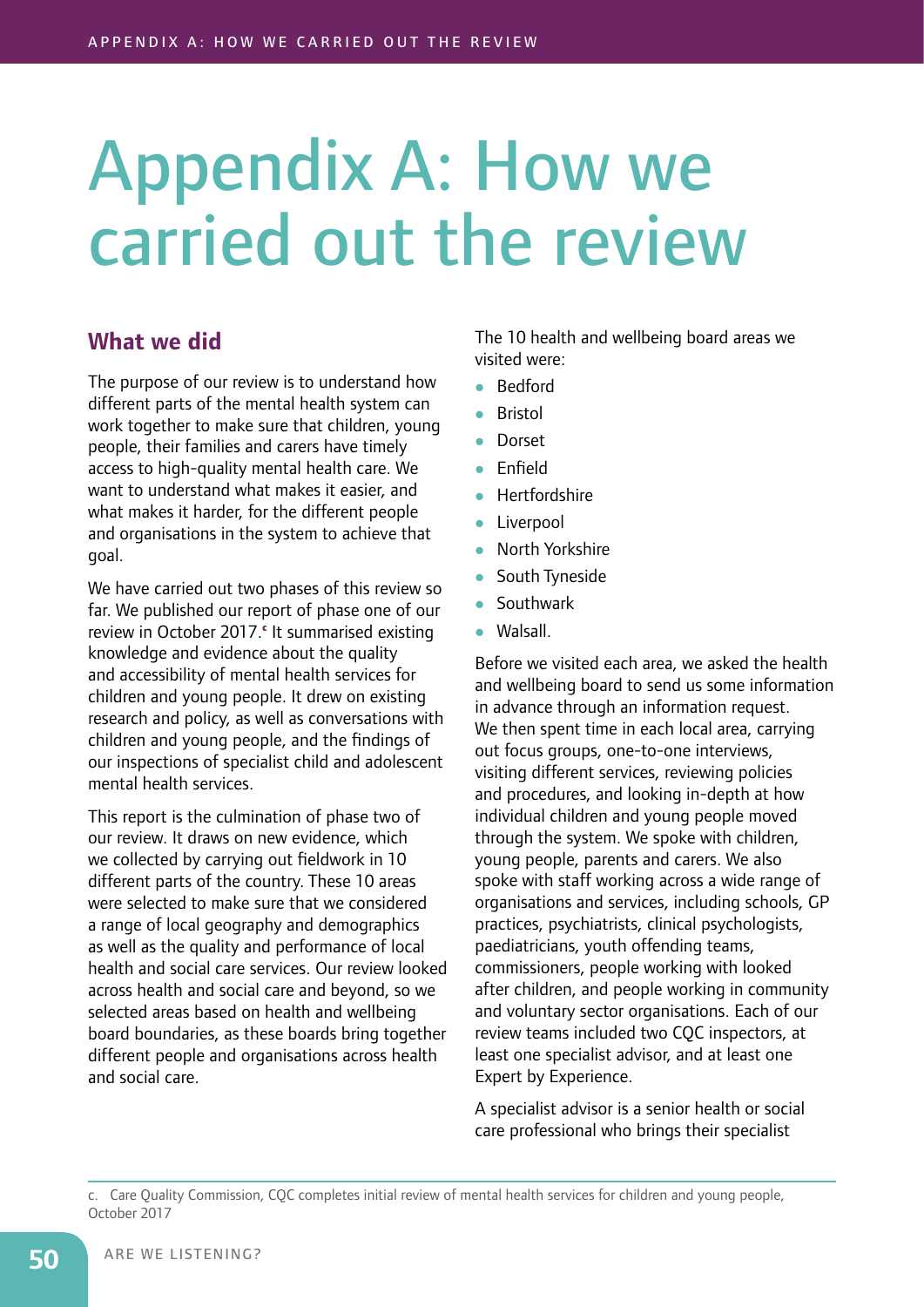## <span id="page-51-0"></span>Appendix A: How we carried out the review

#### **What we did**

The purpose of our review is to understand how different parts of the mental health system can work together to make sure that children, young people, their families and carers have timely access to high-quality mental health care. We want to understand what makes it easier, and what makes it harder, for the different people and organisations in the system to achieve that goal.

We have carried out two phases of this review so far. We published our report of phase one of our review in October 2017.<sup>c</sup> It summarised existing knowledge and evidence about the quality and accessibility of mental health services for children and young people. It drew on existing research and policy, as well as conversations with children and young people, and the findings of our inspections of specialist child and adolescent mental health services.

This report is the culmination of phase two of our review. It draws on new evidence, which we collected by carrying out fieldwork in 10 different parts of the country. These 10 areas were selected to make sure that we considered a range of local geography and demographics as well as the quality and performance of local health and social care services. Our review looked across health and social care and beyond, so we selected areas based on health and wellbeing board boundaries, as these boards bring together different people and organisations across health and social care.

The 10 health and wellbeing board areas we visited were:

- <sup>z</sup> Bedford
- **•** Bristol
- **Dorset**
- <sup>z</sup> Enfield
- $\bullet$  Hertfordshire
- Liverpool
- North Yorkshire
- South Tyneside
- Southwark
- Walsall

Before we visited each area, we asked the health and wellbeing board to send us some information in advance through an information request. We then spent time in each local area, carrying out focus groups, one-to-one interviews, visiting different services, reviewing policies and procedures, and looking in-depth at how individual children and young people moved through the system. We spoke with children, young people, parents and carers. We also spoke with staff working across a wide range of organisations and services, including schools, GP practices, psychiatrists, clinical psychologists, paediatricians, youth offending teams, commissioners, people working with looked after children, and people working in community and voluntary sector organisations. Each of our review teams included two CQC inspectors, at least one specialist advisor, and at least one Expert by Experience.

A specialist advisor is a senior health or social care professional who brings their specialist

c. Care Quality Commission, [CQC completes initial review of mental health services for children and young people](http://www.cqc.org.uk/news/releases/cqc-completes-initial-review-mental-health-services-children-young-people), October 2017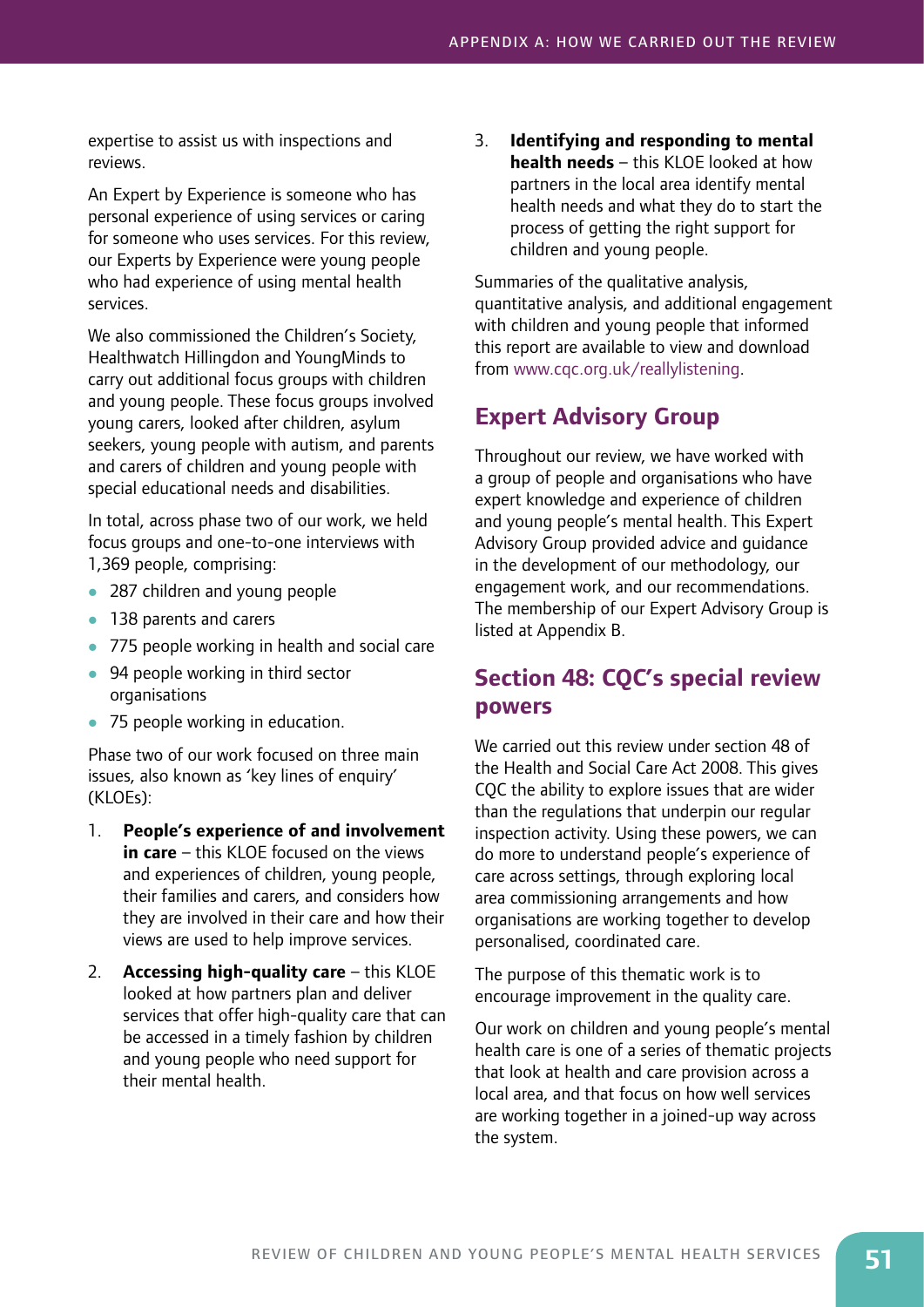<span id="page-52-0"></span>expertise to assist us with inspections and reviews.

An Expert by Experience is someone who has personal experience of using services or caring for someone who uses services. For this review, our Experts by Experience were young people who had experience of using mental health services.

We also commissioned the Children's Society. Healthwatch Hillingdon and YoungMinds to carry out additional focus groups with children and young people. These focus groups involved young carers, looked after children, asylum seekers, young people with autism, and parents and carers of children and young people with special educational needs and disabilities.

In total, across phase two of our work, we held focus groups and one-to-one interviews with 1,369 people, comprising:

- 287 children and young people
- 138 parents and carers
- 775 people working in health and social care
- $\bullet$  94 people working in third sector organisations
- $\bullet$  75 people working in education.

Phase two of our work focused on three main issues, also known as 'key lines of enquiry' (KLOEs):

- 1. **People's experience of and involvement in care** – this KLOE focused on the views and experiences of children, young people, their families and carers, and considers how they are involved in their care and how their views are used to help improve services.
- 2. **Accessing high-quality care** this KLOE looked at how partners plan and deliver services that offer high-quality care that can be accessed in a timely fashion by children and young people who need support for their mental health.

3. **Identifying and responding to mental health needs** – this KLOE looked at how partners in the local area identify mental health needs and what they do to start the process of getting the right support for children and young people.

Summaries of the qualitative analysis, quantitative analysis, and additional engagement with children and young people that informed this report are available to view and download from [www.cqc.org.uk](http://www.cqc.org.uk/reallylistening)/reallylistening.

#### **Expert Advisory Group**

Throughout our review, we have worked with a group of people and organisations who have expert knowledge and experience of children and young people's mental health. This Expert Advisory Group provided advice and guidance in the development of our methodology, our engagement work, and our recommendations. The membership of our Expert Advisory Group is listed at Appendix B.

#### **Section 48: CQC's special review powers**

We carried out this review under section 48 of the Health and Social Care Act 2008. This gives CQC the ability to explore issues that are wider than the regulations that underpin our regular inspection activity. Using these powers, we can do more to understand people's experience of care across settings, through exploring local area commissioning arrangements and how organisations are working together to develop personalised, coordinated care.

The purpose of this thematic work is to encourage improvement in the quality care.

Our work on children and young people's mental health care is one of a series of thematic projects that look at health and care provision across a local area, and that focus on how well services are working together in a joined-up way across the system.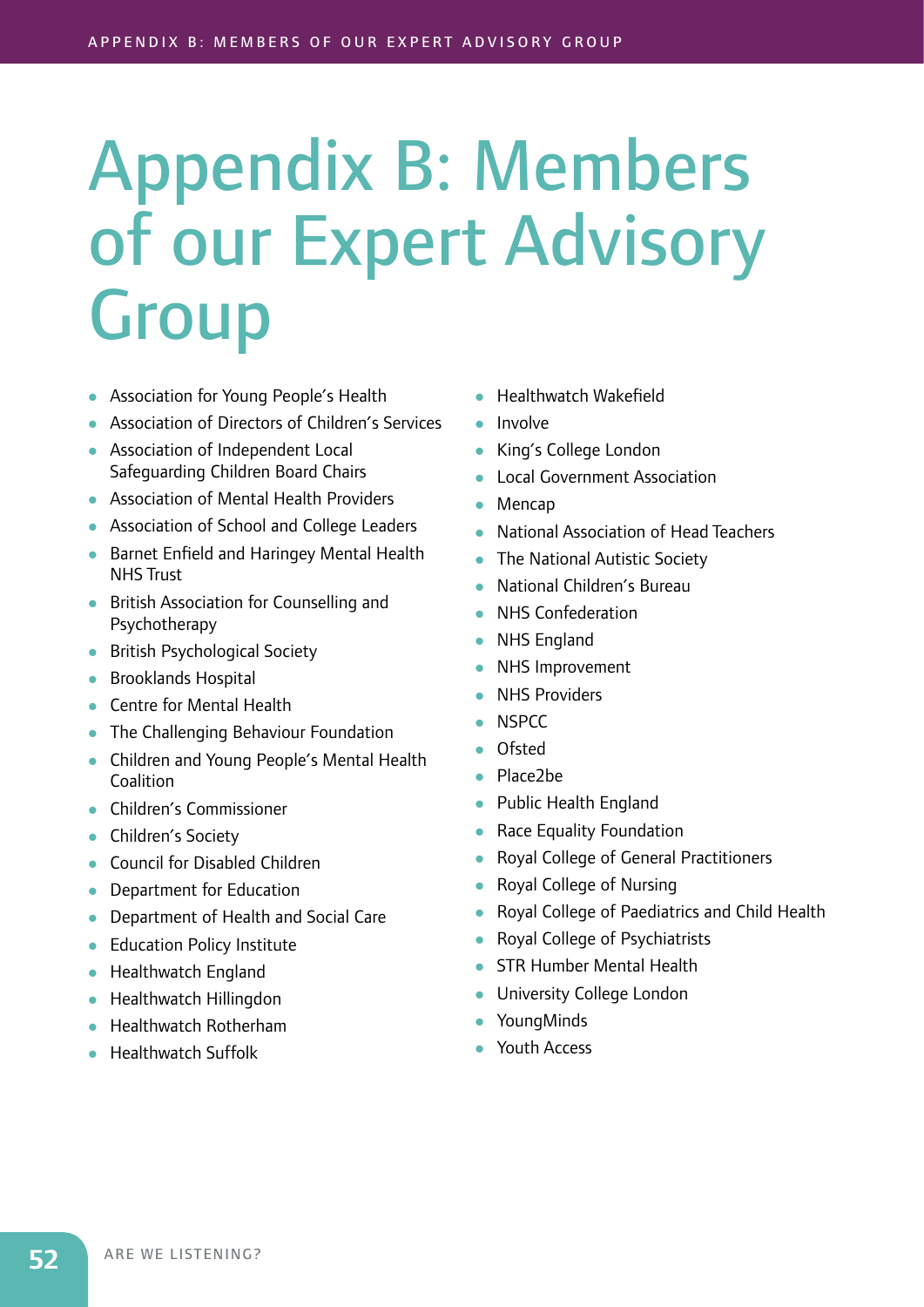# <span id="page-53-0"></span>Appendix B: Members of our Expert Advisory **Group**

- Association for Young People's Health
- Association of Directors of Children's Services
- Association of Independent Local Safeguarding Children Board Chairs
- Association of Mental Health Providers
- Association of School and College Leaders
- Barnet Enfield and Haringey Mental Health NHS Trust
- British Association for Counselling and Psychotherapy
- British Psychological Society
- Brooklands Hospital
- Centre for Mental Health
- The Challenging Behaviour Foundation
- Children and Young People's Mental Health Coalition
- Children's Commissioner
- Children's Society
- Council for Disabled Children
- Department for Education
- Department of Health and Social Care
- Education Policy Institute
- $\bullet$  Healthwatch England
- $\bullet$  Healthwatch Hillingdon
- $\bullet$  Healthwatch Rotherham
- **•** Healthwatch Suffolk
- $\bullet$  Healthwatch Wakefield
- $\bullet$  Involve
- King's College London
- Local Government Association
- $\bullet$  Mencap
- **National Association of Head Teachers**
- The National Autistic Society
- National Children's Bureau
- **NHS Confederation**
- **NHS England**
- NHS Improvement
- NHS Providers
- NSPCC
- <sup>z</sup> Ofsted
- Place2be
- Public Health England
- Race Equality Foundation
- Royal College of General Practitioners
- Royal College of Nursing
- Royal College of Paediatrics and Child Health
- Royal College of Psychiatrists
- STR Humber Mental Health
- University College London
- YoungMinds
- **Youth Access**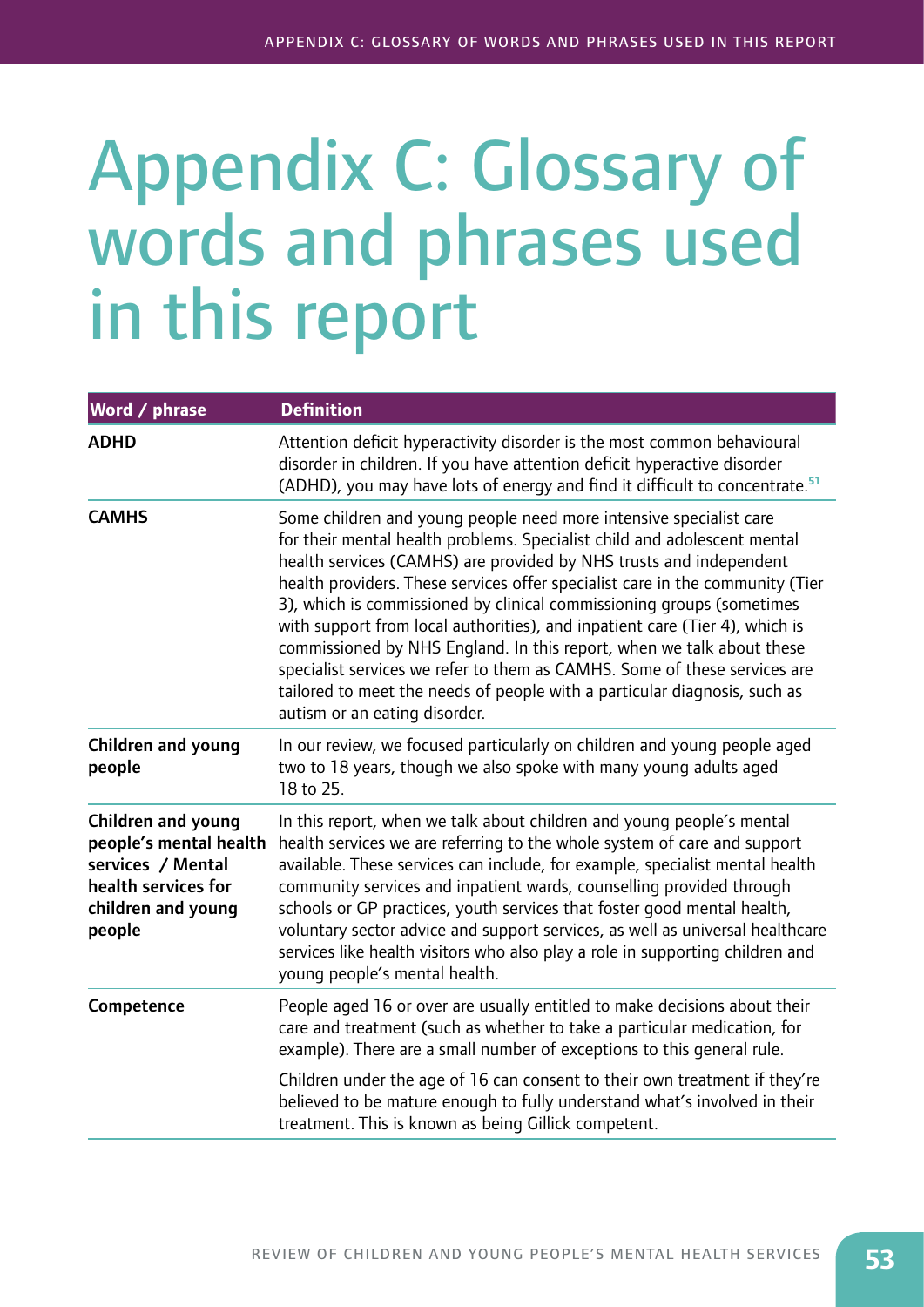# <span id="page-54-0"></span>Appendix C: Glossary of words and phrases used in this report

| <b>Word / phrase</b>                                                                                                     | <b>Definition</b>                                                                                                                                                                                                                                                                                                                                                                                                                                                                                                                                                                                                                                                                                                                 |
|--------------------------------------------------------------------------------------------------------------------------|-----------------------------------------------------------------------------------------------------------------------------------------------------------------------------------------------------------------------------------------------------------------------------------------------------------------------------------------------------------------------------------------------------------------------------------------------------------------------------------------------------------------------------------------------------------------------------------------------------------------------------------------------------------------------------------------------------------------------------------|
| <b>ADHD</b>                                                                                                              | Attention deficit hyperactivity disorder is the most common behavioural<br>disorder in children. If you have attention deficit hyperactive disorder<br>(ADHD), you may have lots of energy and find it difficult to concentrate. <sup>51</sup>                                                                                                                                                                                                                                                                                                                                                                                                                                                                                    |
| <b>CAMHS</b>                                                                                                             | Some children and young people need more intensive specialist care<br>for their mental health problems. Specialist child and adolescent mental<br>health services (CAMHS) are provided by NHS trusts and independent<br>health providers. These services offer specialist care in the community (Tier<br>3), which is commissioned by clinical commissioning groups (sometimes<br>with support from local authorities), and inpatient care (Tier 4), which is<br>commissioned by NHS England. In this report, when we talk about these<br>specialist services we refer to them as CAMHS. Some of these services are<br>tailored to meet the needs of people with a particular diagnosis, such as<br>autism or an eating disorder. |
| <b>Children and young</b><br>people                                                                                      | In our review, we focused particularly on children and young people aged<br>two to 18 years, though we also spoke with many young adults aged<br>18 to 25.                                                                                                                                                                                                                                                                                                                                                                                                                                                                                                                                                                        |
| Children and young<br>people's mental health<br>services / Mental<br>health services for<br>children and young<br>people | In this report, when we talk about children and young people's mental<br>health services we are referring to the whole system of care and support<br>available. These services can include, for example, specialist mental health<br>community services and inpatient wards, counselling provided through<br>schools or GP practices, youth services that foster good mental health,<br>voluntary sector advice and support services, as well as universal healthcare<br>services like health visitors who also play a role in supporting children and<br>young people's mental health.                                                                                                                                           |
| Competence                                                                                                               | People aged 16 or over are usually entitled to make decisions about their<br>care and treatment (such as whether to take a particular medication, for<br>example). There are a small number of exceptions to this general rule.                                                                                                                                                                                                                                                                                                                                                                                                                                                                                                   |
|                                                                                                                          | Children under the age of 16 can consent to their own treatment if they're<br>believed to be mature enough to fully understand what's involved in their<br>treatment. This is known as being Gillick competent.                                                                                                                                                                                                                                                                                                                                                                                                                                                                                                                   |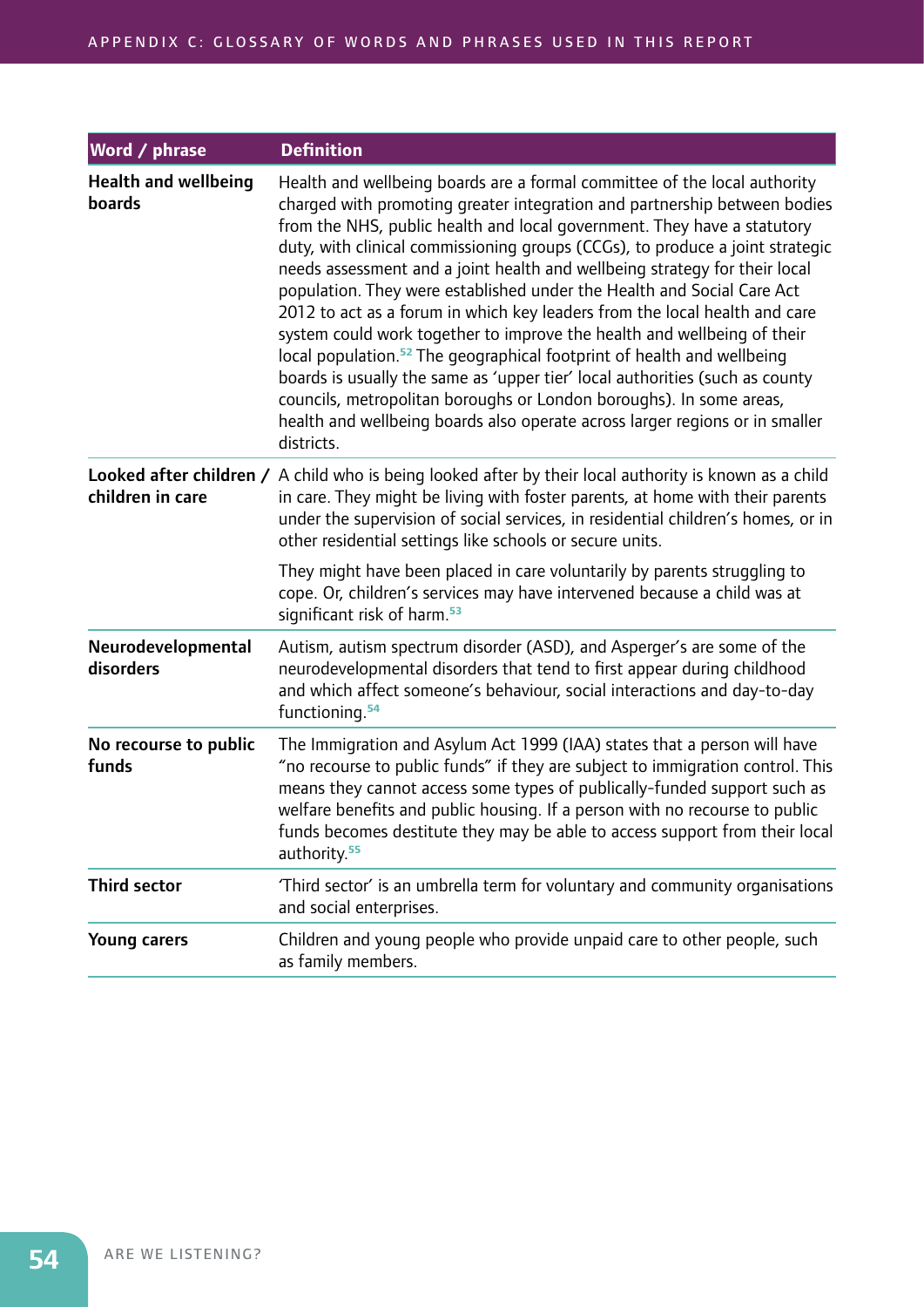<span id="page-55-0"></span>

| <b>Word / phrase</b>                  | <b>Definition</b>                                                                                                                                                                                                                                                                                                                                                                                                                                                                                                                                                                                                                                                                                                                                                                                                                                                                                                                                                              |
|---------------------------------------|--------------------------------------------------------------------------------------------------------------------------------------------------------------------------------------------------------------------------------------------------------------------------------------------------------------------------------------------------------------------------------------------------------------------------------------------------------------------------------------------------------------------------------------------------------------------------------------------------------------------------------------------------------------------------------------------------------------------------------------------------------------------------------------------------------------------------------------------------------------------------------------------------------------------------------------------------------------------------------|
| <b>Health and wellbeing</b><br>boards | Health and wellbeing boards are a formal committee of the local authority<br>charged with promoting greater integration and partnership between bodies<br>from the NHS, public health and local government. They have a statutory<br>duty, with clinical commissioning groups (CCGs), to produce a joint strategic<br>needs assessment and a joint health and wellbeing strategy for their local<br>population. They were established under the Health and Social Care Act<br>2012 to act as a forum in which key leaders from the local health and care<br>system could work together to improve the health and wellbeing of their<br>local population. <sup>52</sup> The geographical footprint of health and wellbeing<br>boards is usually the same as 'upper tier' local authorities (such as county<br>councils, metropolitan boroughs or London boroughs). In some areas,<br>health and wellbeing boards also operate across larger regions or in smaller<br>districts. |
| children in care                      | Looked after children / A child who is being looked after by their local authority is known as a child<br>in care. They might be living with foster parents, at home with their parents<br>under the supervision of social services, in residential children's homes, or in<br>other residential settings like schools or secure units.                                                                                                                                                                                                                                                                                                                                                                                                                                                                                                                                                                                                                                        |
|                                       | They might have been placed in care voluntarily by parents struggling to<br>cope. Or, children's services may have intervened because a child was at<br>significant risk of harm. <sup>53</sup>                                                                                                                                                                                                                                                                                                                                                                                                                                                                                                                                                                                                                                                                                                                                                                                |
| Neurodevelopmental<br>disorders       | Autism, autism spectrum disorder (ASD), and Asperger's are some of the<br>neurodevelopmental disorders that tend to first appear during childhood<br>and which affect someone's behaviour, social interactions and day-to-day<br>functioning. <sup>54</sup>                                                                                                                                                                                                                                                                                                                                                                                                                                                                                                                                                                                                                                                                                                                    |
| No recourse to public<br>funds        | The Immigration and Asylum Act 1999 (IAA) states that a person will have<br>"no recourse to public funds" if they are subject to immigration control. This<br>means they cannot access some types of publically-funded support such as<br>welfare benefits and public housing. If a person with no recourse to public<br>funds becomes destitute they may be able to access support from their local<br>authority. <sup>55</sup>                                                                                                                                                                                                                                                                                                                                                                                                                                                                                                                                               |
| <b>Third sector</b>                   | Third sector' is an umbrella term for voluntary and community organisations<br>and social enterprises.                                                                                                                                                                                                                                                                                                                                                                                                                                                                                                                                                                                                                                                                                                                                                                                                                                                                         |
| <b>Young carers</b>                   | Children and young people who provide unpaid care to other people, such<br>as family members.                                                                                                                                                                                                                                                                                                                                                                                                                                                                                                                                                                                                                                                                                                                                                                                                                                                                                  |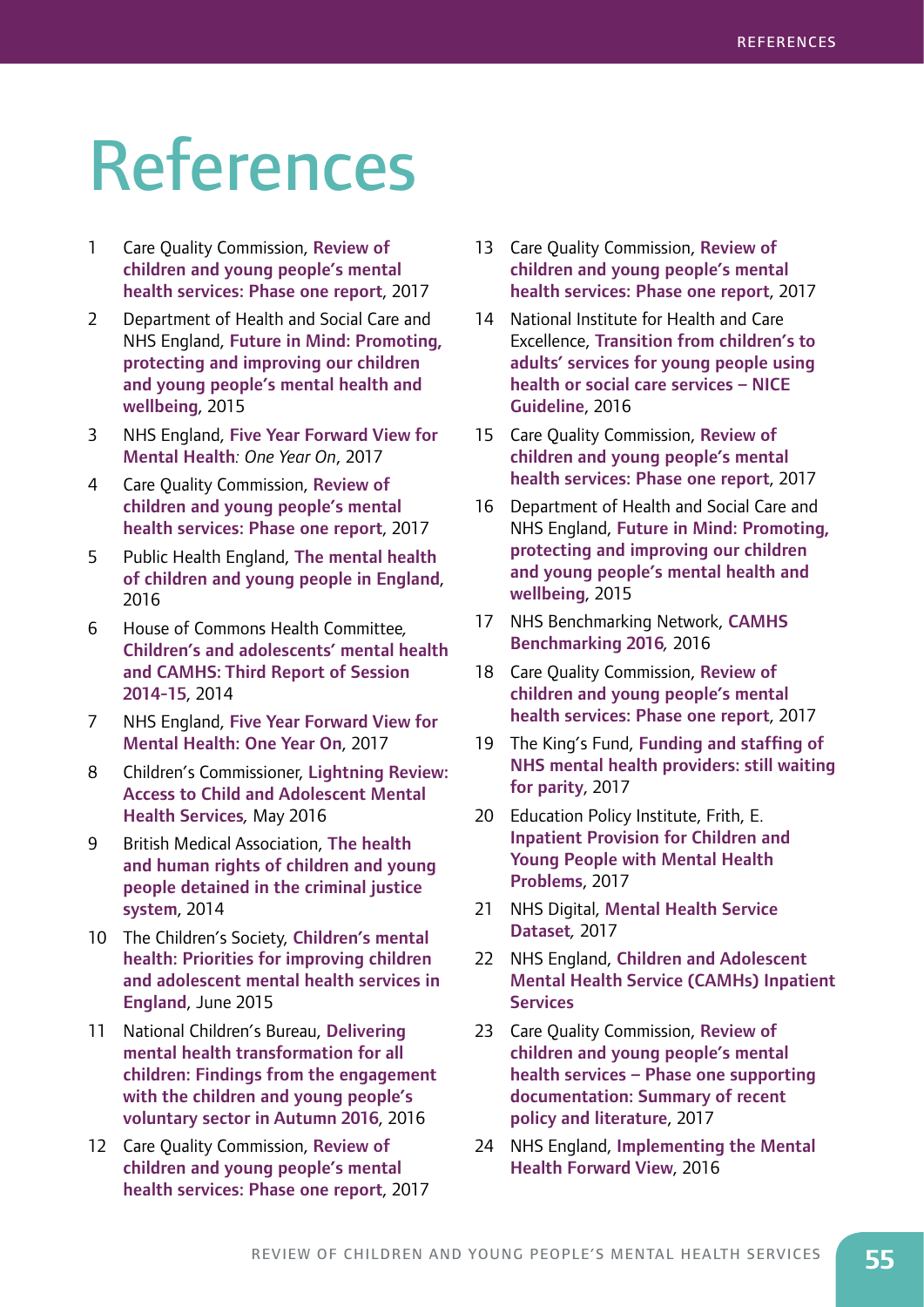## <span id="page-56-0"></span>References

- [1](#page-5-0) Care Quality Commission, Review of [children and young people's mental](http://www.cqc.org.uk/publications/themed-work/review-children-young-peoples-mental-health-services-phase-one-report)  [health services: Phase one report](http://www.cqc.org.uk/publications/themed-work/review-children-young-peoples-mental-health-services-phase-one-report), 2017
- [2](#page-6-0) Department of Health and Social Care and NHS England, [Future in Mind: Promoting,](https://www.gov.uk/government/uploads/system/uploads/attachment_data/file/414024/Childrens_Mental_Health.pdf)  [protecting and improving our children](https://www.gov.uk/government/uploads/system/uploads/attachment_data/file/414024/Childrens_Mental_Health.pdf)  [and young people's mental health and](https://www.gov.uk/government/uploads/system/uploads/attachment_data/file/414024/Childrens_Mental_Health.pdf)  [wellbeing](https://www.gov.uk/government/uploads/system/uploads/attachment_data/file/414024/Childrens_Mental_Health.pdf), 2015
- [3](#page-6-0) NHS England, [Five Year Forward View for](https://www.england.nhs.uk/publication/five-year-forward-view-for-mental-health-one-year-on-report/)  [Mental Health](https://www.england.nhs.uk/publication/five-year-forward-view-for-mental-health-one-year-on-report/)*: One Year On*, 2017
- [4](#page-6-0) Care Quality Commission, [Review of](http://www.cqc.org.uk/publications/themed-work/review-children-young-peoples-mental-health-services-phase-one-report)  [children and young people's mental](http://www.cqc.org.uk/publications/themed-work/review-children-young-peoples-mental-health-services-phase-one-report)  [health services: Phase one report](http://www.cqc.org.uk/publications/themed-work/review-children-young-peoples-mental-health-services-phase-one-report), 2017
- [5](#page-6-0) Public Health England, [The mental health](https://www.gov.uk/government/publications/improving-the-mental-health-of-children-and-young-people)  [of children and young people in England](https://www.gov.uk/government/publications/improving-the-mental-health-of-children-and-young-people), 2016
- [6](#page-6-0) House of Commons Health Committee*,*  [Children's and adolescents' mental health](https://publications.parliament.uk/pa/cm201415/cmselect/cmhealth/342/342.pdf) [and CAMHS: Third Report of Session](https://publications.parliament.uk/pa/cm201415/cmselect/cmhealth/342/342.pdf)  [2014-15](https://publications.parliament.uk/pa/cm201415/cmselect/cmhealth/342/342.pdf), 2014
- [7](#page-6-0) NHS England, [Five Year Forward View for](https://www.england.nhs.uk/publication/five-year-forward-view-for-mental-health-one-year-on-report/)  [Mental Health: One Year On](https://www.england.nhs.uk/publication/five-year-forward-view-for-mental-health-one-year-on-report/), 2017
- [8](#page-6-0) Children's Commissioner, [Lightning Review:](https://www.childrenscommissioner.gov.uk/publication/lightning-review-access-to-child-and-adolescent-mental-health-services/) [Access to Child and Adolescent Mental](https://www.childrenscommissioner.gov.uk/publication/lightning-review-access-to-child-and-adolescent-mental-health-services/)  [Health Services](https://www.childrenscommissioner.gov.uk/publication/lightning-review-access-to-child-and-adolescent-mental-health-services/)*,* May 2016
- [9](#page-6-0) British Medical Association, [The health](https://www.basw.co.uk/resource/?id=3516)  [and human rights of children and young](https://www.basw.co.uk/resource/?id=3516)  [people detained in the criminal justice](https://www.basw.co.uk/resource/?id=3516)  [system](https://www.basw.co.uk/resource/?id=3516), 2014
- [10](#page-6-0) The Children's Society, Children's mental [health: Priorities for improving children](https://www.childrenssociety.org.uk/what-we-do/resources-and-publications/priorities-for-improving-childrens-mental-health-services)  [and adolescent mental health services in](https://www.childrenssociety.org.uk/what-we-do/resources-and-publications/priorities-for-improving-childrens-mental-health-services)  [England](https://www.childrenssociety.org.uk/what-we-do/resources-and-publications/priorities-for-improving-childrens-mental-health-services), June 2015
- [11](#page-6-0) National Children's Bureau, Delivering [mental health transformation for all](https://www.ncb.org.uk/resources-publications/resources/delivering-mental-health-transformation)  [children: Findings from the engagement](https://www.ncb.org.uk/resources-publications/resources/delivering-mental-health-transformation)  [with the children and young people's](https://www.ncb.org.uk/resources-publications/resources/delivering-mental-health-transformation)  [voluntary sector in Autumn 2016](https://www.ncb.org.uk/resources-publications/resources/delivering-mental-health-transformation), 2016
- [12](#page-8-0) Care Quality Commission, Review of [children and young people's mental](http://www.cqc.org.uk/publications/themed-work/review-children-young-peoples-mental-health-services-phase-one-report 
)  [health services: Phase one report](http://www.cqc.org.uk/publications/themed-work/review-children-young-peoples-mental-health-services-phase-one-report 
), 2017
- [13](#page-13-0) Care Quality Commission, Review of [children and young people's mental](http://www.cqc.org.uk/publications/themed-work/review-children-young-peoples-mental-health-services-phase-one-report)  [health services: Phase one report](http://www.cqc.org.uk/publications/themed-work/review-children-young-peoples-mental-health-services-phase-one-report), 2017
- [14](#page-13-0) National Institute for Health and Care Excellence, [Transition from children's to](https://www.nice.org.uk/guidance/ng43)  [adults' services for young people using](https://www.nice.org.uk/guidance/ng43)  [health or social care services – NICE](https://www.nice.org.uk/guidance/ng43)  [Guideline](https://www.nice.org.uk/guidance/ng43), 2016
- [15](#page-16-0) Care Ouality Commission, Review of [children and young people's mental](http://www.cqc.org.uk/publications/themed-work/review-children-young-peoples-mental-health-services-phase-one-report)  [health services: Phase one report](http://www.cqc.org.uk/publications/themed-work/review-children-young-peoples-mental-health-services-phase-one-report), 2017
- [16](#page-16-0) Department of Health and Social Care and NHS England, [Future in Mind: Promoting,](https://www.gov.uk/government/uploads/system/uploads/attachment_data/file/414024/Childrens_Mental_Health.pdf 
)  [protecting and improving our children](https://www.gov.uk/government/uploads/system/uploads/attachment_data/file/414024/Childrens_Mental_Health.pdf 
)  [and young people's mental health and](https://www.gov.uk/government/uploads/system/uploads/attachment_data/file/414024/Childrens_Mental_Health.pdf 
)  [wellbeing](https://www.gov.uk/government/uploads/system/uploads/attachment_data/file/414024/Childrens_Mental_Health.pdf 
), 2015
- [17](#page-16-0) NHS Benchmarking Network, CAMHS [Benchmarking 2016](https://www.nhsbenchmarking.nhs.uk/news/camhs-benchmarking-2016-findings-published)*,* 2016
- [18](#page-18-0) Care Quality Commission, Review of [children and young people's mental](http://www.cqc.org.uk/publications/themed-work/review-children-young-peoples-mental-health-services-phase-one-report)  [health services: Phase one report](http://www.cqc.org.uk/publications/themed-work/review-children-young-peoples-mental-health-services-phase-one-report), 2017
- [19](#page-18-0) The King's Fund, [Funding and staffing of](https://www.kingsfund.org.uk/publications/funding-staffing-mental-health-providers)  [NHS mental health providers: still waiting](https://www.kingsfund.org.uk/publications/funding-staffing-mental-health-providers)  [for parity](https://www.kingsfund.org.uk/publications/funding-staffing-mental-health-providers), 2017
- [20](#page-19-0) Education Policy Institute, Frith, E. [Inpatient Provision for Children and](https://epi.org.uk/publications-and-research/inpatient-provision-children-young-people-mental-health-problems/)  [Young People with Mental Health](https://epi.org.uk/publications-and-research/inpatient-provision-children-young-people-mental-health-problems/)  [Problems](https://epi.org.uk/publications-and-research/inpatient-provision-children-young-people-mental-health-problems/), 2017
- [21](#page-19-0) NHS Digital, Mental Health Service [Dataset](http://content.digital.nhs.uk/mhsds)*,* 2017
- [22](#page-19-0) NHS England, Children and Adolescent [Mental Health Service \(CAMHs\) Inpatient](https://www.england.nhs.uk/mental-health/cyp/children-and-adolescent-mental-health-service-inpatient-services/)  [Services](https://www.england.nhs.uk/mental-health/cyp/children-and-adolescent-mental-health-service-inpatient-services/)
- [23](#page-20-0) Care Quality Commission, Review of [children and young people's mental](http://www.cqc.org.uk/publications/themed-work/review-children-young-peoples-mental-health-services-phase-one-report)  [health services – Phase one supporting](http://www.cqc.org.uk/publications/themed-work/review-children-young-peoples-mental-health-services-phase-one-report)  [documentation: Summary of recent](http://www.cqc.org.uk/publications/themed-work/review-children-young-peoples-mental-health-services-phase-one-report)  [policy and literature](http://www.cqc.org.uk/publications/themed-work/review-children-young-peoples-mental-health-services-phase-one-report), 2017
- [24](#page-20-0) NHS England, [Implementing the Mental](https://www.england.nhs.uk/mental-health/taskforce/imp/)  [Health Forward View](https://www.england.nhs.uk/mental-health/taskforce/imp/), 2016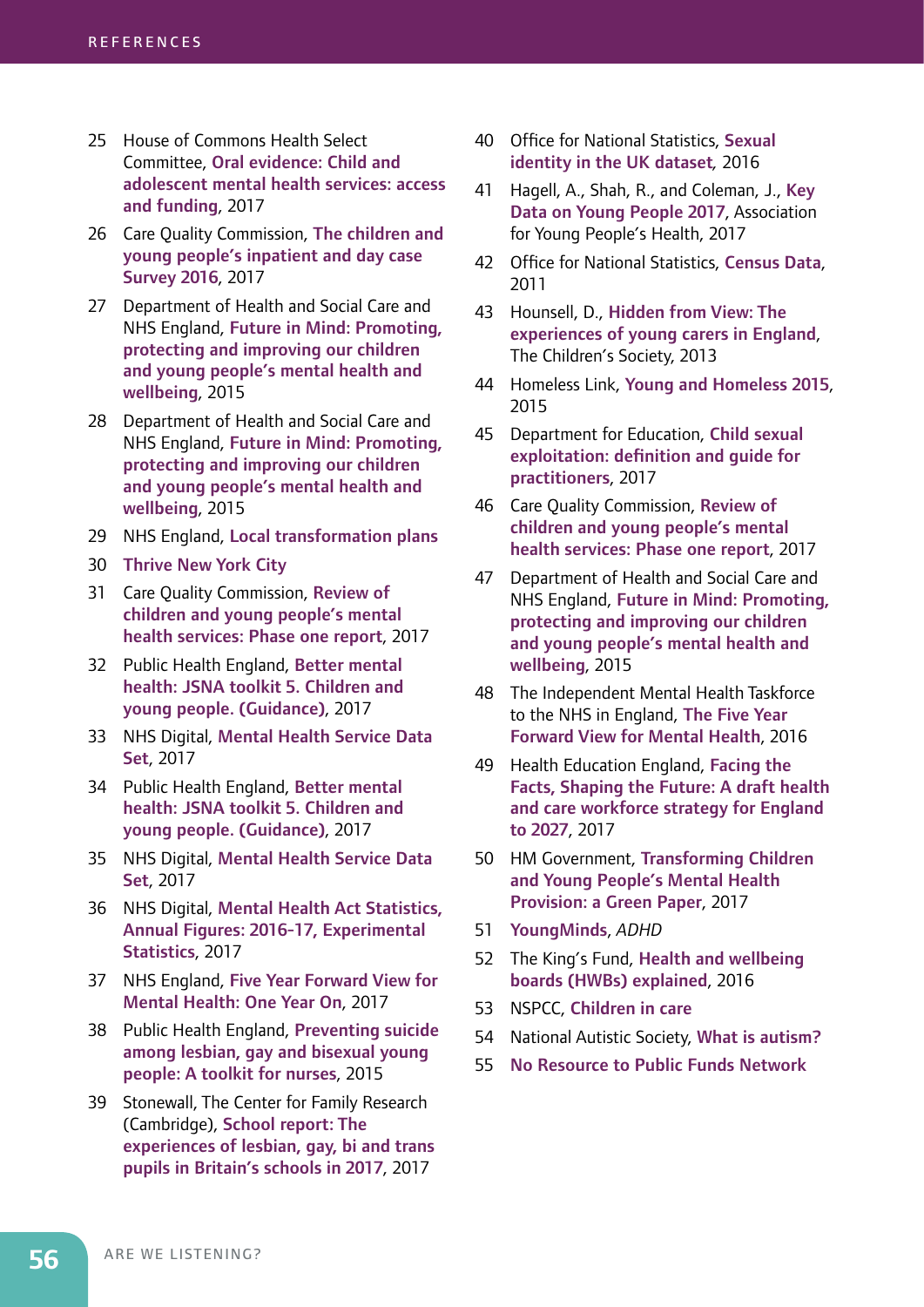- [25](#page-20-0) House of Commons Health Select Committee, [Oral evidence: Child and](http://www.parliament.uk/business/committees/committees-a-z/commons-select/health-committee/inquiries/parliament-2010/cmh-2014/)  [adolescent mental health services: access](http://www.parliament.uk/business/committees/committees-a-z/commons-select/health-committee/inquiries/parliament-2010/cmh-2014/)  [and funding](http://www.parliament.uk/business/committees/committees-a-z/commons-select/health-committee/inquiries/parliament-2010/cmh-2014/), 2017
- [26](#page-25-0) Care Quality Commission, The children and [young people's inpatient and day case](http://www.cqc.org.uk/sites/default/files/20171128_cyp16_qualitymethodology.pdf)  [Survey 2016](http://www.cqc.org.uk/sites/default/files/20171128_cyp16_qualitymethodology.pdf), 2017
- [27](#page-33-0) Department of Health and Social Care and NHS England, [Future in Mind: Promoting,](https://www.gov.uk/government/uploads/system/uploads/attachment_data/file/414024/Childrens_Mental_Health.pdf)  [protecting and improving our children](https://www.gov.uk/government/uploads/system/uploads/attachment_data/file/414024/Childrens_Mental_Health.pdf)  [and young people's mental health and](https://www.gov.uk/government/uploads/system/uploads/attachment_data/file/414024/Childrens_Mental_Health.pdf)  [wellbeing](https://www.gov.uk/government/uploads/system/uploads/attachment_data/file/414024/Childrens_Mental_Health.pdf), 2015
- [28](#page-33-0) Department of Health and Social Care and NHS England, [Future in Mind: Promoting,](https://www.gov.uk/government/uploads/system/uploads/attachment_data/file/414024/Childrens_Mental_Health.pdf)  [protecting and improving our children](https://www.gov.uk/government/uploads/system/uploads/attachment_data/file/414024/Childrens_Mental_Health.pdf)  [and young people's mental health and](https://www.gov.uk/government/uploads/system/uploads/attachment_data/file/414024/Childrens_Mental_Health.pdf)  [wellbeing](https://www.gov.uk/government/uploads/system/uploads/attachment_data/file/414024/Childrens_Mental_Health.pdf), 2015
- [29](#page-35-0) NHS England, [Local transformation plans](https://www.england.nhs.uk/mental-health/cyp/transformation/)
- [30](#page-35-0) [Thrive New York City](https://thrivenyc.cityofnewyork.us/)
- [31](#page-35-0) Care Quality Commission, [Review of](http://www.cqc.org.uk/publications/themed-work/review-children-young-peoples-mental-health-services-phase-one-report)  [children and young people's mental](http://www.cqc.org.uk/publications/themed-work/review-children-young-peoples-mental-health-services-phase-one-report)  [health services: Phase one report](http://www.cqc.org.uk/publications/themed-work/review-children-young-peoples-mental-health-services-phase-one-report), 2017
- [32](#page-36-0) Public Health England, [Better mental](https://www.gov.uk/government/publications/better-mental-health-jsna-toolkit)  [health: JSNA toolkit 5. Children and](https://www.gov.uk/government/publications/better-mental-health-jsna-toolkit)  [young people. \(Guidance\)](https://www.gov.uk/government/publications/better-mental-health-jsna-toolkit), 2017
- [33](#page-36-0) NHS Digital, [Mental Health Service Data](http://content.digital.nhs.uk/mhsds)  [Set](http://content.digital.nhs.uk/mhsds), 2017
- [34](#page-36-0) Public Health England, [Better mental](https://www.gov.uk/government/publications/better-mental-health-jsna-toolkit)  [health: JSNA toolkit 5. Children and](https://www.gov.uk/government/publications/better-mental-health-jsna-toolkit)  [young people. \(Guidance\)](https://www.gov.uk/government/publications/better-mental-health-jsna-toolkit), 2017
- [35](#page-36-0) NHS Digital, [Mental Health Service Data](http://content.digital.nhs.uk/mhsds)  [Set](http://content.digital.nhs.uk/mhsds), 2017
- [36](#page-36-0) NHS Digital, [Mental Health Act Statistics,](https://digital.nhs.uk/catalogue/PUB30105)  [Annual Figures: 2016-17, Experimental](https://digital.nhs.uk/catalogue/PUB30105)  [Statistics](https://digital.nhs.uk/catalogue/PUB30105), 2017
- [37](#page-36-0) NHS England, [Five Year Forward View for](https://www.england.nhs.uk/publication/five-year-forward-view-for-mental-health-one-year-on-report/)  [Mental Health: One Year On](https://www.england.nhs.uk/publication/five-year-forward-view-for-mental-health-one-year-on-report/), 2017
- [38](#page-36-0) Public Health England, [Preventing suicide](https://www.gov.uk/government/uploads/system/uploads/attachment_data/file/412427/LGB_Suicide_Prevention_Toolkit_FINAL.pdf)  [among lesbian, gay and bisexual young](https://www.gov.uk/government/uploads/system/uploads/attachment_data/file/412427/LGB_Suicide_Prevention_Toolkit_FINAL.pdf)  [people: A toolkit for nurses](https://www.gov.uk/government/uploads/system/uploads/attachment_data/file/412427/LGB_Suicide_Prevention_Toolkit_FINAL.pdf), 2015
- [39](#page-36-0) Stonewall, The Center for Family Research (Cambridge), [School report: The](https://www.stonewall.org.uk/sites/default/files/the_school_report_2017.pdf)  [experiences of lesbian, gay, bi and trans](https://www.stonewall.org.uk/sites/default/files/the_school_report_2017.pdf)  [pupils in Britain's schools in 2017](https://www.stonewall.org.uk/sites/default/files/the_school_report_2017.pdf), 2017
- [40](#page-36-0) Office for National Statistics, [Sexual](https://www.ons.gov.uk/peoplepopulationandcommunity/culturalidentity/sexuality)  [identity in the UK dataset](https://www.ons.gov.uk/peoplepopulationandcommunity/culturalidentity/sexuality)*,* 2016
- [41](#page-36-0) Hagell, A., Shah, R., and Coleman, J., [Key](http://www.youngpeopleshealth.org.uk/key-data-on-young-people)  [Data on Young People 2017](http://www.youngpeopleshealth.org.uk/key-data-on-young-people), Association for Young People's Health, 2017
- [42](#page-36-0) Office for National Statistics, [Census Data](https://www.ons.gov.uk/census/2011census), 2011
- [43](#page-36-0) Hounsell, D., [Hidden from View: The](https://www.childrenssociety.org.uk/sites/default/files/tcs/report_hidden-from-view_young-carers_final.pdf)  [experiences of young carers in England](https://www.childrenssociety.org.uk/sites/default/files/tcs/report_hidden-from-view_young-carers_final.pdf), The Children's Society, 2013
- [44](#page-36-0) Homeless Link, [Young and Homeless 2015](https://www.homeless.org.uk/facts/our-research/young-and-homeless-research), 2015
- [45](#page-36-0) Department for Education, [Child sexual](https://www.gov.uk/government/publications/child-sexual-exploitation-definition-and-guide-for-practitioners)  [exploitation: definition and guide for](https://www.gov.uk/government/publications/child-sexual-exploitation-definition-and-guide-for-practitioners)  [practitioners](https://www.gov.uk/government/publications/child-sexual-exploitation-definition-and-guide-for-practitioners), 2017
- [46](#page-40-0) Care Quality Commission, [Review of](http://www.cqc.org.uk/publications/themed-work/review-children-young-peoples-mental-health-services-phase-one-report 
)  [children and young people's mental](http://www.cqc.org.uk/publications/themed-work/review-children-young-peoples-mental-health-services-phase-one-report 
)  [health services: Phase one report](http://www.cqc.org.uk/publications/themed-work/review-children-young-peoples-mental-health-services-phase-one-report 
), 2017
- [47](#page-40-0) Department of Health and Social Care and NHS England, [Future in Mind: Promoting,](https://www.gov.uk/government/uploads/system/uploads/attachment_data/file/414024/Childrens_Mental_Health.pdf)  [protecting and improving our children](https://www.gov.uk/government/uploads/system/uploads/attachment_data/file/414024/Childrens_Mental_Health.pdf)  [and young people's mental health and](https://www.gov.uk/government/uploads/system/uploads/attachment_data/file/414024/Childrens_Mental_Health.pdf)  [wellbeing](https://www.gov.uk/government/uploads/system/uploads/attachment_data/file/414024/Childrens_Mental_Health.pdf), 2015
- [48](#page-40-0) The Independent Mental Health Taskforce to the NHS in England, [The Five Year](https://www.england.nhs.uk/wp-content/uploads/2016/02/Mental-Health-Taskforce-FYFV-final.pdf)  [Forward View for Mental Health](https://www.england.nhs.uk/wp-content/uploads/2016/02/Mental-Health-Taskforce-FYFV-final.pdf), 2016
- [49](#page-40-0) Health Education England, [Facing the](https://www.hee.nhs.uk/our-work/workforce-strategy/)  [Facts, Shaping the Future: A draft health](https://www.hee.nhs.uk/our-work/workforce-strategy/)  [and care workforce strategy for England](https://www.hee.nhs.uk/our-work/workforce-strategy/)  [to 2027](https://www.hee.nhs.uk/our-work/workforce-strategy/), 2017
- [50](#page-40-0) HM Government, [Transforming Children](https://www.gov.uk/government/consultations/transforming-children-and-young-peoples-mental-health-provision-a-green-paper)  [and Young People's Mental Health](https://www.gov.uk/government/consultations/transforming-children-and-young-peoples-mental-health-provision-a-green-paper)  [Provision: a Green Paper](https://www.gov.uk/government/consultations/transforming-children-and-young-peoples-mental-health-provision-a-green-paper), 2017
- [51](#page-52-0) [YoungMinds](https://youngminds.org.uk/find-help/conditions/adhd/), *[ADHD](https://youngminds.org.uk/find-help/conditions/adhd/)*
- [52](#page-53-0) The King's Fund, [Health and wellbeing](https://www.kingsfund.org.uk/publications/health-wellbeing-boards-explained)  [boards \(HWBs\) explained](https://www.kingsfund.org.uk/publications/health-wellbeing-boards-explained), 2016
- [53](#page-53-0) NSPCC, [Children in care](https://www.nspcc.org.uk/preventing-abuse/child-protection-system/children-in-care/)
- [54](#page-53-0) National Autistic Society, [What is autism?](http://www.autism.org.uk/about/what-is.aspx)
- [55](#page-53-0) [No Resource to Public Funds Network](http://www.nrpfnetwork.org.uk/aboutus/Pages/WhatNRPF.aspx)